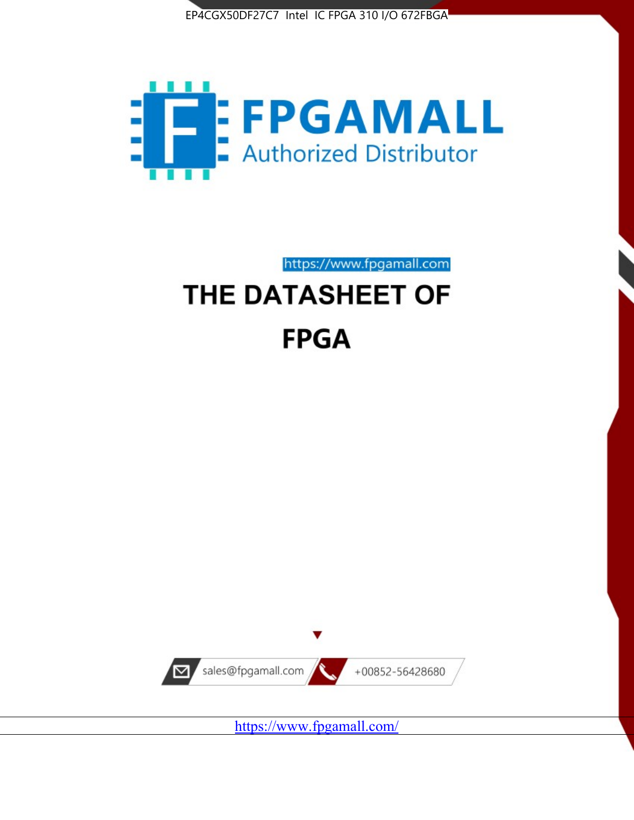



https://www.fpgamall.com

# THE DATASHEET OF **FPGA**



<https://www.fpgamall.com/>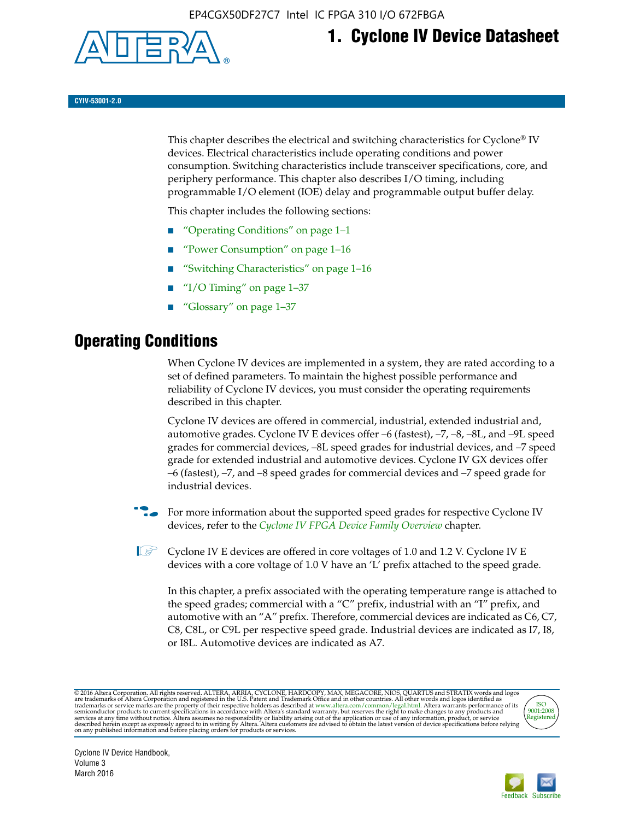

# **1. Cyclone IV Device Datasheet**

**CYIV-53001-2.0**

This chapter describes the electrical and switching characteristics for Cyclone<sup>®</sup> IV devices. Electrical characteristics include operating conditions and power consumption. Switching characteristics include transceiver specifications, core, and periphery performance. This chapter also describes I/O timing, including programmable I/O element (IOE) delay and programmable output buffer delay.

This chapter includes the following sections:

- "Operating Conditions" on page 1–1
- "Power Consumption" on page 1–16
- "Switching Characteristics" on page 1–16
- " $I/O$  Timing" on page  $1-37$
- "Glossary" on page 1–37

# **Operating Conditions**

When Cyclone IV devices are implemented in a system, they are rated according to a set of defined parameters. To maintain the highest possible performance and reliability of Cyclone IV devices, you must consider the operating requirements described in this chapter.

Cyclone IV devices are offered in commercial, industrial, extended industrial and, automotive grades. Cyclone IV E devices offer –6 (fastest), –7, –8, –8L, and –9L speed grades for commercial devices, –8L speed grades for industrial devices, and –7 speed grade for extended industrial and automotive devices. Cyclone IV GX devices offer –6 (fastest), –7, and –8 speed grades for commercial devices and –7 speed grade for industrial devices.

**For more information about the supported speed grades for respective Cyclone IV** devices, refer to the *[Cyclone IV FPGA Device Family Overview](http://www.altera.com/literature/hb/cyclone-iv/cyiv-51001.pdf)* chapter.

**1** Cyclone IV E devices are offered in core voltages of 1.0 and 1.2 V. Cyclone IV E devices with a core voltage of 1.0 V have an 'L' prefix attached to the speed grade.

In this chapter, a prefix associated with the operating temperature range is attached to the speed grades; commercial with a "C" prefix, industrial with an "I" prefix, and automotive with an "A" prefix. Therefore, commercial devices are indicated as C6, C7, C8, C8L, or C9L per respective speed grade. Industrial devices are indicated as I7, I8, or I8L. Automotive devices are indicated as A7.

@2016 Altera Corporation. All rights reserved. ALTERA, ARRIA, CYCLONE, HARDCOPY, MAX, MEGACORE, NIOS, QUARTUS and STRATIX words and logos are trademarks of Altera Corporation and registered in the U.S. Patent and Trademark



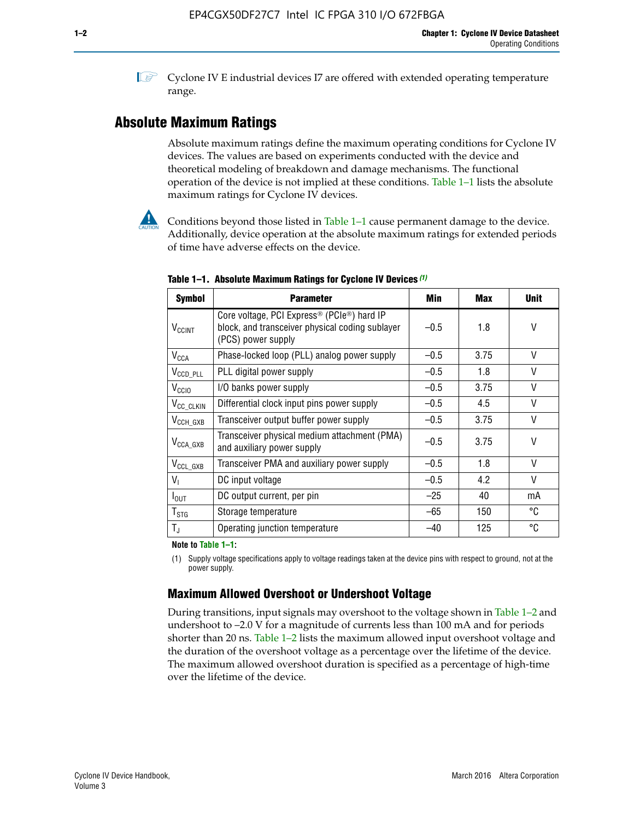**1 Cyclone IV E industrial devices I7 are offered with extended operating temperature** range.

# **Absolute Maximum Ratings**

Absolute maximum ratings define the maximum operating conditions for Cyclone IV devices. The values are based on experiments conducted with the device and theoretical modeling of breakdown and damage mechanisms. The functional operation of the device is not implied at these conditions. Table 1–1 lists the absolute maximum ratings for Cyclone IV devices.



Conditions beyond those listed in Table  $1-1$  cause permanent damage to the device. Additionally, device operation at the absolute maximum ratings for extended periods of time have adverse effects on the device.

| <b>Symbol</b>            | <b>Parameter</b>                                                                                                                             | Min    | <b>Max</b> | <b>Unit</b> |
|--------------------------|----------------------------------------------------------------------------------------------------------------------------------------------|--------|------------|-------------|
| <b>V<sub>CCINT</sub></b> | Core voltage, PCI Express <sup>®</sup> (PCIe <sup>®</sup> ) hard IP<br>block, and transceiver physical coding sublayer<br>(PCS) power supply | $-0.5$ | 1.8        | V           |
| $V_{CCA}$                | Phase-locked loop (PLL) analog power supply                                                                                                  | $-0.5$ | 3.75       | V           |
| $V_{CCD\_PLL}$           | PLL digital power supply                                                                                                                     | $-0.5$ | 1.8        | V           |
| V <sub>CCIO</sub>        | I/O banks power supply                                                                                                                       | $-0.5$ | 3.75       | V           |
| V <sub>CC_CLKIN</sub>    | Differential clock input pins power supply                                                                                                   | $-0.5$ | 4.5        | V           |
| $V_{\text{CCH_GXB}}$     | Transceiver output buffer power supply                                                                                                       | $-0.5$ | 3.75       | V           |
| $V_{\text{CCA\_GXB}}$    | Transceiver physical medium attachment (PMA)<br>and auxiliary power supply                                                                   | $-0.5$ | 3.75       | V           |
| $V_{CCL_GXB}$            | Transceiver PMA and auxiliary power supply                                                                                                   | $-0.5$ | 1.8        | V           |
| $V_{1}$                  | DC input voltage                                                                                                                             | $-0.5$ | 4.2        | V           |
| $I_{\text{OUT}}$         | DC output current, per pin                                                                                                                   | $-25$  | 40         | mA          |
| $T_{\mathtt{STG}}$       | Storage temperature                                                                                                                          | -65    | 150        | °C          |
| $T_{\rm J}$              | Operating junction temperature                                                                                                               | $-40$  | 125        | °C          |

**Table 1–1. Absolute Maximum Ratings for Cyclone IV Devices** *(1)*

**Note to Table 1–1:**

(1) Supply voltage specifications apply to voltage readings taken at the device pins with respect to ground, not at the power supply.

# **Maximum Allowed Overshoot or Undershoot Voltage**

During transitions, input signals may overshoot to the voltage shown in Table 1–2 and undershoot to –2.0 V for a magnitude of currents less than 100 mA and for periods shorter than 20 ns. Table 1–2 lists the maximum allowed input overshoot voltage and the duration of the overshoot voltage as a percentage over the lifetime of the device. The maximum allowed overshoot duration is specified as a percentage of high-time over the lifetime of the device.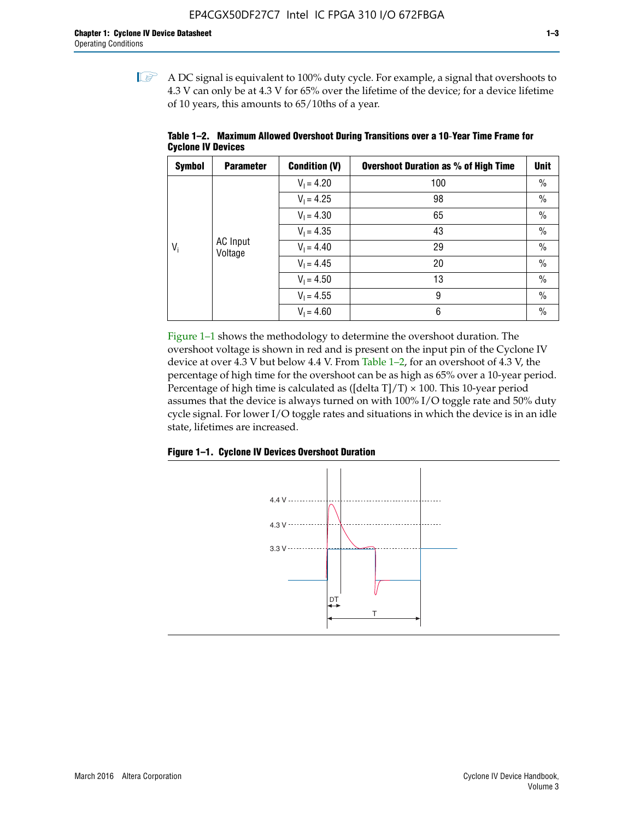$\mathbb{I}$  A DC signal is equivalent to 100% duty cycle. For example, a signal that overshoots to 4.3 V can only be at 4.3 V for 65% over the lifetime of the device; for a device lifetime of 10 years, this amounts to 65/10ths of a year.

| <b>Symbol</b> | <b>Parameter</b>    | <b>Condition (V)</b> | <b>Overshoot Duration as % of High Time</b> | <b>Unit</b> |      |  |              |
|---------------|---------------------|----------------------|---------------------------------------------|-------------|------|--|--------------|
|               |                     | $V_1 = 4.20$         | 100                                         | $\%$        |      |  |              |
|               |                     | $V_1 = 4.25$         | 98                                          | $\%$        |      |  |              |
|               | AC Input<br>Voltage | $V_1 = 4.30$         | 65                                          | $\%$        |      |  |              |
| $V_i$         |                     |                      | $V_1 = 4.35$                                | 43          | $\%$ |  |              |
|               |                     |                      |                                             |             |      |  | $V_1 = 4.40$ |
|               |                     | $V_1 = 4.45$         | 20                                          | $\%$        |      |  |              |
|               |                     | $V_1 = 4.50$         | 13                                          | $\%$        |      |  |              |
|               |                     | $V_1 = 4.55$         | 9                                           | $\%$        |      |  |              |
|               |                     | $V_1 = 4.60$         | 6                                           | $\%$        |      |  |              |

**Table 1–2. Maximum Allowed Overshoot During Transitions over a 10**-**Year Time Frame for Cyclone IV Devices**

Figure 1–1 shows the methodology to determine the overshoot duration. The overshoot voltage is shown in red and is present on the input pin of the Cyclone IV device at over 4.3 V but below 4.4 V. From Table 1–2, for an overshoot of 4.3 V, the percentage of high time for the overshoot can be as high as 65% over a 10-year period. Percentage of high time is calculated as ([delta  $T$ ]/T)  $\times$  100. This 10-year period assumes that the device is always turned on with 100% I/O toggle rate and 50% duty cycle signal. For lower I/O toggle rates and situations in which the device is in an idle state, lifetimes are increased.



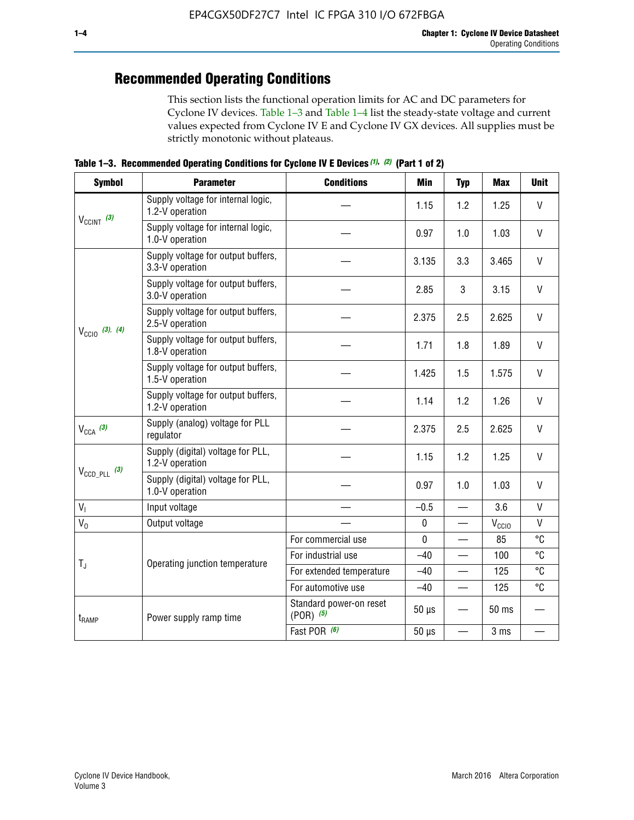# **Recommended Operating Conditions**

This section lists the functional operation limits for AC and DC parameters for Cyclone IV devices. Table 1–3 and Table 1–4 list the steady-state voltage and current values expected from Cyclone IV E and Cyclone IV GX devices. All supplies must be strictly monotonic without plateaus.

**Table 1–3. Recommended Operating Conditions for Cyclone IV E Devices** *(1)***,** *(2)* **(Part 1 of 2)**

| <b>Symbol</b>              | <b>Parameter</b>                                      | <b>Conditions</b>                        | <b>Min</b> | <b>Typ</b> | <b>Max</b>      | <b>Unit</b>  |
|----------------------------|-------------------------------------------------------|------------------------------------------|------------|------------|-----------------|--------------|
| $V_{CClNT}$ (3)            | Supply voltage for internal logic,<br>1.2-V operation |                                          | 1.15       | 1.2        | 1.25            | V            |
|                            | Supply voltage for internal logic,<br>1.0-V operation |                                          | 0.97       | 1.0        | 1.03            | $\mathsf{V}$ |
|                            | Supply voltage for output buffers,<br>3.3-V operation |                                          | 3.135      | 3.3        | 3.465           | $\vee$       |
|                            | Supply voltage for output buffers,<br>3.0-V operation |                                          | 2.85       | 3          | 3.15            | $\mathsf{V}$ |
| $V_{\text{CCIO}}$ (3), (4) | Supply voltage for output buffers,<br>2.5-V operation |                                          | 2.375      | 2.5        | 2.625           | $\vee$       |
|                            | Supply voltage for output buffers,<br>1.8-V operation |                                          | 1.71       | 1.8        | 1.89            | $\mathsf{V}$ |
|                            | Supply voltage for output buffers,<br>1.5-V operation |                                          | 1.425      | 1.5        | 1.575           | V            |
|                            | Supply voltage for output buffers,<br>1.2-V operation |                                          | 1.14       | 1.2        | 1.26            | $\mathsf{V}$ |
| $V_{CCA}$ (3)              | Supply (analog) voltage for PLL<br>regulator          |                                          | 2.375      | 2.5        | 2.625           | $\vee$       |
|                            | Supply (digital) voltage for PLL,<br>1.2-V operation  |                                          | 1.15       | 1.2        | 1.25            | $\mathsf{V}$ |
| $V_{\text{CCD\_PLL}}$ (3)  | Supply (digital) voltage for PLL,<br>1.0-V operation  |                                          | 0.97       | 1.0        | 1.03            | $\vee$       |
| V <sub>1</sub>             | Input voltage                                         |                                          | $-0.5$     |            | 3.6             | $\mathsf{V}$ |
| $V_0$                      | Output voltage                                        |                                          | $\pmb{0}$  |            | $V_{CCIO}$      | $\mathsf{V}$ |
|                            |                                                       | For commercial use                       | 0          |            | 85              | °C           |
| $T_{\rm J}$                | Operating junction temperature                        | For industrial use                       | $-40$      |            | 100             | °C           |
|                            |                                                       | For extended temperature                 | $-40$      |            | 125             | °C           |
|                            |                                                       | For automotive use                       | $-40$      |            | 125             | °C           |
| $t_{\rm{RAMP}}$            | Power supply ramp time                                | Standard power-on reset<br>$(POR)$ $(5)$ | $50 \mu s$ |            | 50 ms           |              |
|                            |                                                       | Fast POR (6)                             | $50 \mu s$ |            | 3 <sub>ms</sub> |              |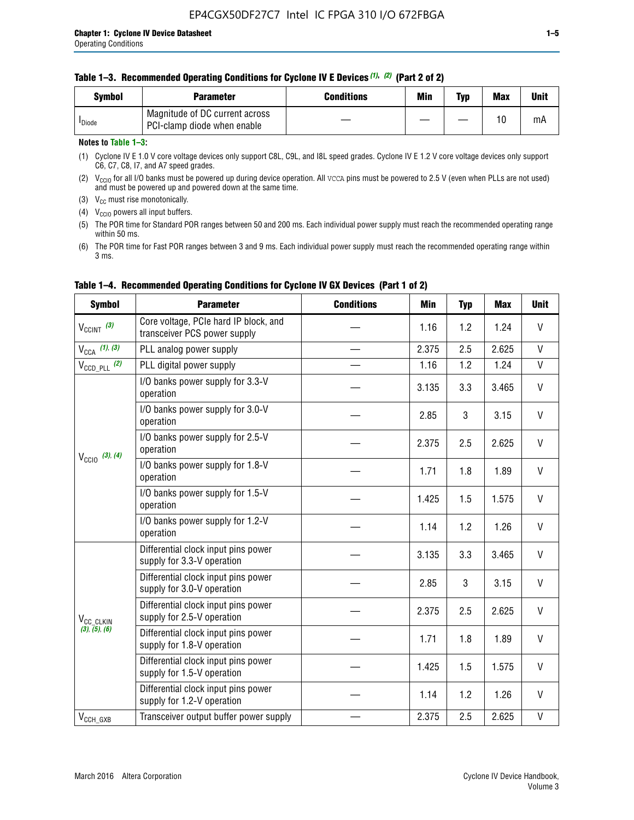|  | Table 1-3. Recommended Operating Conditions for Cyclone IV E Devices (1), (2) (Part 2 of 2) |  |  |  |
|--|---------------------------------------------------------------------------------------------|--|--|--|
|--|---------------------------------------------------------------------------------------------|--|--|--|

| <b>Symbol</b>      | Parameter                                                     | Conditions | Min | Typ | <b>Max</b> | Unit |
|--------------------|---------------------------------------------------------------|------------|-----|-----|------------|------|
| <sup>I</sup> Diode | Magnitude of DC current across<br>PCI-clamp diode when enable |            |     |     | 10         | mA   |

### **Notes to Table 1–3:**

(1) Cyclone IV E 1.0 V core voltage devices only support C8L, C9L, and I8L speed grades. Cyclone IV E 1.2 V core voltage devices only support C6, C7, C8, I7, and A7 speed grades.

(2)  $V_{CCIO}$  for all I/O banks must be powered up during device operation. All vcca pins must be powered to 2.5 V (even when PLLs are not used) and must be powered up and powered down at the same time.

(3)  $V_{CC}$  must rise monotonically.

(4)  $V_{\text{CCIO}}$  powers all input buffers.

(5) The POR time for Standard POR ranges between 50 and 200 ms. Each individual power supply must reach the recommended operating range within 50 ms.

(6) The POR time for Fast POR ranges between 3 and 9 ms. Each individual power supply must reach the recommended operating range within 3 ms.

| <b>Symbol</b>                          | <b>Parameter</b>                                                      | <b>Conditions</b> | Min   | <b>Typ</b> | <b>Max</b> | <b>Unit</b>  |
|----------------------------------------|-----------------------------------------------------------------------|-------------------|-------|------------|------------|--------------|
| $V_{CClNT}$ (3)                        | Core voltage, PCIe hard IP block, and<br>transceiver PCS power supply |                   | 1.16  | 1.2        | 1.24       | V            |
| $V_{CCA}$ (1), (3)                     | PLL analog power supply                                               |                   | 2.375 | 2.5        | 2.625      | $\mathsf{V}$ |
| $V_{\text{CCD\_PLL}}$ (2)              | PLL digital power supply                                              |                   | 1.16  | 1.2        | 1.24       | $\mathsf{V}$ |
| $V_{\text{CCIO}}$ (3), (4)             | I/O banks power supply for 3.3-V<br>operation                         |                   | 3.135 | 3.3        | 3.465      | V            |
|                                        | I/O banks power supply for 3.0-V<br>operation                         |                   | 2.85  | 3          | 3.15       | $\vee$       |
|                                        | I/O banks power supply for 2.5-V<br>operation                         |                   | 2.375 | 2.5        | 2.625      | V            |
|                                        | I/O banks power supply for 1.8-V<br>operation                         |                   | 1.71  | 1.8        | 1.89       | V            |
|                                        | I/O banks power supply for 1.5-V<br>operation                         |                   | 1.425 | 1.5        | 1.575      | V            |
|                                        | I/O banks power supply for 1.2-V<br>operation                         |                   | 1.14  | 1.2        | 1.26       | $\vee$       |
|                                        | Differential clock input pins power<br>supply for 3.3-V operation     |                   | 3.135 | 3.3        | 3.465      | V            |
|                                        | Differential clock input pins power<br>supply for 3.0-V operation     |                   | 2.85  | 3          | 3.15       | V            |
| V <sub>CC_CLKIN</sub><br>(3), (5), (6) | Differential clock input pins power<br>supply for 2.5-V operation     |                   | 2.375 | 2.5        | 2.625      | V            |
|                                        | Differential clock input pins power<br>supply for 1.8-V operation     |                   | 1.71  | 1.8        | 1.89       | V            |
|                                        | Differential clock input pins power<br>supply for 1.5-V operation     |                   | 1.425 | 1.5        | 1.575      | V            |
|                                        | Differential clock input pins power<br>supply for 1.2-V operation     |                   | 1.14  | 1.2        | 1.26       | V            |
| $V_{CCH\_GXB}$                         | Transceiver output buffer power supply                                |                   | 2.375 | 2.5        | 2.625      | V            |

# **Table 1–4. Recommended Operating Conditions for Cyclone IV GX Devices (Part 1 of 2)**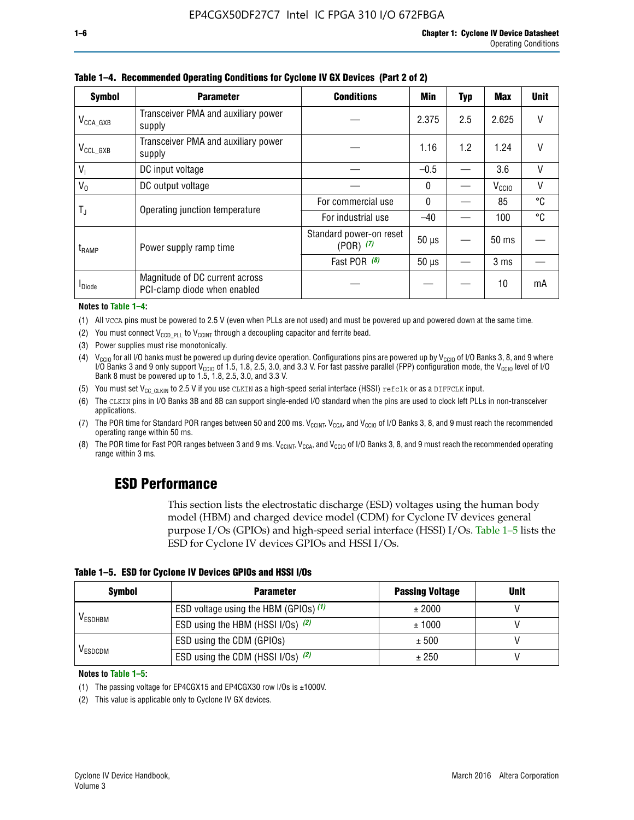| <b>Symbol</b>         | <b>Parameter</b>                                               | <b>Conditions</b>                        |              |     |                   |    |
|-----------------------|----------------------------------------------------------------|------------------------------------------|--------------|-----|-------------------|----|
| $V_{\text{CCA\_GXB}}$ | Transceiver PMA and auxiliary power<br>supply                  |                                          | 2.375        | 2.5 | 2.625             | V  |
| $V_{CCL_GXB}$         | Transceiver PMA and auxiliary power<br>supply                  |                                          | 1.16         | 1.2 | 1.24              | V  |
| V <sub>1</sub>        | DC input voltage                                               |                                          | $-0.5$       |     | 3.6               | V  |
| $V_0$                 | DC output voltage                                              |                                          | $\mathbf{0}$ |     | V <sub>CCIO</sub> | V  |
|                       |                                                                | For commercial use                       | $\mathbf{0}$ |     | 85                | °C |
| T,                    | Operating junction temperature                                 | For industrial use                       | $-40$        |     | 100               | °C |
| $t_{\rm{RAMP}}$       | Power supply ramp time                                         | Standard power-on reset<br>$(POR)$ $(7)$ | $50 \mu s$   |     | 50 ms             |    |
|                       |                                                                | Fast POR (8)                             | $50 \mu s$   |     | 3 <sub>ms</sub>   |    |
| <b>I</b> Diode        | Magnitude of DC current across<br>PCI-clamp diode when enabled |                                          |              |     | 10                | mA |

**Table 1–4. Recommended Operating Conditions for Cyclone IV GX Devices (Part 2 of 2)**

#### **Notes to Table 1–4:**

- (1) All VCCA pins must be powered to 2.5 V (even when PLLs are not used) and must be powered up and powered down at the same time.
- (2) You must connect  $V_{CCD-PLL}$  to  $V_{CCINT}$  through a decoupling capacitor and ferrite bead.
- (3) Power supplies must rise monotonically.
- (4)  $V_{\text{CCIO}}$  for all I/O banks must be powered up during device operation. Configurations pins are powered up by V<sub>CCIO</sub> of I/O Banks 3, 8, and 9 where I/O Banks 3 and 9 only support V<sub>CCIO</sub> of 1.5, 1.8, 2.5, 3.0, and 3.3 V. For fast passive parallel (FPP) configuration mode, the V<sub>CCIO</sub> level of I/O<br>Bank 8 must be powered up to 1.5, 1.8, 2.5, 3.0, and 3.3 V.
- (5) You must set  $V_{CC_CCLKIN}$  to 2.5 V if you use CLKIN as a high-speed serial interface (HSSI) refclk or as a DIFFCLK input.
- (6) The CLKIN pins in I/O Banks 3B and 8B can support single-ended I/O standard when the pins are used to clock left PLLs in non-transceiver applications.
- (7) The POR time for Standard POR ranges between 50 and 200 ms.  $V_{\text{CCIA}}$ ,  $V_{\text{CCIA}}$ , and  $V_{\text{CCIO}}$  of I/O Banks 3, 8, and 9 must reach the recommended operating range within 50 ms.
- (8) The POR time for Fast POR ranges between 3 and 9 ms.  $V_{\text{CCH},T}$ ,  $V_{\text{CCA}}$ , and  $V_{\text{CCI}}$  of I/O Banks 3, 8, and 9 must reach the recommended operating range within 3 ms.

# **ESD Performance**

This section lists the electrostatic discharge (ESD) voltages using the human body model (HBM) and charged device model (CDM) for Cyclone IV devices general purpose I/Os (GPIOs) and high-speed serial interface (HSSI) I/Os. Table 1–5 lists the ESD for Cyclone IV devices GPIOs and HSSI I/Os.

|  |  |  |  | Table 1–5. ESD for Cyclone IV Devices GPIOs and HSSI I/Os |  |
|--|--|--|--|-----------------------------------------------------------|--|
|--|--|--|--|-----------------------------------------------------------|--|

| <b>Symbol</b>  | <b>Parameter</b>                      | <b>Passing Voltage</b> | <b>Unit</b> |
|----------------|---------------------------------------|------------------------|-------------|
|                | ESD voltage using the HBM (GPIOs) (1) | ± 2000                 |             |
| <b>VESDHBM</b> | ESD using the HBM (HSSI I/Os) (2)     | ± 1000                 |             |
|                | ESD using the CDM (GPIOs)             | ± 500                  |             |
| <b>VESDCDM</b> | ESD using the CDM (HSSI I/Os) (2)     | ± 250                  |             |

#### **Notes to Table 1–5:**

(1) The passing voltage for EP4CGX15 and EP4CGX30 row I/Os is ±1000V.

(2) This value is applicable only to Cyclone IV GX devices.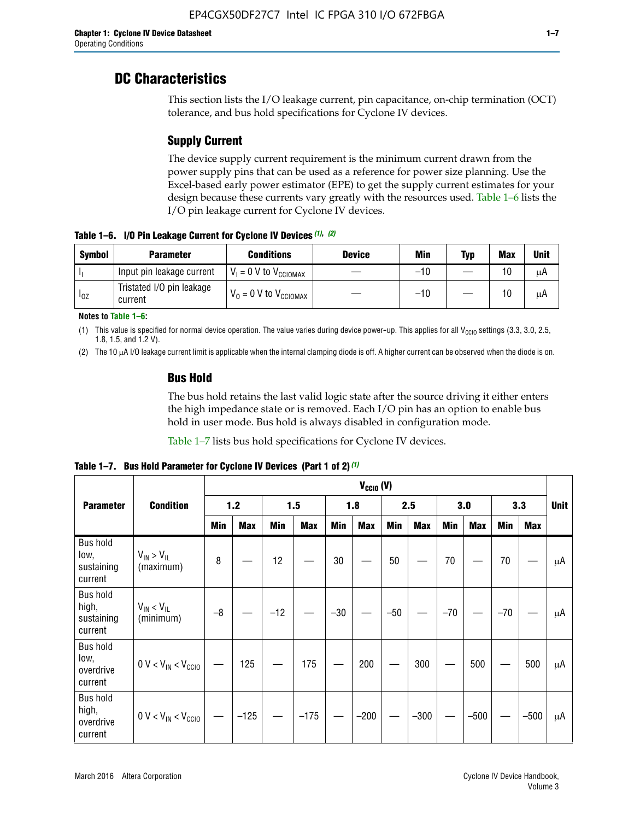# **DC Characteristics**

This section lists the I/O leakage current, pin capacitance, on-chip termination (OCT) tolerance, and bus hold specifications for Cyclone IV devices.

# **Supply Current**

The device supply current requirement is the minimum current drawn from the power supply pins that can be used as a reference for power size planning. Use the Excel-based early power estimator (EPE) to get the supply current estimates for your design because these currents vary greatly with the resources used. Table 1–6 lists the I/O pin leakage current for Cyclone IV devices.

**Table 1–6. I/O Pin Leakage Current for Cyclone IV Devices** *(1)***,** *(2)*

| <b>Symbol</b> | <b>Parameter</b>                     | <b>Conditions</b>                     | <b>Device</b> | Min   | Typ | <b>Max</b> | <b>Unit</b> |
|---------------|--------------------------------------|---------------------------------------|---------------|-------|-----|------------|-------------|
| -lı           | Input pin leakage current            | $V_1 = 0$ V to $V_{\text{CCIOMAX}}$   |               | $-10$ |     | 10         | μA          |
| $I_{0Z}$      | Tristated I/O pin leakage<br>current | $V_0 = 0 V$ to $V_{\text{CCIOMAX}}$ I |               | $-10$ |     | 10         | μA          |

**Notes to Table 1–6:**

(1) This value is specified for normal device operation. The value varies during device power-up. This applies for all V<sub>CCIO</sub> settings (3.3, 3.0, 2.5, 1.8, 1.5, and 1.2 V).

(2) The 10 µA I/O leakage current limit is applicable when the internal clamping diode is off. A higher current can be observed when the diode is on.

# **Bus Hold**

The bus hold retains the last valid logic state after the source driving it either enters the high impedance state or is removed. Each I/O pin has an option to enable bus hold in user mode. Bus hold is always disabled in configuration mode.

Table 1–7 lists bus hold specifications for Cyclone IV devices.

|                                                   |                                  |            |            |       |            |            | $V_{CCIO} (V)$ |            |            |       |            |       |            |             |
|---------------------------------------------------|----------------------------------|------------|------------|-------|------------|------------|----------------|------------|------------|-------|------------|-------|------------|-------------|
| <b>Parameter</b>                                  | <b>Condition</b>                 |            | 1.2        |       | 1.5        |            | 1.8            |            | 2.5        |       | 3.0        |       | 3.3        | <b>Unit</b> |
|                                                   |                                  | <b>Min</b> | <b>Max</b> | Min   | <b>Max</b> | <b>Min</b> | <b>Max</b>     | <b>Min</b> | <b>Max</b> | Min   | <b>Max</b> | Min   | <b>Max</b> |             |
| <b>Bus hold</b><br>low,<br>sustaining<br>current  | $V_{IN}$ > $V_{IL}$<br>(maximum) | 8          |            | 12    |            | 30         |                | 50         |            | 70    |            | 70    |            | μA          |
| <b>Bus hold</b><br>high,<br>sustaining<br>current | $V_{IN}$ < $V_{IL}$<br>(minimum) | $-8$       |            | $-12$ |            | $-30$      |                | $-50$      |            | $-70$ |            | $-70$ |            | μA          |
| <b>Bus hold</b><br>low,<br>overdrive<br>current   | $0 V < V_{IN} < V_{CG10}$        |            | 125        |       | 175        |            | 200            |            | 300        |       | 500        |       | 500        | μA          |
| <b>Bus hold</b><br>high,<br>overdrive<br>current  | $0 V < V_{IN} < V_{CG10}$        |            | $-125$     |       | $-175$     |            | $-200$         |            | $-300$     |       | $-500$     |       | $-500$     | μA          |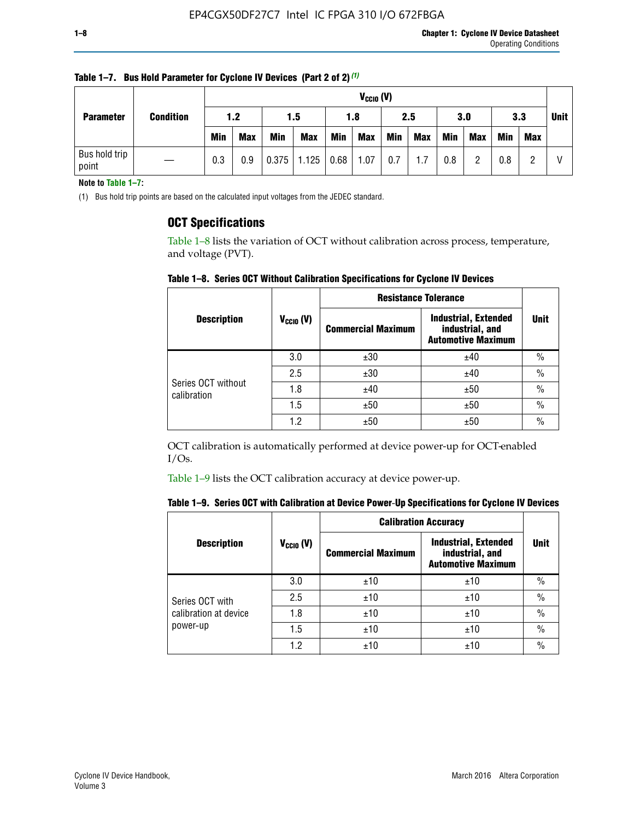|                        | <b>Condition</b> | $V_{CClO}$ (V) |            |            |                        |     |            |            |     |     |            |            |     |             |
|------------------------|------------------|----------------|------------|------------|------------------------|-----|------------|------------|-----|-----|------------|------------|-----|-------------|
| <b>Parameter</b>       |                  | 1.2            |            | 1.5        |                        | 1.8 |            | 2.5        |     | 3.0 |            | 3.3        |     | <b>Unit</b> |
|                        |                  | <b>Min</b>     | <b>Max</b> | <b>Min</b> | <b>Max</b>             | Min | <b>Max</b> | <b>Min</b> | Max | Min | <b>Max</b> | <b>Min</b> | Max |             |
| Bus hold trip<br>point |                  | 0.3            | 0.9        |            | $0.375$   1.125   0.68 |     | 1.07       | 0.7        | 1.7 | 0.8 | n          | 0.8        |     |             |

**Table 1–7. Bus Hold Parameter for Cyclone IV Devices (Part 2 of 2)** *(1)*

**Note to Table 1–7:**

(1) Bus hold trip points are based on the calculated input voltages from the JEDEC standard.

# **OCT Specifications**

Table 1–8 lists the variation of OCT without calibration across process, temperature, and voltage (PVT).

**Table 1–8. Series OCT Without Calibration Specifications for Cyclone IV Devices**

|                                   |                      | <b>Resistance Tolerance</b> |                                                                             |               |
|-----------------------------------|----------------------|-----------------------------|-----------------------------------------------------------------------------|---------------|
| <b>Description</b>                | $V_{\text{CCIO}}(V)$ | <b>Commercial Maximum</b>   | <b>Industrial, Extended</b><br>industrial, and<br><b>Automotive Maximum</b> | <b>Unit</b>   |
|                                   | 3.0                  | ±30                         | ±40                                                                         | $\frac{0}{0}$ |
|                                   | 2.5                  | ±30                         | ±40                                                                         | $\frac{0}{0}$ |
| Series OCT without<br>calibration | 1.8                  | ±40                         | ±50                                                                         | $\frac{0}{0}$ |
|                                   | 1.5                  | ±50                         | ±50                                                                         | $\frac{0}{0}$ |
|                                   | 1.2                  | ±50                         | ±50                                                                         | $\frac{0}{0}$ |

OCT calibration is automatically performed at device power-up for OCT-enabled  $I/Os.$ 

Table 1–9 lists the OCT calibration accuracy at device power-up.

|  | Table 1–9.  Series OCT with Calibration at Device Power-Up Specifications for Cyclone IV Devices |  |  |  |
|--|--------------------------------------------------------------------------------------------------|--|--|--|
|--|--------------------------------------------------------------------------------------------------|--|--|--|

|                       |                | <b>Calibration Accuracy</b> |                                                                             |               |  |
|-----------------------|----------------|-----------------------------|-----------------------------------------------------------------------------|---------------|--|
| <b>Description</b>    | $V_{CGI0} (V)$ | <b>Commercial Maximum</b>   | <b>Industrial, Extended</b><br>industrial, and<br><b>Automotive Maximum</b> | Unit          |  |
|                       | 3.0            | ±10                         | ±10                                                                         | $\%$          |  |
| Series OCT with       | 2.5            | ±10                         | ±10                                                                         | $\%$          |  |
| calibration at device | 1.8            | ±10                         | ±10                                                                         | $\frac{0}{0}$ |  |
| power-up              | 1.5            | ±10                         | ±10                                                                         | $\frac{0}{0}$ |  |
|                       | 1.2            | ±10                         | ±10                                                                         | $\frac{0}{0}$ |  |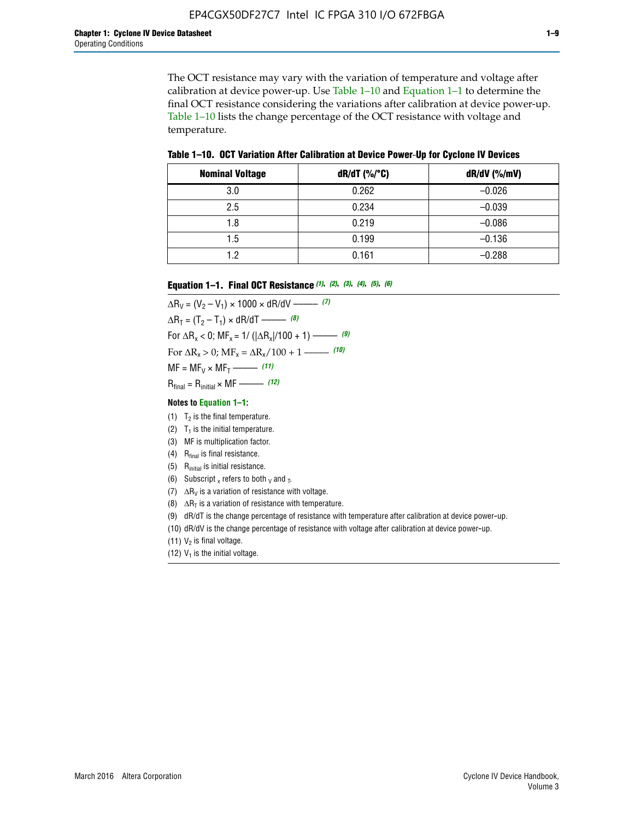The OCT resistance may vary with the variation of temperature and voltage after calibration at device power-up. Use Table 1–10 and Equation 1–1 to determine the final OCT resistance considering the variations after calibration at device power-up. Table 1–10 lists the change percentage of the OCT resistance with voltage and temperature.

**Table 1–10. OCT Variation After Calibration at Device Power**-**Up for Cyclone IV Devices**

| <b>Nominal Voltage</b> | dR/dT (%/°C) | $dR/dV$ (%/mV) |
|------------------------|--------------|----------------|
| 3.0                    | 0.262        | $-0.026$       |
| 2.5                    | 0.234        | $-0.039$       |
| 1.8                    | 0.219        | $-0.086$       |
| 1.5                    | 0.199        | $-0.136$       |
| 1.2                    | 0.161        | $-0.288$       |

#### **Equation 1–1. Final OCT Resistance** *(1)***,** *(2)***,** *(3)***,** *(4)***,** *(5)***,** *(6)*

 $\Delta R_V = (V_2 - V_1) \times 1000 \times dR/dV$  ––––––––––––(7)  $\Delta R_T = (T_2 - T_1) \times dR/dT$  ––––––– (8) For  $\Delta R_x < 0$ ; MF<sub>x</sub> = 1/ ( $|\Delta R_x|/100 + 1$ ) –––––– (9) For  $\Delta R_x > 0$ ;  $\text{MF}_x = \Delta R_x / 100 + 1$  ——– (10)  $MF = MF_V \times MF_T$  –––––––––––(11) Rfinal = Rinitial × MF ––––– *(12)*

#### **Notes to Equation 1–1:**

- (1)  $T_2$  is the final temperature.
- (2)  $T_1$  is the initial temperature.
- (3) MF is multiplication factor.
- (4)  $R<sub>final</sub>$  is final resistance.
- (5) Rinitial is initial resistance.
- (6) Subscript x refers to both  $\sqrt{v}$  and  $\sqrt{v}$ .
- (7)  $\Delta R_V$  is a variation of resistance with voltage.
- (8)  $\Delta R_T$  is a variation of resistance with temperature.
- (9) dR/dT is the change percentage of resistance with temperature after calibration at device power-up.
- (10) dR/dV is the change percentage of resistance with voltage after calibration at device power-up.
- (11)  $V_2$  is final voltage.
- (12)  $V_1$  is the initial voltage.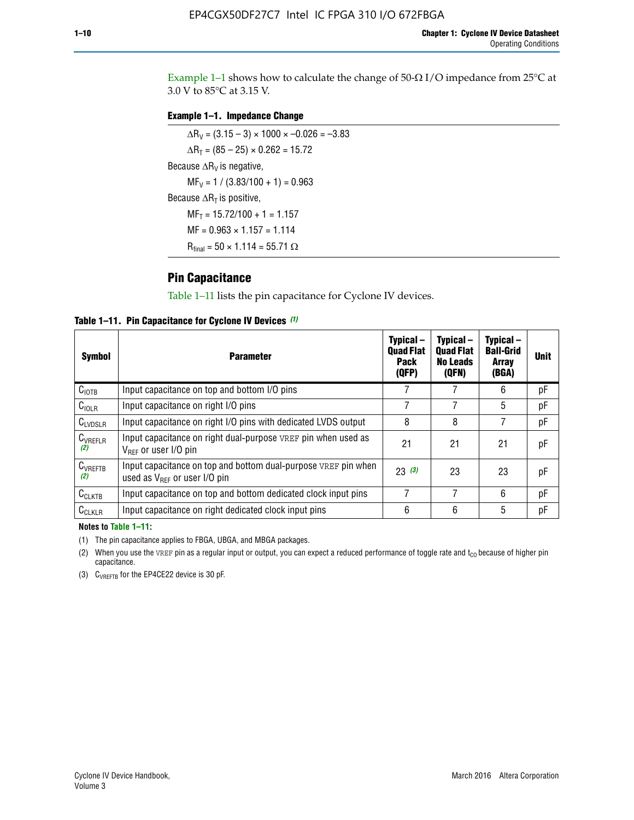Example 1-1 shows how to calculate the change of  $50$ - $\Omega$  I/O impedance from 25°C at 3.0 V to 85°C at 3.15 V.

# **Example 1–1. Impedance Change**

 $\Delta R_V = (3.15 - 3) \times 1000 \times -0.026 = -3.83$  $\Delta R_T = (85 - 25) \times 0.262 = 15.72$ Because  $\Delta R_V$  is negative,  $MF_V = 1 / (3.83/100 + 1) = 0.963$ Because  $\Delta R_T$  is positive,  $MF_T = 15.72/100 + 1 = 1.157$  $MF = 0.963 \times 1.157 = 1.114$  $R_{final} = 50 \times 1.114 = 55.71 \Omega$ 

# **Pin Capacitance**

Table 1–11 lists the pin capacitance for Cyclone IV devices.

**Table 1–11. Pin Capacitance for Cyclone IV Devices** *(1)*

| <b>Symbol</b>       | <b>Parameter</b>                                                                                    | Typical-<br><b>Quad Flat</b><br><b>Pack</b><br>(QFP) | Typical-<br><b>Quad Flat</b><br><b>No Leads</b><br>(QFN) | Typical-<br><b>Ball-Grid</b><br><b>Array</b><br>(BGA) | <b>Unit</b> |
|---------------------|-----------------------------------------------------------------------------------------------------|------------------------------------------------------|----------------------------------------------------------|-------------------------------------------------------|-------------|
| C <sub>IOTB</sub>   | Input capacitance on top and bottom I/O pins                                                        |                                                      |                                                          | 6                                                     | рF          |
| $C_{IOLR}$          | Input capacitance on right I/O pins                                                                 |                                                      |                                                          | 5                                                     | pF          |
| $C_{LVDSLR}$        | Input capacitance on right I/O pins with dedicated LVDS output                                      | 8                                                    | 8                                                        | 7                                                     | рF          |
| $C_{VREFLR}$<br>(2) | Input capacitance on right dual-purpose VREF pin when used as<br>$V_{BFF}$ or user I/O pin          | 21                                                   | 21                                                       | 21                                                    | pF          |
| $C_{VREFTB}$<br>(2) | Input capacitance on top and bottom dual-purpose VREF pin when<br>used as $V_{BFF}$ or user I/O pin | 23(3)                                                | 23                                                       | 23                                                    | рF          |
| $C_{CLKTB}$         | Input capacitance on top and bottom dedicated clock input pins                                      |                                                      | 7                                                        | 6                                                     | рF          |
| $C_{CLKLR}$         | Input capacitance on right dedicated clock input pins                                               | 6                                                    | 6                                                        | 5                                                     | рF          |

#### **Notes to Table 1–11:**

(1) The pin capacitance applies to FBGA, UBGA, and MBGA packages.

(2) When you use the VREF pin as a regular input or output, you can expect a reduced performance of toggle rate and  $t_{\rm CO}$  because of higher pin capacitance.

(3) CVREFTB for the EP4CE22 device is 30 pF.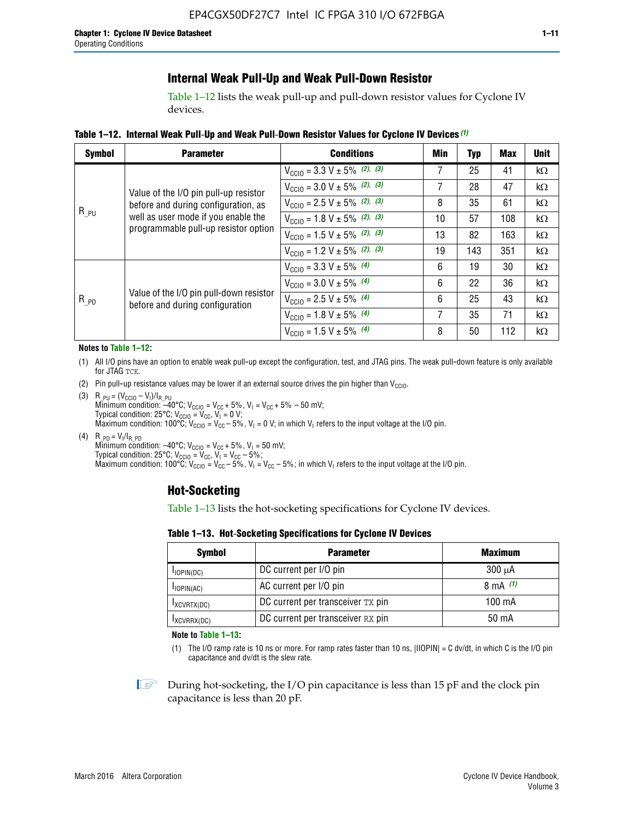# **Internal Weak Pull-Up and Weak Pull-Down Resistor**

Table 1–12 lists the weak pull-up and pull-down resistor values for Cyclone IV devices.

**Table 1–12. Internal Weak Pull**-**Up and Weak Pull**-**Down Resistor Values for Cyclone IV Devices** *(1)*

| <b>Symbol</b> | <b>Parameter</b>                                                            | <b>Conditions</b>                                  | Min | <b>Typ</b> | <b>Max</b> | <b>Unit</b> |
|---------------|-----------------------------------------------------------------------------|----------------------------------------------------|-----|------------|------------|-------------|
|               |                                                                             | $V_{\text{CC10}} = 3.3 \text{ V} \pm 5\%$ (2), (3) | 7   | 25         | 41         | $k\Omega$   |
|               | Value of the I/O pin pull-up resistor                                       | $V_{\text{CC10}} = 3.0 \text{ V} \pm 5\%$ (2), (3) | 7   | 28         | 47         | kΩ          |
|               | before and during configuration, as                                         | $V_{\text{CC10}} = 2.5 V \pm 5\%$ (2), (3)         | 8   | 35         | 61         | kΩ          |
| $R_{PU}$      | well as user mode if you enable the<br>programmable pull-up resistor option | $V_{\text{CGI0}} = 1.8 V \pm 5\%$ (2), (3)         | 10  | 57         | 108        | $k\Omega$   |
|               |                                                                             | $V_{\text{CC10}} = 1.5 V \pm 5\%$ (2), (3)         | 13  | 82         | 163        | $k\Omega$   |
|               |                                                                             | $V_{\text{CC10}} = 1.2 V \pm 5\%$ (2), (3)         | 19  | 143        | 351        | kΩ          |
|               |                                                                             | $V_{\text{CC10}} = 3.3 V \pm 5\%$ (4)              | 6   | 19         | 30         | kΩ          |
|               |                                                                             | $V_{\text{CC10}} = 3.0 V \pm 5\%$ (4)              | 6   | 22         | 36         | $k\Omega$   |
| $R_{PD}$      | Value of the I/O pin pull-down resistor<br>before and during configuration  | $V_{\text{CC10}} = 2.5 V \pm 5\%$ (4)              | 6   | 25         | 43         | kΩ          |
|               |                                                                             | $V_{\text{CC10}} = 1.8 V \pm 5\%$ (4)              | 7   | 35         | 71         | $k\Omega$   |
|               |                                                                             | $V_{\text{CC10}} = 1.5 V \pm 5\%$ (4)              | 8   | 50         | 112        | kΩ          |

#### **Notes to Table 1–12:**

- (1) All I/O pins have an option to enable weak pull-up except the configuration, test, and JTAG pins. The weak pull-down feature is only available for JTAG TCK.
- (2) Pin pull-up resistance values may be lower if an external source drives the pin higher than  $V_{\text{CCIO}}$ .
- (3)  $R_{PU} = (V_{CC10} V_1)/I_{R_PU}$ Minimum condition: –40°C; V<sub>CCIO</sub> = V<sub>CC</sub> + 5%, V<sub>I</sub> = V<sub>CC</sub> + 5% – 50 mV; Typical condition: 25°C; V<sub>CCIO</sub> = V<sub>CC</sub>, V<sub>I</sub> = 0 V; Maximum condition: 100°C;  $V_{\text{CCIO}} = V_{\text{CC}} - 5\%$ ,  $V_1 = 0$  V; in which V<sub>I</sub> refers to the input voltage at the I/O pin.
- (4)  $R_{PD} = V_I/I_{R_PD}$ Minimum condition:  $-40^{\circ}$ C; V<sub>CCIO</sub> = V<sub>CC</sub> + 5%, V<sub>I</sub> = 50 mV; Typical condition: 25°C;  $V_{\text{CCIO}} = V_{\text{CC}}$ ,  $V_{\text{I}} = V_{\text{CC}} - 5\%$ ; Maximum condition: 100°C; V<sub>CClO</sub> = V<sub>CC</sub> – 5%, V<sub>I</sub> = V<sub>CC</sub> – 5%; in which V<sub>I</sub> refers to the input voltage at the I/O pin.

# **Hot-Socketing**

Table 1–13 lists the hot-socketing specifications for Cyclone IV devices.

**Table 1–13. Hot**-**Socketing Specifications for Cyclone IV Devices**

| <b>Symbol</b> | <b>Maximum</b>                    |             |
|---------------|-----------------------------------|-------------|
| $I$ IOPIN(DC) | DC current per I/O pin            | $300 \mu A$ |
| $I$ IOPIN(AC) | AC current per I/O pin            | 8 mA $(1)$  |
| IXCVRTX(DC)   | DC current per transceiver TX pin | 100 mA      |
| IXCVRRX(DC)   | DC current per transceiver RX pin | 50 mA       |

**Note to Table 1–13:**

(1) The I/O ramp rate is 10 ns or more. For ramp rates faster than 10 ns, |IIOPIN| = C dv/dt, in which C is the I/O pin capacitance and dv/dt is the slew rate.

 $\mathbb{I} \rightarrow \mathbb{I}$  During hot-socketing, the I/O pin capacitance is less than 15 pF and the clock pin capacitance is less than 20 pF.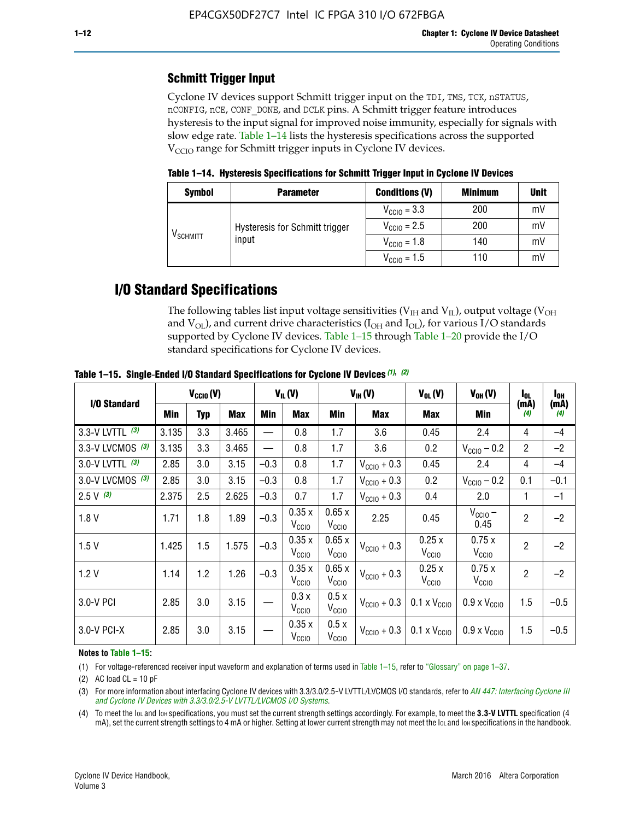# **Schmitt Trigger Input**

Cyclone IV devices support Schmitt trigger input on the TDI, TMS, TCK, nSTATUS, nCONFIG, nCE, CONF\_DONE, and DCLK pins. A Schmitt trigger feature introduces hysteresis to the input signal for improved noise immunity, especially for signals with slow edge rate. Table 1–14 lists the hysteresis specifications across the supported  $V<sub>CCIO</sub>$  range for Schmitt trigger inputs in Cyclone IV devices.

**Table 1–14. Hysteresis Specifications for Schmitt Trigger Input in Cyclone IV Devices**

| <b>Symbol</b>        | <b>Parameter</b>               | <b>Conditions (V)</b>   | <b>Minimum</b> | <b>Unit</b> |
|----------------------|--------------------------------|-------------------------|----------------|-------------|
|                      |                                | $V_{\text{CCIO}} = 3.3$ | 200            | mV          |
| V <sub>SCHMITT</sub> | Hysteresis for Schmitt trigger | $V_{\text{CGI0}} = 2.5$ | 200            | mV          |
|                      | input                          | $V_{\text{CCIO}} = 1.8$ | 140            | mV          |
|                      |                                | $V_{\text{CCIO}} = 1.5$ | 110            | mV          |

# **I/O Standard Specifications**

The following tables list input voltage sensitivities ( $V<sub>IH</sub>$  and  $V<sub>II</sub>$ ), output voltage ( $V<sub>OH</sub>$ and  $V_{OL}$ ), and current drive characteristics ( $I_{OH}$  and  $I_{OL}$ ), for various I/O standards supported by Cyclone IV devices. Table 1–15 through Table 1–20 provide the I/O standard specifications for Cyclone IV devices.

|                   | $V_{CClO}(V)$ |            | $V_{IL}(V)$ |        | $V_{IH} (V)$               |                            | $V_{OL}(V)$             | $V_{OH} (V)$                 | l <sub>OL</sub>              | $I_{0H}$       |             |
|-------------------|---------------|------------|-------------|--------|----------------------------|----------------------------|-------------------------|------------------------------|------------------------------|----------------|-------------|
| I/O Standard      | Min           | <b>Typ</b> | Max         | Min    | Max                        | Min                        | <b>Max</b>              | Max                          | Min                          | (mA)<br>(4)    | (mA)<br>(4) |
| 3.3-V LVTTL (3)   | 3.135         | 3.3        | 3.465       |        | 0.8                        | 1.7                        | 3.6                     | 0.45                         | 2.4                          | 4              | $-4$        |
| 3.3-V LVCMOS (3)  | 3.135         | 3.3        | 3.465       |        | 0.8                        | 1.7                        | 3.6                     | 0.2                          | $V_{\text{CCIO}} - 0.2$      | $\overline{2}$ | $-2$        |
| 3.0-V LVTTL $(3)$ | 2.85          | 3.0        | 3.15        | $-0.3$ | 0.8                        | 1.7                        | $V_{\text{CC10}} + 0.3$ | 0.45                         | 2.4                          | $\overline{4}$ | $-4$        |
| 3.0-V LVCMOS (3)  | 2.85          | 3.0        | 3.15        | $-0.3$ | 0.8                        | 1.7                        | $V_{\text{CCI}0}$ + 0.3 | 0.2                          | $V_{\text{CC10}} - 0.2$      | 0.1            | $-0.1$      |
| $2.5 V$ (3)       | 2.375         | 2.5        | 2.625       | $-0.3$ | 0.7                        | 1.7                        | $V_{\text{CCI}0}$ + 0.3 | 0.4                          | 2.0                          | 1              | $-1$        |
| 1.8V              | 1.71          | 1.8        | 1.89        | $-0.3$ | 0.35x<br>V <sub>CCIO</sub> | 0.65x<br>V <sub>CCIO</sub> | 2.25                    | 0.45                         | $V_{\text{CCIO}}$ –<br>0.45  | $\overline{2}$ | $-2$        |
| 1.5V              | 1.425         | 1.5        | 1.575       | $-0.3$ | 0.35x<br>V <sub>CCIO</sub> | 0.65x<br>V <sub>CCIO</sub> | $V_{\text{CGI0}} + 0.3$ | 0.25x<br>V <sub>CCIO</sub>   | 0.75x<br>V <sub>CCIO</sub>   | $\overline{2}$ | $-2$        |
| 1.2V              | 1.14          | 1.2        | 1.26        | $-0.3$ | 0.35x<br>V <sub>CCIO</sub> | 0.65x<br>V <sub>CCIO</sub> | $V_{\text{CGI0}} + 0.3$ | 0.25x<br>V <sub>CCIO</sub>   | 0.75x<br>V <sub>CCIO</sub>   | $\overline{2}$ | $-2$        |
| 3.0-V PCI         | 2.85          | 3.0        | 3.15        |        | 0.3x<br>V <sub>CCIO</sub>  | 0.5x<br>V <sub>CCIO</sub>  | $V_{\text{CC10}} + 0.3$ | $0.1 \times V_{CC10}$        | $0.9 \times V_{\text{CC10}}$ | 1.5            | $-0.5$      |
| 3.0-V PCI-X       | 2.85          | 3.0        | 3.15        |        | 0.35x<br>V <sub>CCIO</sub> | 0.5x<br>V <sub>CCIO</sub>  | $V_{\text{CC10}} + 0.3$ | $0.1 \times V_{\text{CCIO}}$ | $0.9 \times V_{\text{CC10}}$ | 1.5            | $-0.5$      |

**Table 1–15. Single**-**Ended I/O Standard Specifications for Cyclone IV Devices** *(1)***,** *(2)*

#### **Notes to Table 1–15:**

(1) For voltage-referenced receiver input waveform and explanation of terms used in Table 1–15, refer to "Glossary" on page 1–37.

(2) AC load  $CL = 10$  pF

(3) For more information about interfacing Cyclone IV devices with 3.3/3.0/2.5-V LVTTL/LVCMOS I/O standards, refer to *[AN 447: Interfacing Cyclone III](http://www.altera.com/literature/an/an447.pdf)  [and Cyclone IV Devices with 3.3/3.0/2.5-V LVTTL/LVCMOS I/O Systems](http://www.altera.com/literature/an/an447.pdf)*.

(4) To meet the IOL and IOH specifications, you must set the current strength settings accordingly. For example, to meet the **3.3-V LVTTL** specification (4 mA), set the current strength settings to 4 mA or higher. Setting at lower current strength may not meet the lou and lon specifications in the handbook.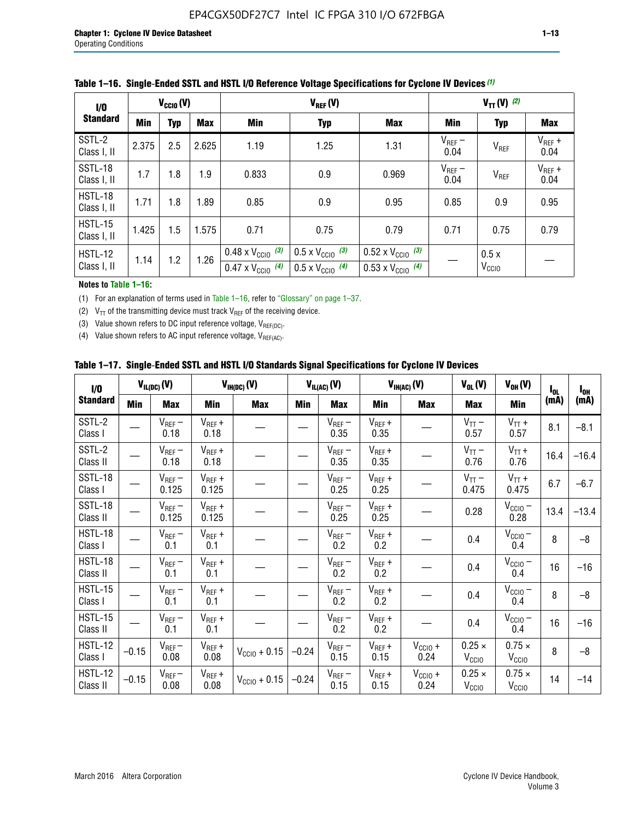| 1/0                           | $V_{\text{CC10}}(V)$                   |     |       |                                                                        | $V_{TT} (V)$ (2)                                                     |                                                                        |                     |                           |                     |
|-------------------------------|----------------------------------------|-----|-------|------------------------------------------------------------------------|----------------------------------------------------------------------|------------------------------------------------------------------------|---------------------|---------------------------|---------------------|
| <b>Standard</b>               | <b>Min</b><br><b>Max</b><br><b>Typ</b> |     |       | Min                                                                    | <b>Typ</b>                                                           | <b>Max</b>                                                             | Min                 | <b>Typ</b>                | <b>Max</b>          |
| SSTL-2<br>Class I, II         | 2.375                                  | 2.5 | 2.625 | 1.19                                                                   | 1.25                                                                 | 1.31                                                                   | $V_{REF}$ –<br>0.04 | V <sub>REF</sub>          | $V_{REF}$ +<br>0.04 |
| SSTL-18<br>Class I, II        | 1.7                                    | 1.8 | 1.9   | 0.833                                                                  | 0.9                                                                  | 0.969                                                                  | $V_{REF}$ –<br>0.04 | V <sub>REF</sub>          | $V_{REF}$ +<br>0.04 |
| HSTL-18<br>Class I, II        | 1.71                                   | 1.8 | 1.89  | 0.85                                                                   | 0.9                                                                  | 0.95                                                                   | 0.85                | 0.9                       | 0.95                |
| <b>HSTL-15</b><br>Class I, II | 1.425                                  | 1.5 | 1.575 | 0.71                                                                   | 0.75                                                                 | 0.79                                                                   | 0.71                | 0.75                      | 0.79                |
| <b>HSTL-12</b><br>Class I, II | 1.14                                   | 1.2 | 1.26  | $0.48 \times V_{\text{CC10}}$ (3)<br>$0.47 \times V_{\text{CC10}}$ (4) | $0.5 \times V_{\text{CC10}}$ (3)<br>$0.5 \times V_{\text{CC10}}$ (4) | $0.52 \times V_{\text{CC10}}$ (3)<br>$0.53 \times V_{\text{CC10}}$ (4) |                     | 0.5x<br>V <sub>CCIO</sub> |                     |

|  |  |  |  | Table 1–16. Single-Ended SSTL and HSTL I/O Reference Voltage Specifications for Cyclone IV Devices (1) |
|--|--|--|--|--------------------------------------------------------------------------------------------------------|
|--|--|--|--|--------------------------------------------------------------------------------------------------------|

### **Notes to Table 1–16:**

(1) For an explanation of terms used in Table 1–16, refer to "Glossary" on page 1–37.

(2)  $V_{TT}$  of the transmitting device must track  $V_{REF}$  of the receiving device.

(3) Value shown refers to DC input reference voltage,  $V_{REF(DC)}$ .

(4) Value shown refers to AC input reference voltage,  $V_{REF(AC)}$ .

|  | Table 1–17.  Single-Ended SSTL and HSTL I/O Standards Signal Specifications for Cyclone IV Devices |  |  |  |  |  |
|--|----------------------------------------------------------------------------------------------------|--|--|--|--|--|
|--|----------------------------------------------------------------------------------------------------|--|--|--|--|--|

| I/O                        |            | $V_{IL(DC)}(V)$      |                                      | $V_{IH(DC)}(V)$   |         | $V_{IL(AC)}(V)$     |                     | $V_{IH(AC)}(V)$      | $V_{OL}(V)$                        | $V_{OH} (V)$                       | $I_{0L}$ | $I_{0H}$ |
|----------------------------|------------|----------------------|--------------------------------------|-------------------|---------|---------------------|---------------------|----------------------|------------------------------------|------------------------------------|----------|----------|
| <b>Standard</b>            | <b>Min</b> | Max                  | <b>Min</b>                           | <b>Max</b>        | Min     | Max                 | Min                 | <b>Max</b>           | Max                                | Min                                | (mA)     | (mA)     |
| SSTL-2<br>Class I          |            | $V_{REF}$ –<br>0.18  | $V_{REF} +$<br>0.18                  |                   |         | $V_{REF}$ –<br>0.35 | $V_{REF} +$<br>0.35 |                      | $V_{TT}$ –<br>0.57                 | $V_{TT}$ +<br>0.57                 | 8.1      | $-8.1$   |
| SSTL-2<br>Class II         |            | $V_{REF}$ –<br>0.18  | $V_{REF} +$<br>0.18                  |                   |         | $V_{REF}$ –<br>0.35 | $V_{REF} +$<br>0.35 |                      | $V_{TT}$ –<br>0.76                 | $V_{TT}$ +<br>0.76                 | 16.4     | $-16.4$  |
| <b>SSTL-18</b><br>Class I  |            | $V_{REF}$ –<br>0.125 | $V_{REF}$ +<br>0.125                 |                   |         | $V_{REF}$ –<br>0.25 | $V_{REF} +$<br>0.25 |                      | $V_{TT}$ –<br>0.475                | $V_{TT}$ +<br>0.475                | 6.7      | $-6.7$   |
| SSTL-18<br>Class II        |            | $V_{REF}$ –<br>0.125 | $V_{REF}$ +<br>0.125                 |                   |         | $V_{REF}$ –<br>0.25 | $V_{REF}$ +<br>0.25 |                      | 0.28                               | $V_{CC10} -$<br>0.28               | 13.4     | $-13.4$  |
| HSTL-18<br>Class I         |            | $V_{REF}$ –<br>0.1   | $\mathsf{V}_{\mathsf{REF}}$ +<br>0.1 |                   |         | $V_{REF}$ –<br>0.2  | $V_{REF}$ +<br>0.2  |                      | 0.4                                | $V_{\text{CCIO}}-$<br>0.4          | 8        | $-8$     |
| HSTL-18<br>Class II        |            | $V_{REF}$ –<br>0.1   | $V_{REF}$ +<br>0.1                   |                   |         | $V_{REF}$ –<br>0.2  | $V_{REF} +$<br>0.2  |                      | 0.4                                | $V_{CC10}$ –<br>0.4                | 16       | $-16$    |
| HSTL-15<br>Class I         |            | $V_{REF}$ –<br>0.1   | $V_{REF}$ +<br>0.1                   |                   |         | $V_{REF}$ –<br>0.2  | $V_{REF}$ +<br>0.2  |                      | 0.4                                | $V_{CC10}$ –<br>0.4                | 8        | $-8$     |
| HSTL-15<br>Class II        |            | $V_{REF}$ –<br>0.1   | $V_{REF} +$<br>0.1                   |                   |         | $V_{REF}$ –<br>0.2  | $V_{REF} +$<br>0.2  |                      | 0.4                                | $V_{CC10}$ –<br>0.4                | 16       | $-16$    |
| <b>HSTL-12</b><br>Class I  | $-0.15$    | $V_{REF}-$<br>0.08   | $V_{REF} +$<br>0.08                  | $V_{CGI0} + 0.15$ | $-0.24$ | $V_{REF}$ –<br>0.15 | $V_{REF} +$<br>0.15 | $V_{CClO}$ +<br>0.24 | $0.25 \times$<br>$V_{\rm CClO}$    | $0.75 \times$<br>V <sub>CCIO</sub> | 8        | $-8$     |
| <b>HSTL-12</b><br>Class II | $-0.15$    | $V_{REF}-$<br>0.08   | $V_{REF} +$<br>0.08                  | $V_{CGI0} + 0.15$ | $-0.24$ | $V_{REF}$ –<br>0.15 | $V_{REF} +$<br>0.15 | $V_{CCIO}$ +<br>0.24 | $0.25 \times$<br>V <sub>CCIO</sub> | $0.75 \times$<br>V <sub>CCIO</sub> | 14       | $-14$    |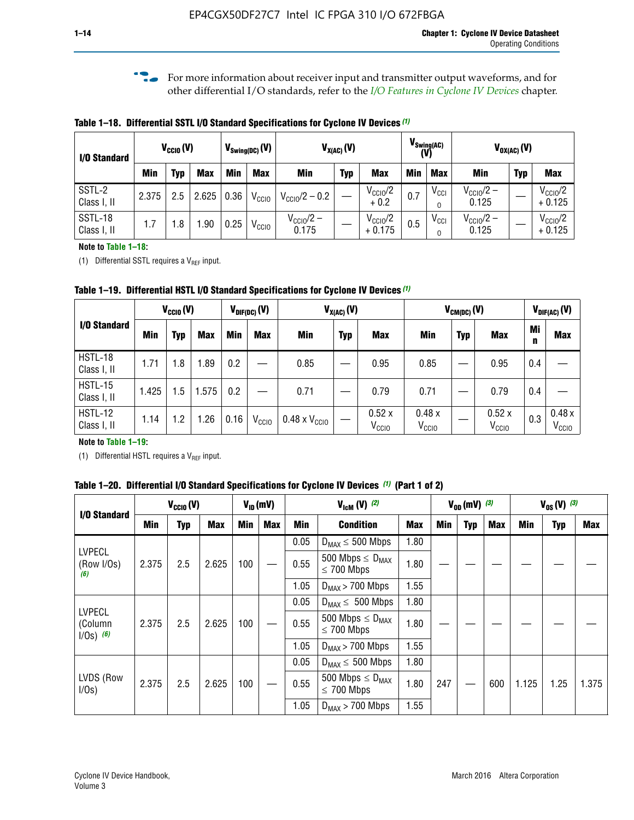**f For more information about receiver input and transmitter output waveforms, and for** other differential I/O standards, refer to the *[I/O Features in Cyclone IV Devices](http://www.altera.com/literature/hb/cyclone-iv/cyiv-51006.pdf)* chapter*.*

**Table 1–18. Differential SSTL I/O Standard Specifications for Cyclone IV Devices** *(1)*

| I/O Standard           |       | $V_{CCl0}(V)$ |            |      | $V_{\text{Swing(DC)}}(V)$ |                                | $V_{X(AC)}(V)$ |                                 |            | $V_{\text{Swing(AC)}}$<br>(V) |                                | $V_{OX(AC)}(V)$ |                                 |
|------------------------|-------|---------------|------------|------|---------------------------|--------------------------------|----------------|---------------------------------|------------|-------------------------------|--------------------------------|-----------------|---------------------------------|
|                        | Min   | Typ           | <b>Max</b> | Min  | <b>Max</b>                | <b>Min</b>                     | <b>Typ</b>     | <b>Max</b>                      | <b>Min</b> | <b>Max</b>                    | Min                            | <b>Typ</b>      | <b>Max</b>                      |
| SSTL-2<br>Class I, II  | 2.375 | 2.5           | 2.625      | 0.36 | V <sub>CCIO</sub>         | $V_{\text{CC10}}/2 - 0.2$      |                | $V_{\text{CC1O}}/2$<br>$+0.2$   | 0.7        | $V_{\rm CCI}$                 | $V_{\text{CC10}}/2 -$<br>0.125 |                 | $V_{\text{CC10}}/2$<br>$+0.125$ |
| SSTL-18<br>Class I, II | 1.7   | .8            | .90        | 0.25 | V <sub>CCIO</sub>         | $V_{\text{CC10}}/2 -$<br>0.175 |                | $V_{\text{CC10}}/2$<br>$+0.175$ | 0.5        | $V_{\rm CCI}$                 | $V_{\text{CC10}}/2 -$<br>0.125 |                 | $V_{\text{CC10}}/2$<br>$+0.125$ |

#### **Note to Table 1–18:**

(1) Differential SSTL requires a  $V_{REF}$  input.

**Table 1–19. Differential HSTL I/O Standard Specifications for Cyclone IV Devices** *(1)*

|                               | $V_{CClO}(V)$ |     |            | $V_{\text{DIF(DC)}}(V)$ |                   | $V_{X(AC)}(V)$                |            |                            | $V_{CM(DC)}(V)$            |            |                            | $V_{\text{DIF(AC)}}(V)$ |                            |
|-------------------------------|---------------|-----|------------|-------------------------|-------------------|-------------------------------|------------|----------------------------|----------------------------|------------|----------------------------|-------------------------|----------------------------|
| I/O Standard                  | Min           | Typ | <b>Max</b> | Min                     | <b>Max</b>        | Min                           | <b>Typ</b> | <b>Max</b>                 | Min                        | <b>Typ</b> | <b>Max</b>                 | Mi<br>n                 | <b>Max</b>                 |
| HSTL-18<br>Class I, II        | 1.71          | 1.8 | .89        | 0.2                     |                   | 0.85                          |            | 0.95                       | 0.85                       |            | 0.95                       | 0.4                     |                            |
| <b>HSTL-15</b><br>Class I, II | 1.425         | 1.5 | .575       | $0.2\,$                 |                   | 0.71                          |            | 0.79                       | 0.71                       |            | 0.79                       | 0.4                     |                            |
| <b>HSTL-12</b><br>Class I, II | 1.14          | 1.2 | 1.26       | 0.16                    | V <sub>CCIO</sub> | $0.48 \times V_{\text{CC10}}$ |            | 0.52x<br>V <sub>CCIO</sub> | 0.48x<br>V <sub>CCIO</sub> |            | 0.52x<br>V <sub>CCIO</sub> | 0.3                     | 0.48x<br>V <sub>CCIO</sub> |

### **Note to Table 1–19:**

(1) Differential HSTL requires a  $V_{REF}$  input.

**Table 1–20. Differential I/O Standard Specifications for Cyclone IV Devices** *(1)* **(Part 1 of 2)**

| I/O Standard                            |       | $V_{CCl0} (V)$ |            |            | $V_{ID}$ (mV) |      | $V_{\text{lcm}}(V)^{(2)}$                  |            |     | $V_{0D}$ (mV) $(3)$ |     |       | $V_{0S} (V)^{(3)}$ |       |
|-----------------------------------------|-------|----------------|------------|------------|---------------|------|--------------------------------------------|------------|-----|---------------------|-----|-------|--------------------|-------|
|                                         | Min   | Typ            | <b>Max</b> | <b>Min</b> | Max           | Min  | <b>Condition</b>                           | <b>Max</b> | Min | Typ                 | Max | Min   | <b>Typ</b>         | Max   |
|                                         |       |                |            |            |               | 0.05 | $D_{MAX} \leq 500$ Mbps                    | 1.80       |     |                     |     |       |                    |       |
| <b>LVPECL</b><br>(Row I/Os)<br>(6)      | 2.375 | 2.5            | 2.625      | 100        |               | 0.55 | 500 Mbps $\leq D_{MAX}$<br>$\leq$ 700 Mbps | 1.80       |     |                     |     |       |                    |       |
|                                         |       |                |            |            |               | 1.05 | $D_{MAX}$ > 700 Mbps                       | 1.55       |     |                     |     |       |                    |       |
| <b>LVPECL</b><br>(Column<br>$1/Os)$ (6) |       |                |            |            |               | 0.05 | $D_{MAX} \leq 500$ Mbps                    | 1.80       |     |                     |     |       |                    |       |
|                                         | 2.375 | 2.5            | 2.625      | 100        |               | 0.55 | 500 Mbps $\leq D_{MAX}$<br>$\leq$ 700 Mbps | 1.80       |     |                     |     |       |                    |       |
|                                         |       |                |            |            |               | 1.05 | $D_{MAX}$ > 700 Mbps                       | 1.55       |     |                     |     |       |                    |       |
|                                         |       |                |            |            |               | 0.05 | $D_{MAX} \leq 500$ Mbps                    | 1.80       |     |                     |     |       |                    |       |
| LVDS (Row<br>I/Os)                      | 2.375 | 2.5            | 2.625      | 100        |               | 0.55 | 500 Mbps $\leq D_{MAX}$<br>$\leq 700$ Mbps | 1.80       | 247 |                     | 600 | 1.125 | 1.25               | 1.375 |
|                                         |       |                |            |            |               | 1.05 | $D_{MAX}$ > 700 Mbps                       | 1.55       |     |                     |     |       |                    |       |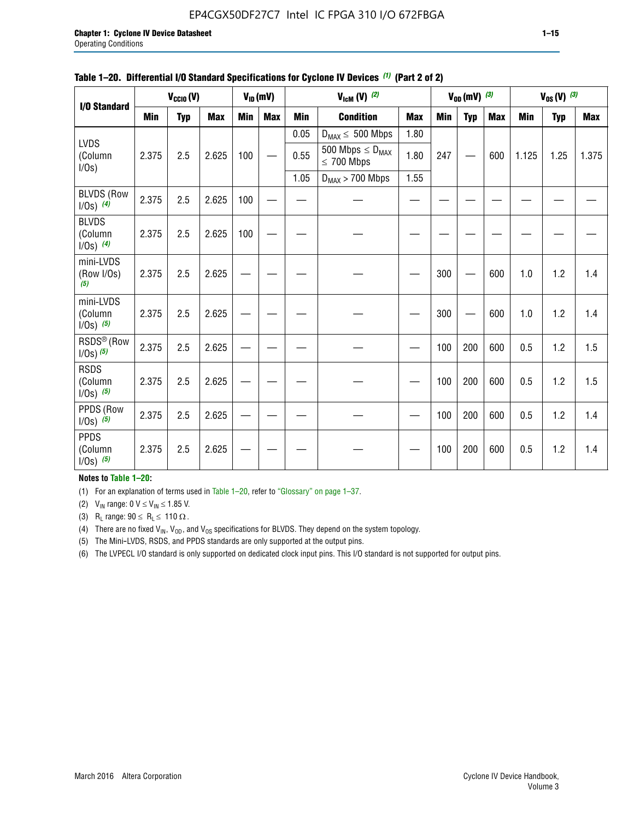# EP4CGX50DF27C7 Intel IC FPGA 310 I/O 672FBGA

| I/O Standard                             |            | $V_{CClO}(V)$ |            |            | $V_{ID}(mV)$ |            | $V_{\text{lcm}}(V)^{(2)}$                  |            |            | $V_{0D}$ (mV) $(3)$ |            |            | $V_{0S} (V)$ (3) |       |
|------------------------------------------|------------|---------------|------------|------------|--------------|------------|--------------------------------------------|------------|------------|---------------------|------------|------------|------------------|-------|
|                                          | <b>Min</b> | <b>Typ</b>    | <b>Max</b> | <b>Min</b> | <b>Max</b>   | <b>Min</b> | <b>Condition</b>                           | <b>Max</b> | <b>Min</b> | <b>Typ</b>          | <b>Max</b> | <b>Min</b> | <b>Typ</b>       | Max   |
|                                          |            |               |            |            |              | 0.05       | $D_{MAX} \leq 500$ Mbps                    | 1.80       |            |                     |            |            |                  |       |
| <b>LVDS</b><br>(Column<br>$I/Os$ )       | 2.375      | 2.5           | 2.625      | 100        |              | 0.55       | 500 Mbps $\leq D_{MAX}$<br>$\leq 700$ Mbps | 1.80       | 247        |                     | 600        | 1.125      | 1.25             | 1.375 |
|                                          |            |               |            |            |              | 1.05       | $D_{MAX}$ > 700 Mbps                       | 1.55       |            |                     |            |            |                  |       |
| <b>BLVDS (Row</b><br>$1/0s)$ (4)         | 2.375      | 2.5           | 2.625      | 100        |              |            |                                            |            |            |                     |            |            |                  |       |
| <b>BLVDS</b><br>(Column<br>$1/0s)$ (4)   | 2.375      | 2.5           | 2.625      | 100        |              |            |                                            |            |            |                     |            |            |                  |       |
| mini-LVDS<br>(Row I/Os)<br>(5)           | 2.375      | 2.5           | 2.625      |            |              |            |                                            |            | 300        |                     | 600        | 1.0        | 1.2              | 1.4   |
| mini-LVDS<br>(Column<br>$1/0s)$ (5)      | 2.375      | 2.5           | 2.625      |            |              |            |                                            |            | 300        |                     | 600        | 1.0        | 1.2              | 1.4   |
| RSDS <sup>®</sup> (Row<br>$1/0s$ ) $(5)$ | 2.375      | 2.5           | 2.625      |            |              |            |                                            |            | 100        | 200                 | 600        | 0.5        | 1.2              | 1.5   |
| <b>RSDS</b><br>(Column<br>$1/0s)$ (5)    | 2.375      | 2.5           | 2.625      |            |              |            |                                            |            | 100        | 200                 | 600        | 0.5        | 1.2              | 1.5   |
| PPDS (Row<br>$1/Os)$ (5)                 | 2.375      | 2.5           | 2.625      |            |              |            |                                            |            | 100        | 200                 | 600        | 0.5        | 1.2              | 1.4   |
| <b>PPDS</b><br>(Column<br>$1/0s)$ (5)    | 2.375      | 2.5           | 2.625      |            |              |            |                                            |            | 100        | 200                 | 600        | 0.5        | 1.2              | 1.4   |

### **Table 1–20. Differential I/O Standard Specifications for Cyclone IV Devices** *(1)* **(Part 2 of 2)**

### **Notes to Table 1–20:**

(1) For an explanation of terms used in Table 1–20, refer to "Glossary" on page 1–37.

(2)  $V_{IN}$  range: 0  $V \le V_{IN} \le 1.85$  V.

(3) R<sub>L</sub> range:  $90 \le R_L \le 110 \Omega$ .

(4) There are no fixed  $V_{IN}$ ,  $V_{OD}$ , and  $V_{OS}$  specifications for BLVDS. They depend on the system topology.

(5) The Mini-LVDS, RSDS, and PPDS standards are only supported at the output pins.

(6) The LVPECL I/O standard is only supported on dedicated clock input pins. This I/O standard is not supported for output pins.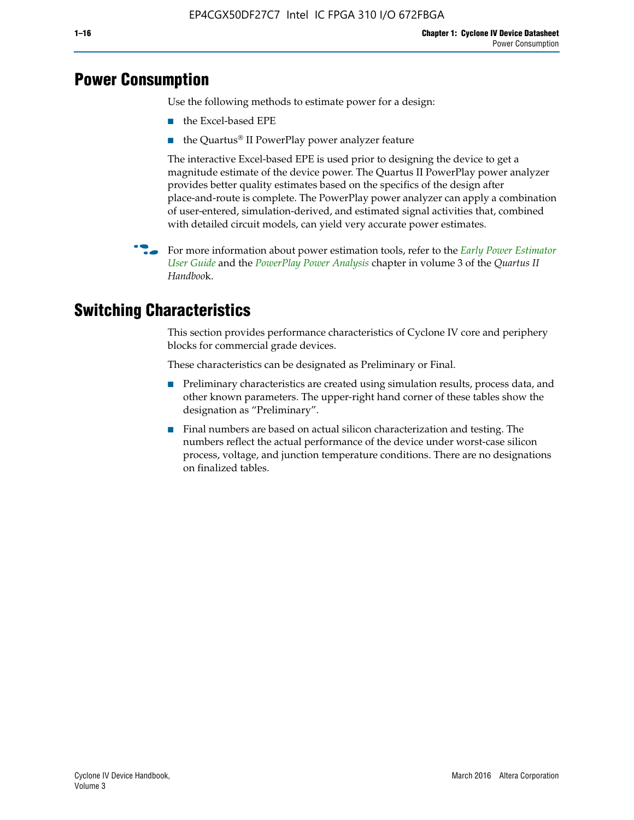# **Power Consumption**

Use the following methods to estimate power for a design:

- the Excel-based EPE
- the Quartus® II PowerPlay power analyzer feature

The interactive Excel-based EPE is used prior to designing the device to get a magnitude estimate of the device power. The Quartus II PowerPlay power analyzer provides better quality estimates based on the specifics of the design after place-and-route is complete. The PowerPlay power analyzer can apply a combination of user-entered, simulation-derived, and estimated signal activities that, combined with detailed circuit models, can yield very accurate power estimates.

f For more information about power estimation tools, refer to the *[Early Power Estimator](http://www.altera.com/literature/ug/ug_epe.pdf
)  [User Guide](http://www.altera.com/literature/ug/ug_epe.pdf
)* and the *[PowerPlay Power Analysis](http://www.altera.com/literature/hb/qts/qts_qii53013.pdf)* chapter in volume 3 of the *Quartus II Handboo*k.

# **Switching Characteristics**

This section provides performance characteristics of Cyclone IV core and periphery blocks for commercial grade devices.

These characteristics can be designated as Preliminary or Final.

- Preliminary characteristics are created using simulation results, process data, and other known parameters. The upper-right hand corner of these tables show the designation as "Preliminary".
- Final numbers are based on actual silicon characterization and testing. The numbers reflect the actual performance of the device under worst-case silicon process, voltage, and junction temperature conditions. There are no designations on finalized tables.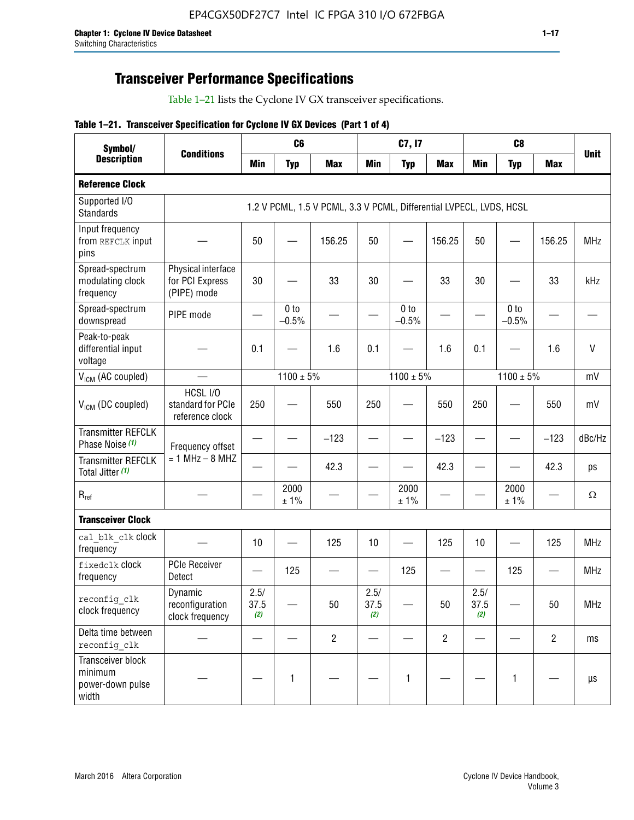# **Transceiver Performance Specifications**

Table 1–21 lists the Cyclone IV GX transceiver specifications.

# **Table 1–21. Transceiver Specification for Cyclone IV GX Devices (Part 1 of 4)**

| Symbol/                                                   | <b>Conditions</b>                                    |                     | C <sub>6</sub>             |                                                                     |                     | C7, I7                     |                               |                     | C <sub>8</sub>             |                |              |
|-----------------------------------------------------------|------------------------------------------------------|---------------------|----------------------------|---------------------------------------------------------------------|---------------------|----------------------------|-------------------------------|---------------------|----------------------------|----------------|--------------|
| <b>Description</b>                                        |                                                      | <b>Min</b>          | <b>Typ</b>                 | <b>Max</b>                                                          | <b>Min</b>          | <b>Typ</b>                 | <b>Max</b>                    | <b>Min</b>          | <b>Typ</b>                 | <b>Max</b>     | <b>Unit</b>  |
| <b>Reference Clock</b>                                    |                                                      |                     |                            |                                                                     |                     |                            |                               |                     |                            |                |              |
| Supported I/O<br><b>Standards</b>                         |                                                      |                     |                            | 1.2 V PCML, 1.5 V PCML, 3.3 V PCML, Differential LVPECL, LVDS, HCSL |                     |                            |                               |                     |                            |                |              |
| Input frequency<br>from REFCLK input<br>pins              |                                                      | 50                  |                            | 156.25                                                              | 50                  |                            | 156.25                        | 50                  | —                          | 156.25         | <b>MHz</b>   |
| Spread-spectrum<br>modulating clock<br>frequency          | Physical interface<br>for PCI Express<br>(PIPE) mode | 30                  |                            | 33                                                                  | 30                  |                            | 33                            | 30                  |                            | 33             | kHz          |
| Spread-spectrum<br>downspread                             | PIPE mode                                            |                     | 0 <sub>to</sub><br>$-0.5%$ |                                                                     |                     | 0 <sub>to</sub><br>$-0.5%$ |                               |                     | 0 <sub>to</sub><br>$-0.5%$ |                |              |
| Peak-to-peak<br>differential input<br>voltage             |                                                      | 0.1                 |                            | 1.6                                                                 | 0.1                 |                            | 1.6                           | 0.1                 |                            | 1.6            | $\mathsf{V}$ |
| V <sub>ICM</sub> (AC coupled)                             |                                                      |                     | $1100 \pm 5\%$             |                                                                     |                     | $1100 \pm 5\%$             |                               |                     | $1100 \pm 5\%$             |                | mV           |
| V <sub>ICM</sub> (DC coupled)                             | HCSL I/O<br>standard for PCIe<br>reference clock     | 250                 |                            | 550                                                                 | 250                 |                            | 550                           | 250                 |                            | 550            | mV           |
| <b>Transmitter REFCLK</b><br>Phase Noise (1)              | Frequency offset                                     |                     |                            | $-123$                                                              |                     |                            | $-123$                        |                     |                            | $-123$         | dBc/Hz       |
| <b>Transmitter REFCLK</b><br>Total Jitter (1)             | $= 1$ MHz $- 8$ MHZ                                  |                     |                            | 42.3                                                                |                     |                            | 42.3                          |                     |                            | 42.3           | ps           |
| $R_{ref}$                                                 |                                                      |                     | 2000<br>± 1%               |                                                                     |                     | 2000<br>± 1%               |                               |                     | 2000<br>± 1%               |                | $\Omega$     |
| <b>Transceiver Clock</b>                                  |                                                      |                     |                            |                                                                     |                     |                            |                               |                     |                            |                |              |
| cal blk clk clock<br>frequency                            |                                                      | 10                  |                            | 125                                                                 | 10                  |                            | 125                           | 10                  |                            | 125            | <b>MHz</b>   |
| fixedclk Clock<br>frequency                               | <b>PCIe Receiver</b><br>Detect                       |                     | 125                        |                                                                     |                     | 125                        | $\overbrace{\phantom{aaaaa}}$ |                     | 125                        |                | <b>MHz</b>   |
| reconfig_clk<br>clock frequency                           | Dynamic<br>reconfiguration<br>clock frequency        | 2.5/<br>37.5<br>(2) |                            | 50                                                                  | 2.5/<br>37.5<br>(2) |                            | 50                            | 2.5/<br>37.5<br>(2) |                            | 50             | <b>MHz</b>   |
| Delta time between<br>reconfig clk                        |                                                      |                     |                            | $\overline{c}$                                                      |                     |                            | $\overline{c}$                |                     |                            | $\overline{2}$ | ms           |
| Transceiver block<br>minimum<br>power-down pulse<br>width |                                                      |                     | 1                          |                                                                     |                     | 1                          |                               |                     | $\mathbf{1}$               |                | $\mu s$      |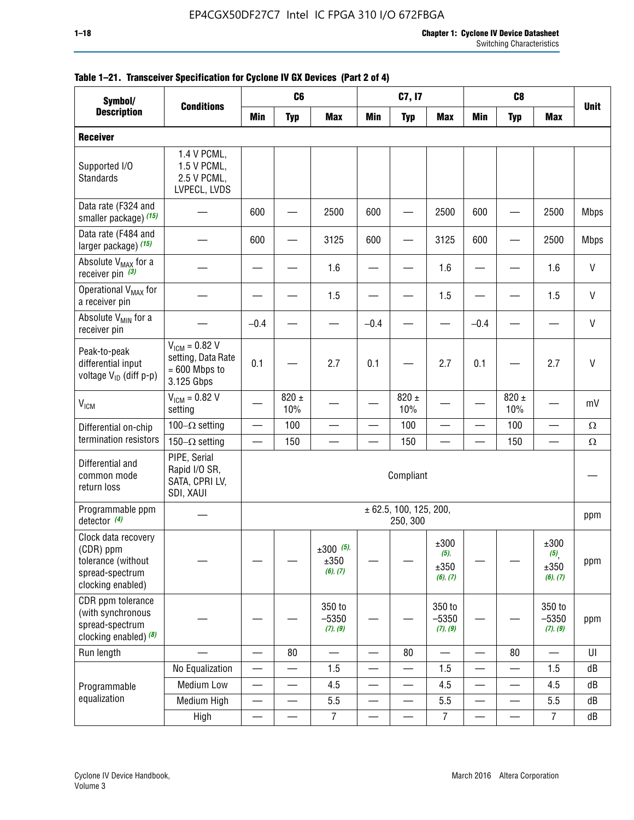#### **1–18 Chapter 1: Cyclone IV Device Datasheet** Switching Characteristics

| Symbol/                                                                                        |                                                                           | C <sub>6</sub><br>C <sub>8</sub><br>C7, I7 |                          |                                 |                          |                                    |                                               |                          |                          |                                  |              |
|------------------------------------------------------------------------------------------------|---------------------------------------------------------------------------|--------------------------------------------|--------------------------|---------------------------------|--------------------------|------------------------------------|-----------------------------------------------|--------------------------|--------------------------|----------------------------------|--------------|
| <b>Description</b>                                                                             | <b>Conditions</b>                                                         | <b>Min</b>                                 | <b>Typ</b>               | <b>Max</b>                      | <b>Min</b>               | <b>Typ</b>                         | <b>Max</b>                                    | <b>Min</b>               | <b>Typ</b>               | <b>Max</b>                       | <b>Unit</b>  |
| <b>Receiver</b>                                                                                |                                                                           |                                            |                          |                                 |                          |                                    |                                               |                          |                          |                                  |              |
| Supported I/O<br>Standards                                                                     | 1.4 V PCML,<br>1.5 V PCML,<br>2.5 V PCML,<br>LVPECL, LVDS                 |                                            |                          |                                 |                          |                                    |                                               |                          |                          |                                  |              |
| Data rate (F324 and<br>smaller package) (15)                                                   |                                                                           | 600                                        |                          | 2500                            | 600                      |                                    | 2500                                          | 600                      |                          | 2500                             | <b>Mbps</b>  |
| Data rate (F484 and<br>larger package) (15)                                                    |                                                                           | 600                                        |                          | 3125                            | 600                      |                                    | 3125                                          | 600                      |                          | 2500                             | <b>Mbps</b>  |
| Absolute V <sub>MAX</sub> for a<br>receiver pin $(3)$                                          |                                                                           |                                            |                          | 1.6                             |                          |                                    | 1.6                                           |                          |                          | 1.6                              | V            |
| Operational V <sub>MAX</sub> for<br>a receiver pin                                             |                                                                           |                                            |                          | 1.5                             |                          |                                    | 1.5                                           |                          |                          | 1.5                              | $\mathsf{V}$ |
| Absolute V <sub>MIN</sub> for a<br>receiver pin                                                |                                                                           | $-0.4$                                     |                          |                                 | $-0.4$                   |                                    |                                               | $-0.4$                   |                          |                                  | $\mathsf{V}$ |
| Peak-to-peak<br>differential input<br>voltage V <sub>ID</sub> (diff p-p)                       | $V_{IGM} = 0.82 V$<br>setting, Data Rate<br>$= 600$ Mbps to<br>3.125 Gbps | 0.1                                        |                          | 2.7                             | 0.1                      |                                    | 2.7                                           | 0.1                      |                          | 2.7                              | $\mathsf{V}$ |
| <b>V<sub>ICM</sub></b>                                                                         | $V_{ICM} = 0.82 V$<br>setting                                             |                                            | 820 $\pm$<br>10%         |                                 |                          | 820 $\pm$<br>10%                   |                                               |                          | $820 \pm$<br>10%         |                                  | mV           |
| Differential on-chip                                                                           | 100 $-\Omega$ setting                                                     | $\overline{\phantom{0}}$                   | 100                      | $\overline{\phantom{0}}$        |                          | 100                                |                                               | —                        | 100                      | $\qquad \qquad \qquad$           | $\Omega$     |
| termination resistors                                                                          | 150 $-\Omega$ setting                                                     | $\overline{\phantom{0}}$                   | 150                      |                                 |                          | 150                                |                                               | $\overline{\phantom{0}}$ | 150                      |                                  | $\Omega$     |
| Differential and<br>common mode<br>return loss                                                 | PIPE, Serial<br>Rapid I/O SR,<br>SATA, CPRI LV,<br>SDI, XAUI              |                                            |                          |                                 |                          | Compliant                          |                                               |                          |                          |                                  |              |
| Programmable ppm<br>detector $(4)$                                                             |                                                                           |                                            |                          |                                 |                          | ± 62.5, 100, 125, 200,<br>250, 300 |                                               |                          |                          |                                  | ppm          |
| Clock data recovery<br>(CDR) ppm<br>tolerance (without<br>spread-spectrum<br>clocking enabled) |                                                                           |                                            |                          | $±300$ (5),<br>±350<br>(6), (7) |                          |                                    | $\pm 300$<br>$(5)$ ,<br>$\pm 350$<br>(6), (7) |                          |                          | ±300<br>(5),<br>±350<br>(6), (7) | ppm          |
| CDR ppm tolerance<br>(with synchronous<br>spread-spectrum<br>clocking enabled) (8)             |                                                                           |                                            |                          | 350 to<br>$-5350$<br>(7), (9)   |                          |                                    | 350 to<br>$-5350$<br>(7), (9)                 |                          |                          | 350 to<br>$-5350$<br>(7), (9)    | ppm          |
| Run length                                                                                     |                                                                           | $\overline{\phantom{0}}$                   | 80                       | $\overline{\phantom{0}}$        | $\overline{\phantom{0}}$ | 80                                 |                                               | —                        | 80                       | $\overline{\phantom{0}}$         | U            |
|                                                                                                | No Equalization                                                           | $\overline{\phantom{0}}$                   |                          | 1.5                             |                          |                                    | 1.5                                           | $\overline{\phantom{0}}$ |                          | 1.5                              | dB           |
| Programmable                                                                                   | Medium Low                                                                | $\overline{\phantom{0}}$                   | $\overline{\phantom{0}}$ | 4.5                             |                          | $\overline{\phantom{0}}$           | 4.5                                           | —                        | $\overline{\phantom{0}}$ | 4.5                              | dB           |
| equalization                                                                                   | Medium High                                                               | —                                          | —                        | 5.5                             | —                        | —                                  | 5.5                                           | —                        | $\overline{\phantom{0}}$ | 5.5                              | dB           |
|                                                                                                | High                                                                      |                                            |                          | $\overline{7}$                  |                          |                                    | $\overline{7}$                                |                          |                          | $\overline{7}$                   | dB           |

### **Table 1–21. Transceiver Specification for Cyclone IV GX Devices (Part 2 of 4)**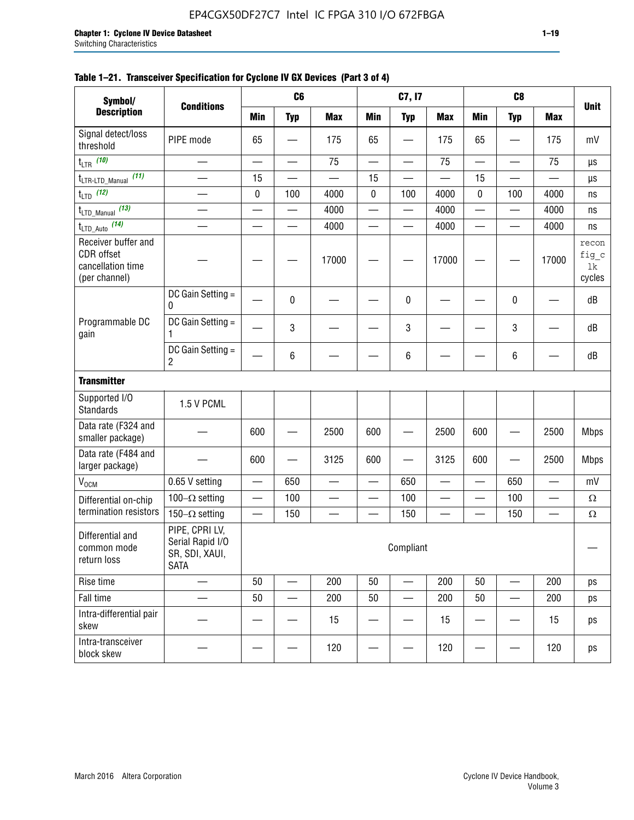| Symbol/                                                                 | <b>Conditions</b>                                                   |                          | C <sub>6</sub>           |                          |                          | C7, I7                   |                          |                          | C <sub>8</sub>           |                          |                                                                                                                                                                 |
|-------------------------------------------------------------------------|---------------------------------------------------------------------|--------------------------|--------------------------|--------------------------|--------------------------|--------------------------|--------------------------|--------------------------|--------------------------|--------------------------|-----------------------------------------------------------------------------------------------------------------------------------------------------------------|
| <b>Description</b>                                                      |                                                                     | <b>Min</b>               | <b>Typ</b>               | <b>Max</b>               | <b>Min</b>               | <b>Typ</b>               | <b>Max</b>               | <b>Min</b>               | <b>Typ</b>               | <b>Max</b>               | <b>Unit</b><br>mV<br>μs<br>μs<br>ns<br>ns<br>ns<br>recon<br>fig_c<br>1k<br>cycles<br>dB<br>dB<br>dB<br><b>Mbps</b><br><b>Mbps</b><br>mV<br>$\Omega$<br>$\Omega$ |
| Signal detect/loss<br>threshold                                         | PIPE mode                                                           | 65                       |                          | 175                      | 65                       | $\overline{\phantom{0}}$ | 175                      | 65                       |                          | 175                      |                                                                                                                                                                 |
| $t_{LTR}$ (10)                                                          |                                                                     | $\overline{\phantom{a}}$ | ÷,                       | 75                       | $\overline{\phantom{0}}$ | $\overline{\phantom{0}}$ | 75                       | $\equiv$                 | $\overline{\phantom{0}}$ | 75                       |                                                                                                                                                                 |
| $t_{\text{LTR-LTD\_Manual}}$ (11)                                       |                                                                     | 15                       | $\overline{\phantom{0}}$ | $\overline{\phantom{0}}$ | 15                       | $\overline{\phantom{0}}$ |                          | 15                       |                          | $\overline{\phantom{0}}$ |                                                                                                                                                                 |
| $t_{LTD}$ (12)                                                          | $\overline{\phantom{0}}$                                            | 0                        | 100                      | 4000                     | 0                        | 100                      | 4000                     | $\mathbf 0$              | 100                      | 4000                     |                                                                                                                                                                 |
| $t_{\text{LTD\_Manual}}$ (13)                                           |                                                                     |                          |                          | 4000                     |                          |                          | 4000                     | $\overline{\phantom{0}}$ |                          | 4000                     |                                                                                                                                                                 |
| $t_{\text{LTD\_Auto}}$ (14)                                             |                                                                     |                          |                          | 4000                     |                          |                          | 4000                     | $\overline{\phantom{0}}$ |                          | 4000                     |                                                                                                                                                                 |
| Receiver buffer and<br>CDR offset<br>cancellation time<br>(per channel) |                                                                     |                          |                          | 17000                    |                          |                          | 17000                    |                          |                          | 17000                    |                                                                                                                                                                 |
| Programmable DC<br>gain                                                 | DC Gain Setting =<br>0                                              |                          | $\mathbf{0}$             |                          |                          | 0                        |                          |                          | 0                        |                          |                                                                                                                                                                 |
|                                                                         | DC Gain Setting =<br>1                                              |                          | 3                        |                          |                          | 3                        |                          |                          | 3                        |                          |                                                                                                                                                                 |
|                                                                         | DC Gain Setting =<br>$\overline{2}$                                 |                          | 6                        |                          |                          | 6                        |                          |                          | 6                        |                          |                                                                                                                                                                 |
| <b>Transmitter</b>                                                      |                                                                     |                          |                          |                          |                          |                          |                          |                          |                          |                          |                                                                                                                                                                 |
| Supported I/O<br><b>Standards</b>                                       | 1.5 V PCML                                                          |                          |                          |                          |                          |                          |                          |                          |                          |                          |                                                                                                                                                                 |
| Data rate (F324 and<br>smaller package)                                 |                                                                     | 600                      |                          | 2500                     | 600                      | —                        | 2500                     | 600                      |                          | 2500                     |                                                                                                                                                                 |
| Data rate (F484 and<br>larger package)                                  |                                                                     | 600                      |                          | 3125                     | 600                      | $\overline{\phantom{0}}$ | 3125                     | 600                      |                          | 2500                     |                                                                                                                                                                 |
| V <sub>OCM</sub>                                                        | 0.65 V setting                                                      |                          | 650                      |                          |                          | 650                      |                          |                          | 650                      |                          |                                                                                                                                                                 |
| Differential on-chip                                                    | 100 $-\Omega$ setting                                               |                          | 100                      | $\overline{\phantom{0}}$ | $\overline{\phantom{0}}$ | 100                      | $\overline{\phantom{0}}$ | $\overline{\phantom{0}}$ | 100                      | $\overline{\phantom{0}}$ |                                                                                                                                                                 |
| termination resistors                                                   | 150 $-\Omega$ setting                                               | $\overline{\phantom{0}}$ | 150                      |                          |                          | 150                      |                          | —                        | 150                      |                          |                                                                                                                                                                 |
| Differential and<br>common mode<br>return loss                          | PIPE, CPRI LV,<br>Serial Rapid I/O<br>SR, SDI, XAUI,<br><b>SATA</b> | Compliant                |                          |                          |                          |                          |                          |                          |                          |                          |                                                                                                                                                                 |

# **Table 1–21. To**

| Data rate (F484 and<br>larger package)         |                                                                     | 600                                                    |     | 3125 | 600 |     | 3125 | 600 |     | 2500 | <b>Mbps</b> |
|------------------------------------------------|---------------------------------------------------------------------|--------------------------------------------------------|-----|------|-----|-----|------|-----|-----|------|-------------|
| $V_{OCM}$                                      | 0.65 V setting                                                      |                                                        | 650 |      |     | 650 |      |     | 650 |      | mV          |
| Differential on-chip                           | 100 $-\Omega$ setting                                               |                                                        | 100 |      |     | 100 |      |     | 100 |      | Ω           |
| termination resistors                          | 150- $\Omega$ setting                                               |                                                        | 150 |      |     | 150 |      |     | 150 |      | Ω           |
| Differential and<br>common mode<br>return loss | PIPE, CPRI LV,<br>Serial Rapid I/O<br>SR, SDI, XAUI,<br><b>SATA</b> | Compliant<br>50<br>200<br>50<br>200<br>50<br>200<br>50 |     |      |     |     |      |     |     |      |             |
| Rise time                                      |                                                                     |                                                        |     |      |     |     |      |     |     |      | ps          |
| Fall time                                      |                                                                     |                                                        |     | 200  | 50  |     | 200  | 50  |     | 200  | ps          |
| Intra-differential pair<br>skew                |                                                                     |                                                        |     | 15   |     |     | 15   |     |     | 15   | ps          |
| Intra-transceiver<br>block skew                |                                                                     |                                                        |     | 120  |     |     | 120  |     |     | 120  | ps          |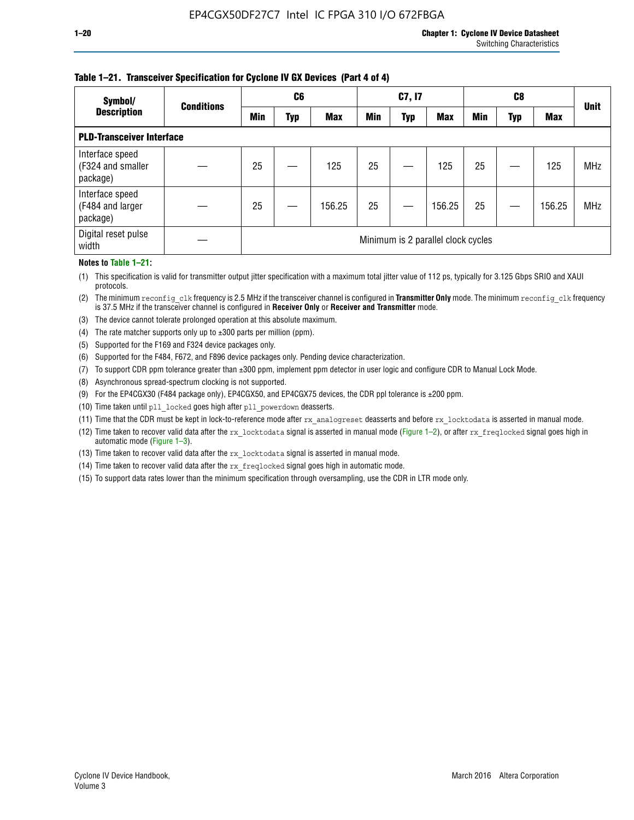### **Table 1–21. Transceiver Specification for Cyclone IV GX Devices (Part 4 of 4)**

| Symbol/                                          | <b>Conditions</b> |                                    | C <sub>6</sub> |            |            | C7, I7 |            |            | C8  |            | <b>Unit</b> |
|--------------------------------------------------|-------------------|------------------------------------|----------------|------------|------------|--------|------------|------------|-----|------------|-------------|
| <b>Description</b>                               |                   | <b>Min</b>                         | Typ            | <b>Max</b> | <b>Min</b> | Typ    | <b>Max</b> | <b>Min</b> | Typ | <b>Max</b> |             |
| <b>PLD-Transceiver Interface</b>                 |                   |                                    |                |            |            |        |            |            |     |            |             |
| Interface speed<br>(F324 and smaller<br>package) |                   | 25                                 |                | 125        | 25         |        | 125        | 25         |     | 125        | <b>MHz</b>  |
| Interface speed<br>(F484 and larger<br>package)  |                   | 25                                 |                | 156.25     | 25         |        | 156.25     | 25         |     | 156.25     | <b>MHz</b>  |
| Digital reset pulse<br>width                     |                   | Minimum is 2 parallel clock cycles |                |            |            |        |            |            |     |            |             |

#### **Notes to Table 1–21:**

(1) This specification is valid for transmitter output jitter specification with a maximum total jitter value of 112 ps, typically for 3.125 Gbps SRIO and XAUI protocols.

(2) The minimum reconfig\_clk frequency is 2.5 MHz if the transceiver channel is configured in **Transmitter Only** mode. The minimum reconfig\_clk frequency is 37.5 MHz if the transceiver channel is configured in **Receiver Only** or **Receiver and Transmitter** mode.

(3) The device cannot tolerate prolonged operation at this absolute maximum.

- (4) The rate matcher supports only up to  $\pm 300$  parts per million (ppm).
- (5) Supported for the F169 and F324 device packages only.
- (6) Supported for the F484, F672, and F896 device packages only. Pending device characterization.
- (7) To support CDR ppm tolerance greater than ±300 ppm, implement ppm detector in user logic and configure CDR to Manual Lock Mode.
- (8) Asynchronous spread-spectrum clocking is not supported.
- (9) For the EP4CGX30 (F484 package only), EP4CGX50, and EP4CGX75 devices, the CDR ppl tolerance is ±200 ppm.
- (10) Time taken until pll\_locked goes high after pll\_powerdown deasserts.
- (11) Time that the CDR must be kept in lock-to-reference mode after rx analogreset deasserts and before rx locktodata is asserted in manual mode.

(12) Time taken to recover valid data after the rx locktodata signal is asserted in manual mode (Figure 1–2), or after rx freqlocked signal goes high in automatic mode (Figure 1–3).

(13) Time taken to recover valid data after the rx locktodata signal is asserted in manual mode.

- (14) Time taken to recover valid data after the rx freqlocked signal goes high in automatic mode.
- (15) To support data rates lower than the minimum specification through oversampling, use the CDR in LTR mode only.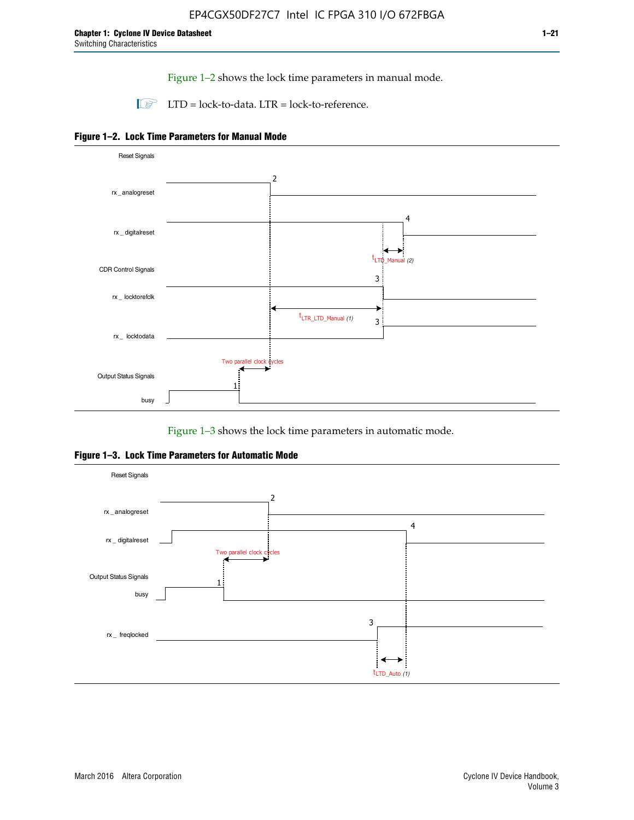Figure 1–2 shows the lock time parameters in manual mode.

 $\Box$  LTD = lock-to-data. LTR = lock-to-reference.





Figure 1–3 shows the lock time parameters in automatic mode.

**Figure 1–3. Lock Time Parameters for Automatic Mode**

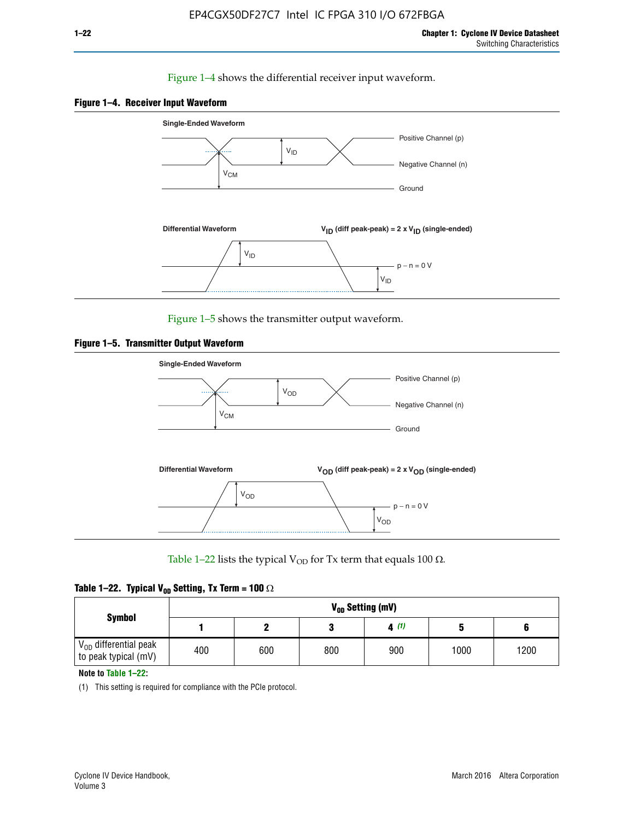# Figure 1–4 shows the differential receiver input waveform.





Figure 1–5 shows the transmitter output waveform.





Table 1–22 lists the typical V<sub>OD</sub> for Tx term that equals 100  $\Omega$ .

| Table 1–22. Typical V <sub>0D</sub> Setting, Tx Term = 100 $\Omega$ |  |  |  |  |  |  |  |
|---------------------------------------------------------------------|--|--|--|--|--|--|--|
|---------------------------------------------------------------------|--|--|--|--|--|--|--|

| <b>Symbol</b>                                          | V <sub>on</sub> Setting (mV) |     |     |      |      |      |  |  |  |  |
|--------------------------------------------------------|------------------------------|-----|-----|------|------|------|--|--|--|--|
|                                                        |                              |     |     | 4(1) |      |      |  |  |  |  |
| $\rm V_{OD}$ differential peak<br>to peak typical (mV) | 400                          | 600 | 800 | 900  | 1000 | 1200 |  |  |  |  |

**Note to Table 1–22:**

(1) This setting is required for compliance with the PCIe protocol.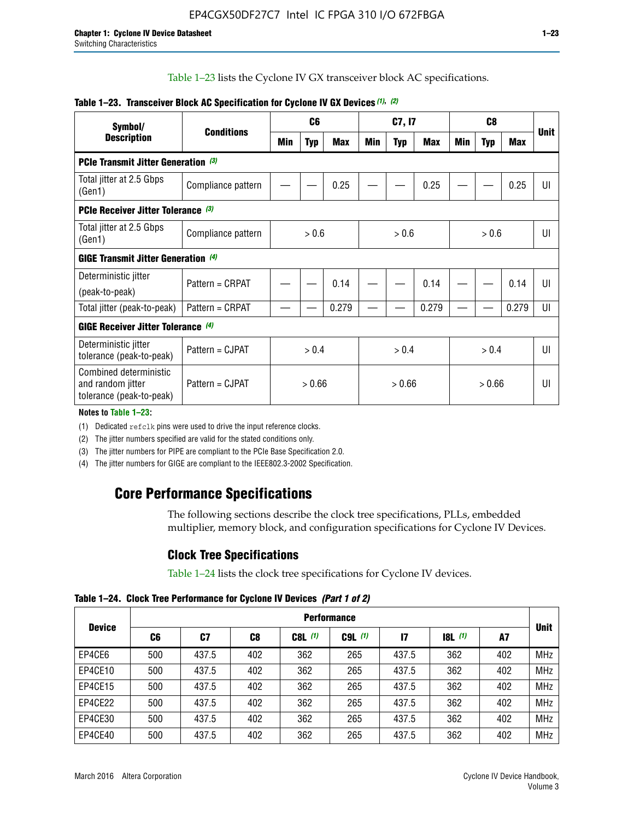Table 1–23 lists the Cyclone IV GX transceiver block AC specifications.

| Symbol/                                                                 | <b>Conditions</b>  |        | C <sub>6</sub> |            | C7, I7 |            |       | C <sub>8</sub> |            |                | <b>Unit</b> |
|-------------------------------------------------------------------------|--------------------|--------|----------------|------------|--------|------------|-------|----------------|------------|----------------|-------------|
| <b>Description</b>                                                      |                    | Min    | <b>Typ</b>     | <b>Max</b> | Min    | <b>Typ</b> | Max   | Min            | <b>Typ</b> | <b>Max</b>     |             |
| <b>PCIe Transmit Jitter Generation (3)</b>                              |                    |        |                |            |        |            |       |                |            |                |             |
| Total jitter at 2.5 Gbps<br>(Gen1)                                      | Compliance pattern |        |                | 0.25       |        |            | 0.25  |                |            | 0.25           | UI          |
| <b>PCIe Receiver Jitter Tolerance (3)</b>                               |                    |        |                |            |        |            |       |                |            |                |             |
| Total jitter at 2.5 Gbps<br>(Gen1)                                      | Compliance pattern | > 0.6  |                | > 0.6      |        | > 0.6      |       | UI             |            |                |             |
| <b>GIGE Transmit Jitter Generation (4)</b>                              |                    |        |                |            |        |            |       |                |            |                |             |
| Deterministic jitter                                                    | Pattern = CRPAT    |        |                | 0.14       |        |            | 0.14  |                |            | 0.14           | UI          |
| (peak-to-peak)                                                          |                    |        |                |            |        |            |       |                |            |                |             |
| Total jitter (peak-to-peak)                                             | Pattern = CRPAT    |        |                | 0.279      |        |            | 0.279 |                |            | 0.279          | UI          |
| <b>GIGE Receiver Jitter Tolerance</b> (4)                               |                    |        |                |            |        |            |       |                |            |                |             |
| Deterministic jitter<br>tolerance (peak-to-peak)                        | Pattern = CJPAT    | > 0.4  |                | > 0.4      |        |            | > 0.4 |                |            | $\mathsf{III}$ |             |
| Combined deterministic<br>and random jitter<br>tolerance (peak-to-peak) | Pattern = CJPAT    | > 0.66 |                | > 0.66     |        | > 0.66     |       | UI             |            |                |             |

# **Table 1–23. Transceiver Block AC Specification for Cyclone IV GX Devices** *(1)***,** *(2)*

**Notes to Table 1–23:**

(1) Dedicated refclk pins were used to drive the input reference clocks.

(2) The jitter numbers specified are valid for the stated conditions only.

(3) The jitter numbers for PIPE are compliant to the PCIe Base Specification 2.0.

(4) The jitter numbers for GIGE are compliant to the IEEE802.3-2002 Specification.

# **Core Performance Specifications**

The following sections describe the clock tree specifications, PLLs, embedded multiplier, memory block, and configuration specifications for Cyclone IV Devices.

# **Clock Tree Specifications**

Table 1–24 lists the clock tree specifications for Cyclone IV devices.

**Table 1–24. Clock Tree Performance for Cyclone IV Devices** *(Part 1 of 2)*

|               | <b>Performance</b> |       |                |           |             |       |                  |     |             |
|---------------|--------------------|-------|----------------|-----------|-------------|-------|------------------|-----|-------------|
| <b>Device</b> | C6                 | C7    | C <sub>8</sub> | $C8L$ (1) | $C9L$ $(1)$ | 17    | <b>18L</b> $(1)$ | A7  | <b>Unit</b> |
| EP4CE6        | 500                | 437.5 | 402            | 362       | 265         | 437.5 | 362              | 402 | <b>MHz</b>  |
| EP4CE10       | 500                | 437.5 | 402            | 362       | 265         | 437.5 | 362              | 402 | <b>MHz</b>  |
| EP4CE15       | 500                | 437.5 | 402            | 362       | 265         | 437.5 | 362              | 402 | <b>MHz</b>  |
| EP4CE22       | 500                | 437.5 | 402            | 362       | 265         | 437.5 | 362              | 402 | <b>MHz</b>  |
| EP4CE30       | 500                | 437.5 | 402            | 362       | 265         | 437.5 | 362              | 402 | <b>MHz</b>  |
| EP4CE40       | 500                | 437.5 | 402            | 362       | 265         | 437.5 | 362              | 402 | <b>MHz</b>  |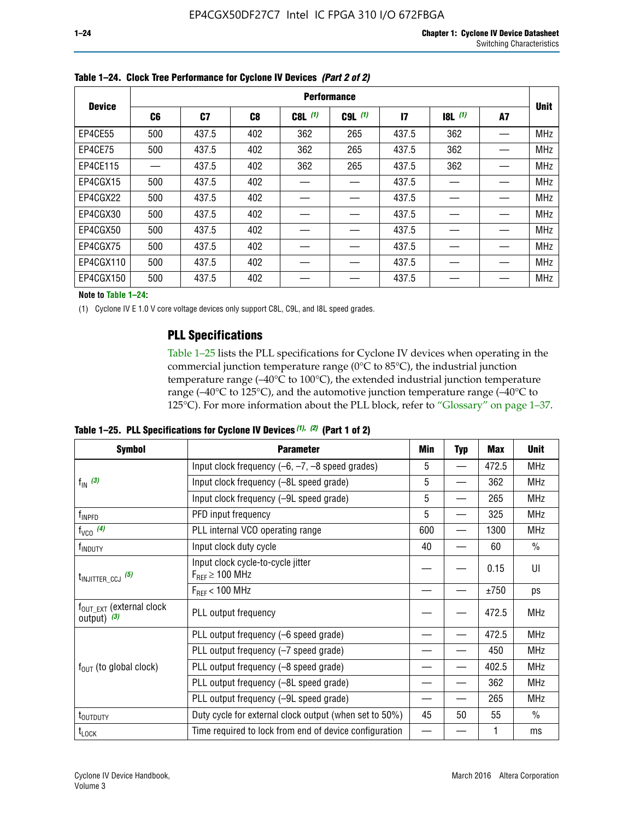|               | <b>Performance</b> |       |     |           |             |               |           |    |             |
|---------------|--------------------|-------|-----|-----------|-------------|---------------|-----------|----|-------------|
| <b>Device</b> | C6                 | C7    | C8  | $C8L$ (1) | $C9L$ $(1)$ | $\mathsf{I}7$ | $18L$ (1) | A7 | <b>Unit</b> |
| EP4CE55       | 500                | 437.5 | 402 | 362       | 265         | 437.5         | 362       |    | <b>MHz</b>  |
| EP4CE75       | 500                | 437.5 | 402 | 362       | 265         | 437.5         | 362       |    | <b>MHz</b>  |
| EP4CE115      |                    | 437.5 | 402 | 362       | 265         | 437.5         | 362       |    | <b>MHz</b>  |
| EP4CGX15      | 500                | 437.5 | 402 |           |             | 437.5         |           |    | <b>MHz</b>  |
| EP4CGX22      | 500                | 437.5 | 402 |           |             | 437.5         |           |    | <b>MHz</b>  |
| EP4CGX30      | 500                | 437.5 | 402 |           |             | 437.5         |           |    | <b>MHz</b>  |
| EP4CGX50      | 500                | 437.5 | 402 |           |             | 437.5         |           |    | <b>MHz</b>  |
| EP4CGX75      | 500                | 437.5 | 402 |           |             | 437.5         |           |    | <b>MHz</b>  |
| EP4CGX110     | 500                | 437.5 | 402 |           |             | 437.5         |           |    | <b>MHz</b>  |
| EP4CGX150     | 500                | 437.5 | 402 |           |             | 437.5         |           |    | <b>MHz</b>  |

**Table 1–24. Clock Tree Performance for Cyclone IV Devices** *(Part 2 of 2)*

**Note to Table 1–24:**

(1) Cyclone IV E 1.0 V core voltage devices only support C8L, C9L, and I8L speed grades.

# **PLL Specifications**

Table 1–25 lists the PLL specifications for Cyclone IV devices when operating in the commercial junction temperature range (0°C to 85°C), the industrial junction temperature range (–40°C to 100°C), the extended industrial junction temperature range (–40°C to 125°C), and the automotive junction temperature range (–40°C to 125°C). For more information about the PLL block, refer to "Glossary" on page 1–37.

|  |  | Table 1–25. PLL Specifications for Cyclone IV Devices $(1)$ , $(2)$ (Part 1 of 2) |  |
|--|--|-----------------------------------------------------------------------------------|--|
|--|--|-----------------------------------------------------------------------------------|--|

| <b>Symbol</b>                                          | <b>Parameter</b>                                            | Min | <b>Typ</b>               | <b>Max</b> | <b>Unit</b>   |
|--------------------------------------------------------|-------------------------------------------------------------|-----|--------------------------|------------|---------------|
|                                                        | Input clock frequency $(-6, -7, -8)$ speed grades)          | 5   | —                        | 472.5      | <b>MHz</b>    |
| $f_{\text{IN}}(3)$                                     | Input clock frequency (-8L speed grade)                     | 5   |                          | 362        | <b>MHz</b>    |
|                                                        | Input clock frequency (-9L speed grade)                     | 5   | $\overline{\phantom{0}}$ | 265        | <b>MHz</b>    |
| f <sub>INPFD</sub>                                     | PFD input frequency                                         | 5   | $\overline{\phantom{0}}$ | 325        | <b>MHz</b>    |
| $f_{VCO}$ (4)                                          | PLL internal VCO operating range                            | 600 | $\overline{\phantom{0}}$ | 1300       | <b>MHz</b>    |
| f <sub>INDUTY</sub>                                    | Input clock duty cycle                                      | 40  |                          | 60         | $\frac{0}{0}$ |
| $t_{\text{INJITTER\_CCJ}}$ (5)                         | Input clock cycle-to-cycle jitter<br>$F_{RFF} \geq 100$ MHz |     |                          | 0.15       | UI            |
|                                                        | $F_{RFF}$ < 100 MHz                                         |     |                          | ±750       | ps            |
| $f_{\text{OUT\_EXT}}$ (external clock<br>output) $(3)$ | PLL output frequency                                        |     |                          | 472.5      | <b>MHz</b>    |
|                                                        | PLL output frequency (-6 speed grade)                       |     |                          | 472.5      | <b>MHz</b>    |
|                                                        | PLL output frequency (-7 speed grade)                       |     |                          | 450        | <b>MHz</b>    |
| $f_{\text{OUT}}$ (to global clock)                     | PLL output frequency (-8 speed grade)                       |     |                          | 402.5      | <b>MHz</b>    |
|                                                        | PLL output frequency (-8L speed grade)                      |     |                          | 362        | <b>MHz</b>    |
|                                                        | PLL output frequency (-9L speed grade)                      |     |                          | 265        | <b>MHz</b>    |
| t <sub>outduty</sub>                                   | Duty cycle for external clock output (when set to 50%)      | 45  | 50                       | 55         | $\frac{0}{0}$ |
| $t_{\text{LOCK}}$                                      | Time required to lock from end of device configuration      |     |                          |            | ms            |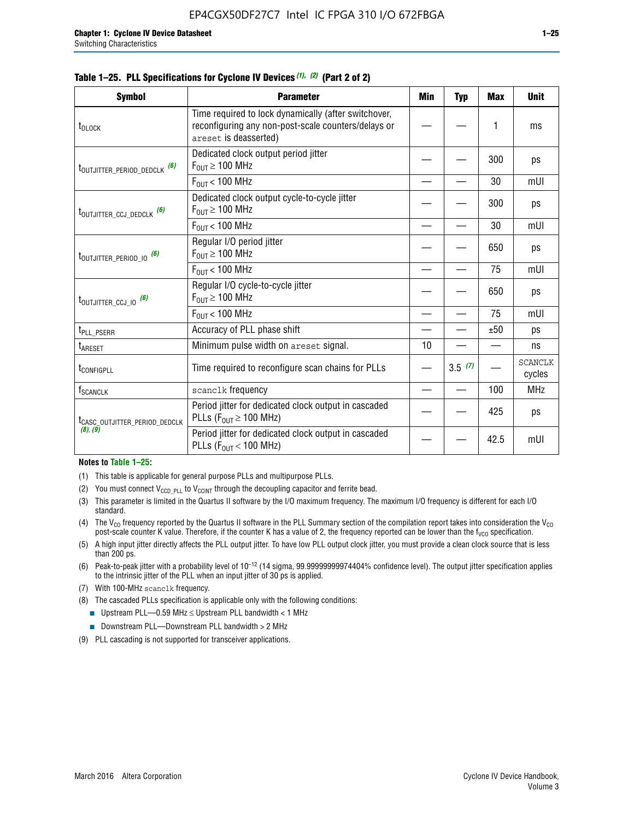|  |  | Table 1–25. PLL Specifications for Cyclone IV Devices $(1)$ , $(2)$ (Part 2 of 2) |  |
|--|--|-----------------------------------------------------------------------------------|--|
|--|--|-----------------------------------------------------------------------------------|--|

| <b>Symbol</b>                             | <b>Parameter</b>                                                                                                                     | Min | <b>Typ</b> | <b>Max</b> | <b>Unit</b>              |
|-------------------------------------------|--------------------------------------------------------------------------------------------------------------------------------------|-----|------------|------------|--------------------------|
| t <sub>DLOCK</sub>                        | Time required to lock dynamically (after switchover,<br>reconfiguring any non-post-scale counters/delays or<br>areset is deasserted) |     |            | 1          | ms                       |
| t <sub>outjitter_period_dedclk</sub> (6)  | Dedicated clock output period jitter<br>$F_{OIII} \geq 100$ MHz                                                                      |     |            | 300        | ps                       |
|                                           | $F_{OUT}$ < 100 MHz                                                                                                                  |     |            | 30         | mUI                      |
| t <sub>outjitter_ccj_dedclk</sub> (6)     | Dedicated clock output cycle-to-cycle jitter<br>$F_{OUT} \geq 100$ MHz                                                               |     |            | 300        | ps                       |
|                                           | $F_{OUT}$ < 100 MHz                                                                                                                  |     |            | 30         | mUI                      |
| t <sub>outjitter_period_io</sub> (6)      | Regular I/O period jitter<br>$F_{OIII} \geq 100$ MHz                                                                                 |     |            | 650        | ps                       |
|                                           | $F_{OUT}$ < 100 MHz                                                                                                                  |     |            | 75         | mUI                      |
| t <sub>outjitter_ccj_io</sub> (6)         | Regular I/O cycle-to-cycle jitter<br>$F_{OUT} \geq 100$ MHz                                                                          |     |            | 650        | ps                       |
|                                           | $F_{OUT}$ < 100 MHz                                                                                                                  |     |            | 75         | mUI                      |
| t <sub>PLL_PSERR</sub>                    | Accuracy of PLL phase shift                                                                                                          |     |            | ±50        | ps                       |
| <b>t</b> <sub>ARESET</sub>                | Minimum pulse width on areset signal.                                                                                                | 10  |            |            | ns                       |
| t <sub>configpll</sub>                    | Time required to reconfigure scan chains for PLLs                                                                                    |     | 3.5(7)     |            | <b>SCANCLK</b><br>cycles |
| f <sub>SCANCLK</sub>                      | scanclk frequency                                                                                                                    |     |            | 100        | <b>MHz</b>               |
| t <sub>CASC_OUTJITTER_PERIOD_DEDCLK</sub> | Period jitter for dedicated clock output in cascaded<br>PLLs ( $F_{OUT} \ge 100$ MHz)                                                |     |            | 425        | ps                       |
| (8), (9)                                  | Period jitter for dedicated clock output in cascaded<br>PLLs ( $F_{OUT}$ < 100 MHz)                                                  |     |            | 42.5       | mUI                      |

#### **Notes to Table 1–25:**

- (1) This table is applicable for general purpose PLLs and multipurpose PLLs.
- (2) You must connect  $V_{CCD-PLL}$  to  $V_{CCINT}$  through the decoupling capacitor and ferrite bead.
- (3) This parameter is limited in the Quartus II software by the I/O maximum frequency. The maximum I/O frequency is different for each I/O standard.
- (4) The  $V_{CO}$  frequency reported by the Quartus II software in the PLL Summary section of the compilation report takes into consideration the  $V_{CO}$ post-scale counter K value. Therefore, if the counter K has a value of 2, the frequency reported can be lower than the f<sub>VCO</sub> specification.
- (5) A high input jitter directly affects the PLL output jitter. To have low PLL output clock jitter, you must provide a clean clock source that is less than 200 ps.
- (6) Peak-to-peak jitter with a probability level of 10–12 (14 sigma, 99.99999999974404% confidence level). The output jitter specification applies to the intrinsic jitter of the PLL when an input jitter of 30 ps is applied.
- (7) With 100-MHz scanclk frequency.
- (8) The cascaded PLLs specification is applicable only with the following conditions:
	- **■** Upstream PLL—0.59 MHz  $\leq$  Upstream PLL bandwidth  $<$  1 MHz
	- Downstream PLL—Downstream PLL bandwidth > 2 MHz
- (9) PLL cascading is not supported for transceiver applications.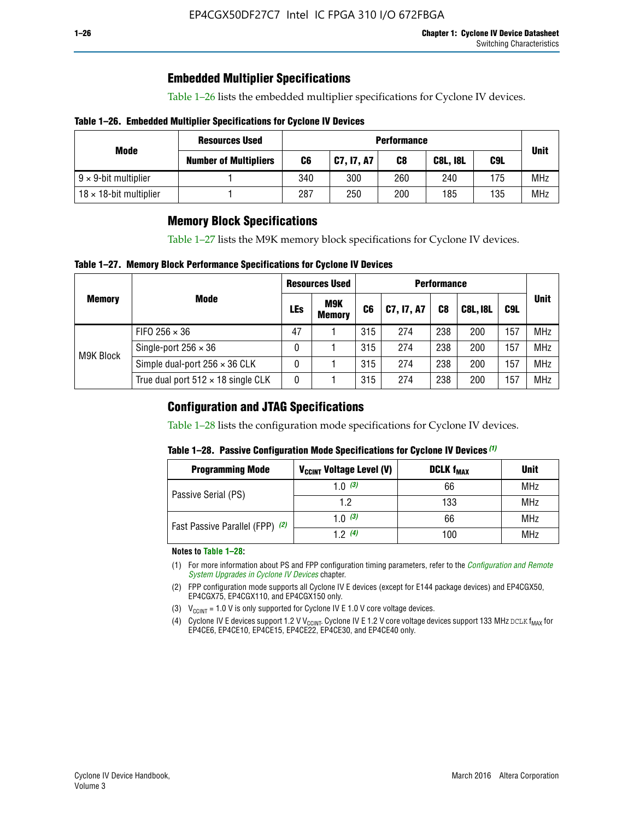# **Embedded Multiplier Specifications**

Table 1–26 lists the embedded multiplier specifications for Cyclone IV devices.

### **Table 1–26. Embedded Multiplier Specifications for Cyclone IV Devices**

|                                | <b>Resources Used</b>        | <b>Performance</b> |            |     |                 |     |             |
|--------------------------------|------------------------------|--------------------|------------|-----|-----------------|-----|-------------|
| Mode                           | <b>Number of Multipliers</b> | C6                 | C7, I7, A7 | C8  | <b>C8L, I8L</b> | C9L | <b>Unit</b> |
| $9 \times 9$ -bit multiplier   |                              | 340                | 300        | 260 | 240             | 175 | <b>MHz</b>  |
| $18 \times 18$ -bit multiplier |                              | 287                | 250        | 200 | 185             | 135 | <b>MHz</b>  |

# **Memory Block Specifications**

Table 1–27 lists the M9K memory block specifications for Cyclone IV devices.

### **Table 1–27. Memory Block Performance Specifications for Cyclone IV Devices**

|               |                                           | <b>Resources Used</b> |                             | <b>Performance</b> |            |                |                 |     |             |
|---------------|-------------------------------------------|-----------------------|-----------------------------|--------------------|------------|----------------|-----------------|-----|-------------|
| <b>Memory</b> | <b>Mode</b>                               | LEs                   | <b>M9K</b><br><b>Memory</b> | C <sub>6</sub>     | C7, I7, A7 | C <sub>8</sub> | <b>C8L, I8L</b> | C9L | <b>Unit</b> |
|               | FIFO 256 $\times$ 36                      | 47                    |                             | 315                | 274        | 238            | 200             | 157 | <b>MHz</b>  |
| M9K Block     | Single-port $256 \times 36$               | 0                     |                             | 315                | 274        | 238            | 200             | 157 | <b>MHz</b>  |
|               | Simple dual-port $256 \times 36$ CLK      | 0                     |                             | 315                | 274        | 238            | 200             | 157 | <b>MHz</b>  |
|               | True dual port $512 \times 18$ single CLK | 0                     |                             | 315                | 274        | 238            | 200             | 157 | <b>MHz</b>  |

# **Configuration and JTAG Specifications**

Table 1–28 lists the configuration mode specifications for Cyclone IV devices.

### **Table 1–28. Passive Configuration Mode Specifications for Cyclone IV Devices** *(1)*

| <b>Programming Mode</b>         | V <sub>CCINT</sub> Voltage Level (V) | <b>DCLK f<sub>MAX</sub></b> | <b>Unit</b> |
|---------------------------------|--------------------------------------|-----------------------------|-------------|
| Passive Serial (PS)             | 1.0 $(3)$                            | 66                          | MHz         |
|                                 | 1.2                                  | 133                         | MHz         |
| Fast Passive Parallel (FPP) (2) | 1.0 $(3)$                            | 66                          | <b>MHz</b>  |
|                                 | 12(4)                                | 100                         | <b>MHz</b>  |

#### **Notes to Table 1–28:**

- (1) For more information about PS and FPP configuration timing parameters, refer to the *[Configuration and Remote](http://www.altera.com/literature/hb/cyclone-iv/cyiv-51008.pdf)  [System Upgrades in Cyclone IV Devices](http://www.altera.com/literature/hb/cyclone-iv/cyiv-51008.pdf)* chapter.
- (2) FPP configuration mode supports all Cyclone IV E devices (except for E144 package devices) and EP4CGX50, EP4CGX75, EP4CGX110, and EP4CGX150 only.
- (3)  $V_{CCMT}$  = 1.0 V is only supported for Cyclone IV E 1.0 V core voltage devices.
- (4) Cyclone IV E devices support 1.2 V V<sub>CCINT</sub>. Cyclone IV E 1.2 V core voltage devices support 133 MHz DCLK f<sub>MAX</sub> for EP4CE6, EP4CE10, EP4CE15, EP4CE22, EP4CE30, and EP4CE40 only.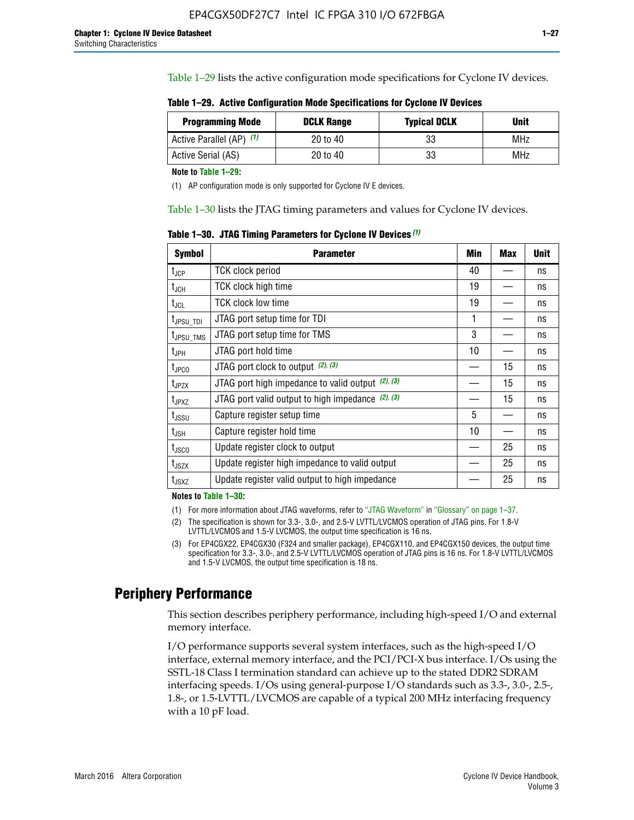Table 1–29 lists the active configuration mode specifications for Cyclone IV devices.

**Table 1–29. Active Configuration Mode Specifications for Cyclone IV Devices**

| <b>Programming Mode</b>  | <b>DCLK Range</b> | <b>Typical DCLK</b> | Unit |
|--------------------------|-------------------|---------------------|------|
| Active Parallel (AP) (1) | 20 to 40          | 33                  | MHz  |
| Active Serial (AS)       | 20 to 40          | 33                  | MHz  |

**Note to Table 1–29:**

(1) AP configuration mode is only supported for Cyclone IV E devices.

Table 1–30 lists the JTAG timing parameters and values for Cyclone IV devices.

**Table 1–30. JTAG Timing Parameters for Cyclone IV Devices** *(1)*

| <b>Symbol</b>         | <b>Parameter</b>                                       | Min | <b>Max</b> | <b>Unit</b> |
|-----------------------|--------------------------------------------------------|-----|------------|-------------|
| $t_{JCP}$             | <b>TCK clock period</b>                                | 40  |            | ns          |
| $t_{\rm JCH}$         | TCK clock high time                                    | 19  |            | ns          |
| $t_{JCL}$             | TCK clock low time                                     | 19  |            | ns          |
| t <sub>JPSU_TDI</sub> | JTAG port setup time for TDI                           | 1   |            | ns          |
| t <sub>JPSU_TMS</sub> | JTAG port setup time for TMS                           | 3   |            | ns          |
| t <sub>JPH</sub>      | JTAG port hold time                                    | 10  |            | ns          |
| t <sub>JPCO</sub>     | JTAG port clock to output (2), (3)                     |     | 15         | ns          |
| $t_{JPZX}$            | JTAG port high impedance to valid output $(2)$ , $(3)$ |     | 15         | ns          |
| t <sub>JPXZ</sub>     | JTAG port valid output to high impedance $(2)$ , $(3)$ |     | 15         | ns          |
| $t_{\rm JSSU}$        | Capture register setup time                            | 5   |            | ns          |
| $t_{\mathsf{JSH}}$    | Capture register hold time                             | 10  |            | ns          |
| $t_{\rm JSCO}$        | Update register clock to output                        |     | 25         | ns          |
| $t_{\text{JSZX}}$     | Update register high impedance to valid output         |     | 25         | ns          |
| $t_{JSXZ}$            | Update register valid output to high impedance         |     | 25         | ns          |

**Notes to Table 1–30:**

(1) For more information about JTAG waveforms, refer to "JTAG Waveform" in "Glossary" on page 1–37.

(2) The specification is shown for 3.3-, 3.0-, and 2.5-V LVTTL/LVCMOS operation of JTAG pins. For 1.8-V LVTTL/LVCMOS and 1.5-V LVCMOS, the output time specification is 16 ns.

(3) For EP4CGX22, EP4CGX30 (F324 and smaller package), EP4CGX110, and EP4CGX150 devices, the output time specification for 3.3-, 3.0-, and 2.5-V LVTTL/LVCMOS operation of JTAG pins is 16 ns. For 1.8-V LVTTL/LVCMOS and 1.5-V LVCMOS, the output time specification is 18 ns.

# **Periphery Performance**

This section describes periphery performance, including high-speed I/O and external memory interface.

I/O performance supports several system interfaces, such as the high-speed I/O interface, external memory interface, and the PCI/PCI-X bus interface. I/Os using the SSTL-18 Class I termination standard can achieve up to the stated DDR2 SDRAM interfacing speeds. I/Os using general-purpose I/O standards such as 3.3-, 3.0-, 2.5-, 1.8-, or 1.5-LVTTL/LVCMOS are capable of a typical 200 MHz interfacing frequency with a 10 pF load.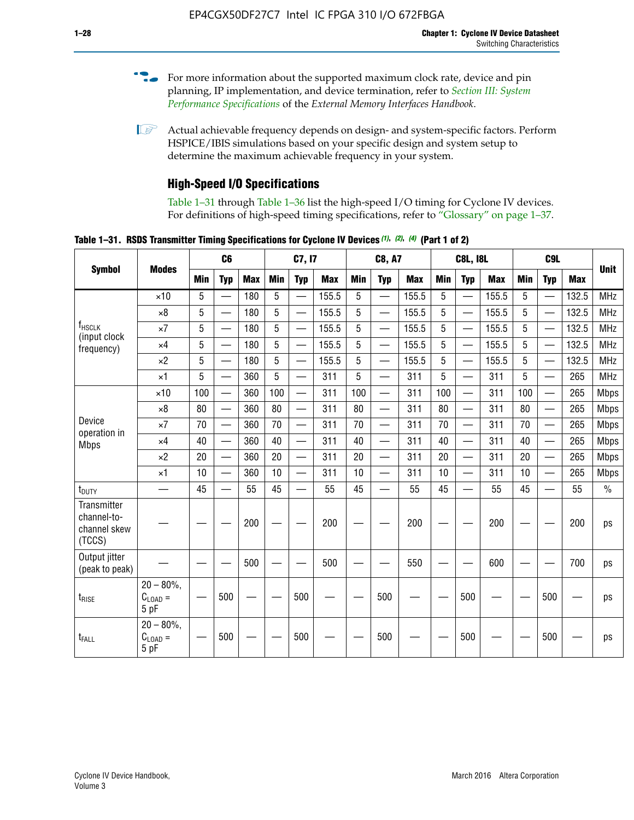- For more information about the supported maximum clock rate, device and pin planning, IP implementation, and device termination, refer to *[Section III: System](http://www.altera.com/literature/hb/external-memory/emi_intro_specs.pdf)  [Performance Specifications](http://www.altera.com/literature/hb/external-memory/emi_intro_specs.pdf)* of the *External Memory Interfaces Handbook*.
- **1 Actual achievable frequency depends on design- and system-specific factors. Perform** HSPICE/IBIS simulations based on your specific design and system setup to determine the maximum achievable frequency in your system.

# **High-Speed I/O Specifications**

Table 1–31 through Table 1–36 list the high-speed I/O timing for Cyclone IV devices. For definitions of high-speed timing specifications, refer to "Glossary" on page 1–37.

**Table 1–31. RSDS Transmitter Timing Specifications for Cyclone IV Devices** *(1)***,** *(2)***,** *(4)* **(Part 1 of 2)**

| <b>Symbol</b>                                        |                                            |            | C <sub>6</sub>           |            |            | C7, I7                   |            |            | <b>C8, A7</b>            |            |     | <b>C8L, I8L</b>          |            |     | C <sub>9</sub> L         |            |             |
|------------------------------------------------------|--------------------------------------------|------------|--------------------------|------------|------------|--------------------------|------------|------------|--------------------------|------------|-----|--------------------------|------------|-----|--------------------------|------------|-------------|
|                                                      | <b>Modes</b>                               | <b>Min</b> | <b>Typ</b>               | <b>Max</b> | <b>Min</b> | <b>Typ</b>               | <b>Max</b> | <b>Min</b> | <b>Typ</b>               | <b>Max</b> | Min | <b>Typ</b>               | <b>Max</b> | Min | <b>Typ</b>               | <b>Max</b> | <b>Unit</b> |
|                                                      | $\times$ 10                                | 5          | $\overline{\phantom{0}}$ | 180        | 5          |                          | 155.5      | 5          | —                        | 155.5      | 5   |                          | 155.5      | 5   |                          | 132.5      | <b>MHz</b>  |
|                                                      | $\times$ 8                                 | 5          | $\overline{\phantom{0}}$ | 180        | 5          |                          | 155.5      | 5          | $\overline{\phantom{0}}$ | 155.5      | 5   |                          | 155.5      | 5   |                          | 132.5      | <b>MHz</b>  |
| f <sub>HSCLK</sub><br>(input clock                   | $\times 7$                                 | 5          | $\overline{\phantom{0}}$ | 180        | 5          |                          | 155.5      | 5          | $\overline{\phantom{0}}$ | 155.5      | 5   |                          | 155.5      | 5   |                          | 132.5      | <b>MHz</b>  |
| frequency)                                           | $\times$ 4                                 | 5          | $\overline{\phantom{0}}$ | 180        | 5          | —                        | 155.5      | 5          |                          | 155.5      | 5   | $\overline{\phantom{0}}$ | 155.5      | 5   | <u>—</u>                 | 132.5      | <b>MHz</b>  |
|                                                      | $\times 2$                                 | 5          |                          | 180        | 5          | $\overline{\phantom{0}}$ | 155.5      | 5          | $\overline{\phantom{0}}$ | 155.5      | 5   | $\overline{\phantom{0}}$ | 155.5      | 5   | —                        | 132.5      | <b>MHz</b>  |
|                                                      | $\times$ 1                                 | 5          |                          | 360        | 5          | <u>e a</u>               | 311        | 5          | $\overline{\phantom{0}}$ | 311        | 5   | $\overline{\phantom{0}}$ | 311        | 5   | $\overline{\phantom{0}}$ | 265        | <b>MHz</b>  |
|                                                      | $\times$ 10                                | 100        | $\overline{\phantom{0}}$ | 360        | 100        |                          | 311        | 100        | $\overline{\phantom{0}}$ | 311        | 100 | $\overline{\phantom{0}}$ | 311        | 100 |                          | 265        | <b>Mbps</b> |
|                                                      | $\times 8$                                 | 80         |                          | 360        | 80         |                          | 311        | 80         | $\overline{\phantom{0}}$ | 311        | 80  | $\overline{\phantom{0}}$ | 311        | 80  | $\overline{\phantom{0}}$ | 265        | <b>Mbps</b> |
| Device                                               | $\times 7$                                 | 70         |                          | 360        | 70         |                          | 311        | 70         | $\overline{\phantom{0}}$ | 311        | 70  | $\qquad \qquad -$        | 311        | 70  | $\overline{\phantom{0}}$ | 265        | <b>Mbps</b> |
| operation in<br><b>Mbps</b>                          | $\times$ 4                                 | 40         |                          | 360        | 40         |                          | 311        | 40         | $\overline{\phantom{0}}$ | 311        | 40  | $\overline{\phantom{0}}$ | 311        | 40  | $\overline{\phantom{0}}$ | 265        | <b>Mbps</b> |
|                                                      | $\times 2$                                 | 20         |                          | 360        | 20         | $\equiv$                 | 311        | 20         | $\overline{\phantom{0}}$ | 311        | 20  | $\overline{\phantom{0}}$ | 311        | 20  | $\overline{\phantom{0}}$ | 265        | <b>Mbps</b> |
|                                                      | $\times$ 1                                 | 10         |                          | 360        | 10         |                          | 311        | 10         | $\overline{\phantom{0}}$ | 311        | 10  | $\overline{\phantom{0}}$ | 311        | 10  |                          | 265        | <b>Mbps</b> |
| $t_{\text{DUTY}}$                                    | $\overline{\phantom{0}}$                   | 45         |                          | 55         | 45         |                          | 55         | 45         | $\overline{\phantom{0}}$ | 55         | 45  | —                        | 55         | 45  |                          | 55         | $\%$        |
| Transmitter<br>channel-to-<br>channel skew<br>(TCCS) |                                            |            |                          | 200        |            |                          | 200        |            |                          | 200        |     |                          | 200        |     |                          | 200        | ps          |
| Output jitter<br>(peak to peak)                      |                                            |            |                          | 500        |            |                          | 500        |            |                          | 550        |     |                          | 600        |     |                          | 700        | ps          |
| t <sub>rise</sub>                                    | $20 - 80\%$<br>$C_{\text{LOAD}} =$<br>5 pF |            | 500                      |            |            | 500                      |            |            | 500                      |            |     | 500                      |            |     | 500                      |            | ps          |
| t <sub>FALL</sub>                                    | $20 - 80\%$<br>$C_{LOAD} =$<br>5 pF        |            | 500                      |            |            | 500                      |            |            | 500                      |            |     | 500                      |            |     | 500                      |            | ps          |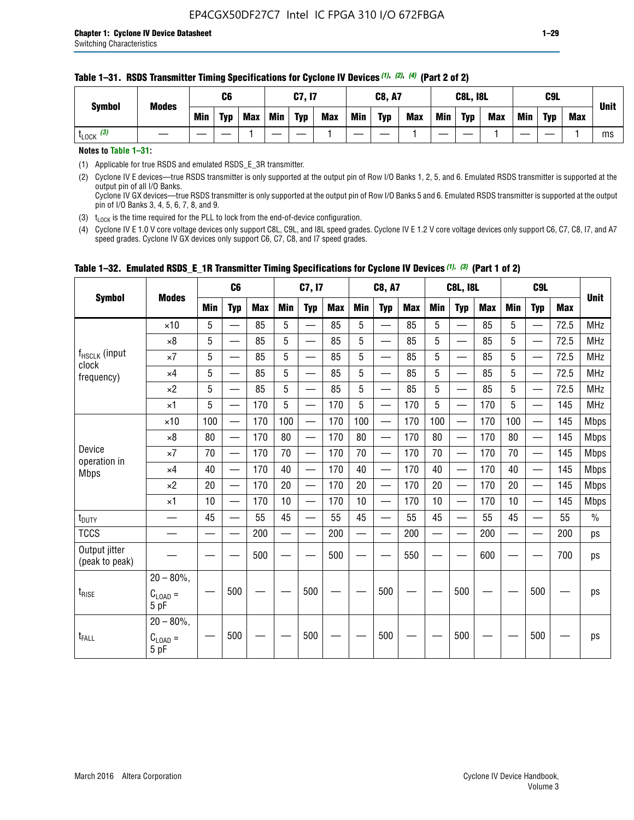#### **Table 1–31. RSDS Transmitter Timing Specifications for Cyclone IV Devices** *(1)***,** *(2)***,** *(4)* **(Part 2 of 2)**

**Notes to Table 1–31:**

(1) Applicable for true RSDS and emulated RSDS\_E\_3R transmitter.

(2) Cyclone IV E devices—true RSDS transmitter is only supported at the output pin of Row I/O Banks 1, 2, 5, and 6. Emulated RSDS transmitter is supported at the output pin of all I/O Banks. Cyclone IV GX devices—true RSDS transmitter is only supported at the output pin of Row I/O Banks 5 and 6. Emulated RSDS transmitter is supported at the output

pin of I/O Banks 3, 4, 5, 6, 7, 8, and 9.

(3)  $t_{\text{LOCK}}$  is the time required for the PLL to lock from the end-of-device configuration.

(4) Cyclone IV E 1.0 V core voltage devices only support C8L, C9L, and I8L speed grades. Cyclone IV E 1.2 V core voltage devices only support C6, C7, C8, I7, and A7 speed grades. Cyclone IV GX devices only support C6, C7, C8, and I7 speed grades.

| <b>Symbol</b>                   |                                              |     | C <sub>6</sub>           |     |     | C7, I7                   |            |            | <b>C8, A7</b>            |            |            | <b>C8L, I8L</b>          |            |     | C <sub>9</sub> L         |            |               |
|---------------------------------|----------------------------------------------|-----|--------------------------|-----|-----|--------------------------|------------|------------|--------------------------|------------|------------|--------------------------|------------|-----|--------------------------|------------|---------------|
|                                 | <b>Modes</b>                                 | Min | <b>Typ</b>               | Max | Min | <b>Typ</b>               | <b>Max</b> | <b>Min</b> | <b>Typ</b>               | <b>Max</b> | <b>Min</b> | <b>Typ</b>               | <b>Max</b> | Min | <b>Typ</b>               | <b>Max</b> | <b>Unit</b>   |
|                                 | $\times$ 10                                  | 5   |                          | 85  | 5   |                          | 85         | 5          |                          | 85         | 5          |                          | 85         | 5   |                          | 72.5       | <b>MHz</b>    |
|                                 | $\times 8$                                   | 5   | —                        | 85  | 5   | —                        | 85         | 5          | $\qquad \qquad$          | 85         | 5          | —                        | 85         | 5   | —                        | 72.5       | <b>MHz</b>    |
| f <sub>HSCLK</sub> (input       | $\times 7$                                   | 5   | —                        | 85  | 5   |                          | 85         | 5          | $\overline{\phantom{0}}$ | 85         | 5          | —                        | 85         | 5   | —<br>—                   | 72.5       | <b>MHz</b>    |
| clock<br>frequency)             | $\times$ 4                                   | 5   | $\overline{\phantom{0}}$ | 85  | 5   | $\sim$                   | 85         | 5          | $\overline{\phantom{0}}$ | 85         | 5          | $\overline{\phantom{0}}$ | 85         | 5   | $\overline{\phantom{0}}$ | 72.5       | <b>MHz</b>    |
|                                 | $\times 2$                                   | 5   | —                        | 85  | 5   | —                        | 85         | 5          |                          | 85         | 5          | —                        | 85         | 5   | $\hspace{0.05cm}$        | 72.5       | <b>MHz</b>    |
|                                 | $\times$ 1                                   | 5   | $\overline{\phantom{0}}$ | 170 | 5   | $\overline{\phantom{0}}$ | 170        | 5          | $\overline{\phantom{0}}$ | 170        | 5          | $\overline{\phantom{0}}$ | 170        | 5   |                          | 145        | <b>MHz</b>    |
|                                 | $\times$ 10                                  | 100 | $\equiv$                 | 170 | 100 | $\overline{\phantom{0}}$ | 170        | 100        | $\overline{\phantom{0}}$ | 170        | 100        | $\overline{\phantom{0}}$ | 170        | 100 |                          | 145        | <b>Mbps</b>   |
|                                 | $\times 8$                                   | 80  | $\qquad \qquad$          | 170 | 80  | —                        | 170        | 80         | —                        | 170        | 80         | $\overline{\phantom{0}}$ | 170        | 80  |                          | 145        | <b>Mbps</b>   |
| Device                          | $\times 7$                                   | 70  | $\overline{\phantom{0}}$ | 170 | 70  | $\overline{\phantom{0}}$ | 170        | 70         | $\overline{\phantom{0}}$ | 170        | 70         | $\overline{\phantom{0}}$ | 170        | 70  |                          | 145        | <b>Mbps</b>   |
| operation in<br><b>Mbps</b>     | $\times$ 4                                   | 40  | $\qquad \qquad$          | 170 | 40  | —                        | 170        | 40         | $\overline{\phantom{0}}$ | 170        | 40         | $\overline{\phantom{0}}$ | 170        | 40  | —                        | 145        | <b>Mbps</b>   |
|                                 | $\times 2$                                   | 20  | $\overline{\phantom{0}}$ | 170 | 20  | $\overline{\phantom{0}}$ | 170        | 20         | $\overline{\phantom{0}}$ | 170        | 20         |                          | 170        | 20  | $\overline{\phantom{0}}$ | 145        | <b>Mbps</b>   |
|                                 | $\times$ 1                                   | 10  | $\overline{\phantom{0}}$ | 170 | 10  | $\overline{\phantom{0}}$ | 170        | 10         | $\overline{\phantom{0}}$ | 170        | 10         | $\overline{\phantom{0}}$ | 170        | 10  |                          | 145        | <b>Mbps</b>   |
| t <sub>DUTY</sub>               | $\overline{\phantom{0}}$                     | 45  | $\equiv$                 | 55  | 45  | $\sim$                   | 55         | 45         | $\overline{\phantom{0}}$ | 55         | 45         | $\overline{\phantom{0}}$ | 55         | 45  |                          | 55         | $\frac{0}{0}$ |
| <b>TCCS</b>                     |                                              |     |                          | 200 |     |                          | 200        | $\sim$     |                          | 200        |            | <u>—</u>                 | 200        |     |                          | 200        | ps            |
| Output jitter<br>(peak to peak) |                                              |     |                          | 500 |     |                          | 500        |            |                          | 550        |            |                          | 600        |     |                          | 700        | ps            |
| $t_{\text{RISE}}$               | $20 - 80\%$ ,<br>$C_{LOAD} =$<br>5 pF        |     | 500                      |     |     | 500                      |            |            | 500                      |            |            | 500                      |            |     | 500                      |            | ps            |
| t <sub>FALL</sub>               | $20 - 80\%$ ,<br>$C_{\text{LOAD}} =$<br>5 pF |     | 500                      |     |     | 500                      |            |            | 500                      |            |            | 500                      |            |     | 500                      |            | ps            |

# **Table 1–32. Emulated RSDS\_E\_1R Transmitter Timing Specifications for Cyclone IV Devices** *(1), (3)* **(Part 1 of 2)**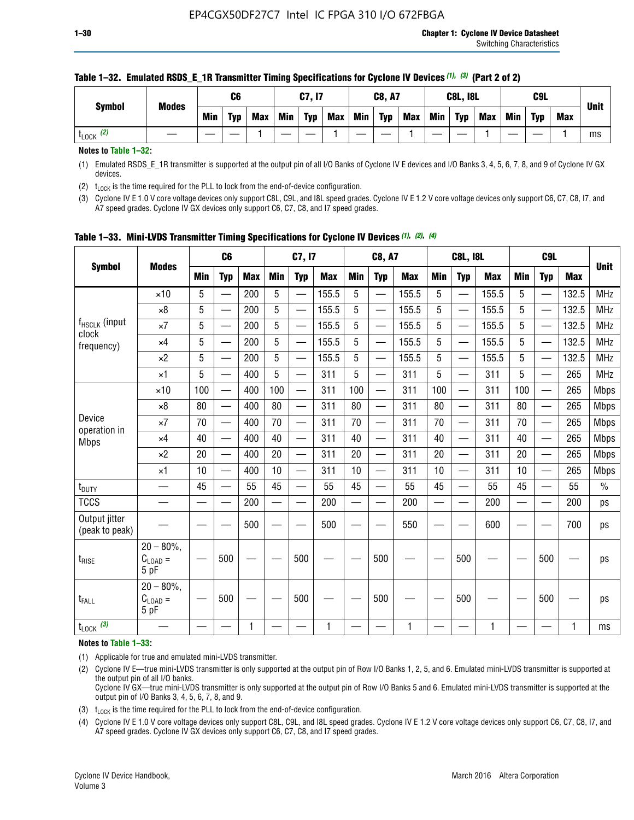|                      | <b>Modes</b> |     | C6         |            |            | C7, I7     |            |            | <b>C8, A7</b> |            |            | <b>C8L, I8L</b> |            |     | C <sub>9</sub> L |     | <b>Unit</b> |
|----------------------|--------------|-----|------------|------------|------------|------------|------------|------------|---------------|------------|------------|-----------------|------------|-----|------------------|-----|-------------|
| <b>Symbol</b>        |              | Min | <b>Typ</b> | <b>Max</b> | <b>Min</b> | <b>Typ</b> | <b>Max</b> | <b>Min</b> | <b>Typ</b>    | <b>Max</b> | <b>Min</b> | <b>Typ</b>      | <b>Max</b> | Min | <b>Typ</b>       | Max |             |
| (2)<br><b>L</b> LOCK |              |     |            |            |            |            |            |            |               |            |            |                 |            |     |                  |     | ms          |

### **Table 1–32. Emulated RSDS\_E\_1R Transmitter Timing Specifications for Cyclone IV Devices** *(1), (3)* **(Part 2 of 2)**

**Notes to Table 1–32:**

(1) Emulated RSDS\_E\_1R transmitter is supported at the output pin of all I/O Banks of Cyclone IV E devices and I/O Banks 3, 4, 5, 6, 7, 8, and 9 of Cyclone IV GX devices.

(2)  $t_{\text{LOCK}}$  is the time required for the PLL to lock from the end-of-device configuration.

(3) Cyclone IV E 1.0 V core voltage devices only support C8L, C9L, and I8L speed grades. Cyclone IV E 1.2 V core voltage devices only support C6, C7, C8, I7, and A7 speed grades. Cyclone IV GX devices only support C6, C7, C8, and I7 speed grades.

| <b>Symbol</b>                      |                                            |            | C <sub>6</sub>           |            |                          | C7, I7                   |            |            | <b>C8, A7</b>            |            |            | <b>C8L, I8L</b>          |            |            | C <sub>9</sub> L |            |               |
|------------------------------------|--------------------------------------------|------------|--------------------------|------------|--------------------------|--------------------------|------------|------------|--------------------------|------------|------------|--------------------------|------------|------------|------------------|------------|---------------|
|                                    | <b>Modes</b>                               | <b>Min</b> | <b>Typ</b>               | <b>Max</b> | <b>Min</b>               | <b>Typ</b>               | <b>Max</b> | <b>Min</b> | <b>Typ</b>               | <b>Max</b> | <b>Min</b> | <b>Typ</b>               | <b>Max</b> | <b>Min</b> | <b>Typ</b>       | <b>Max</b> | <b>Unit</b>   |
|                                    | $\times$ 10                                | 5          |                          | 200        | 5                        |                          | 155.5      | 5          | ÷,                       | 155.5      | 5          |                          | 155.5      | 5          |                  | 132.5      | <b>MHz</b>    |
|                                    | $\times 8$                                 | 5          | $\overline{\phantom{0}}$ | 200        | 5                        | <u>—</u>                 | 155.5      | 5          | $\overline{\phantom{0}}$ | 155.5      | 5          | $\overline{\phantom{0}}$ | 155.5      | 5          |                  | 132.5      | <b>MHz</b>    |
| f <sub>HSCLK</sub> (input<br>clock | $\times 7$                                 | 5          | $\qquad \qquad$          | 200        | 5                        | —                        | 155.5      | 5          | —<br>——                  | 155.5      | 5          |                          | 155.5      | 5          |                  | 132.5      | <b>MHz</b>    |
| frequency)                         | $\times$ 4                                 | 5          | $\overline{\phantom{0}}$ | 200        | 5                        | —                        | 155.5      | 5          | $\overline{\phantom{0}}$ | 155.5      | 5          |                          | 155.5      | 5          | —                | 132.5      | <b>MHz</b>    |
|                                    | $\times 2$                                 | 5          | $\overline{\phantom{0}}$ | 200        | 5                        | —                        | 155.5      | 5          | $\overline{\phantom{0}}$ | 155.5      | 5          | $\overline{\phantom{0}}$ | 155.5      | 5          |                  | 132.5      | <b>MHz</b>    |
|                                    | $\times$ 1                                 | 5          | $\overline{\phantom{0}}$ | 400        | 5                        | —                        | 311        | 5          | —                        | 311        | 5          | $\overline{\phantom{0}}$ | 311        | 5          |                  | 265        | <b>MHz</b>    |
|                                    | $\times$ 10                                | 100        | $\overline{\phantom{0}}$ | 400        | 100                      | $\overline{\phantom{0}}$ | 311        | 100        | $\overline{\phantom{0}}$ | 311        | 100        | $\overline{\phantom{0}}$ | 311        | 100        |                  | 265        | <b>Mbps</b>   |
|                                    | $\times 8$                                 | 80         | $\overline{\phantom{0}}$ | 400        | 80                       | $\overline{\phantom{0}}$ | 311        | 80         | $\overline{\phantom{0}}$ | 311        | 80         | $\overline{\phantom{0}}$ | 311        | 80         |                  | 265        | <b>Mbps</b>   |
| Device                             | $\times 7$                                 | 70         | $\overline{\phantom{0}}$ | 400        | 70                       | $\overline{\phantom{0}}$ | 311        | 70         | $\equiv$                 | 311        | 70         | —                        | 311        | 70         |                  | 265        | <b>Mbps</b>   |
| operation in<br><b>Mbps</b>        | $\times$ 4                                 | 40         |                          | 400        | 40                       |                          | 311        | 40         | $\overline{\phantom{0}}$ | 311        | 40         |                          | 311        | 40         |                  | 265        | <b>Mbps</b>   |
|                                    | $\times 2$                                 | 20         | $\overline{\phantom{0}}$ | 400        | 20                       | —                        | 311        | 20         | $\overline{\phantom{0}}$ | 311        | 20         | $\overline{\phantom{0}}$ | 311        | 20         |                  | 265        | <b>Mbps</b>   |
|                                    | ×1                                         | 10         | $\overline{\phantom{0}}$ | 400        | 10                       | $\overline{\phantom{0}}$ | 311        | 10         | $\overline{\phantom{0}}$ | 311        | 10         | $\overline{\phantom{0}}$ | 311        | 10         |                  | 265        | <b>Mbps</b>   |
| t <sub>DUTY</sub>                  |                                            | 45         |                          | 55         | 45                       |                          | 55         | 45         | —                        | 55         | 45         | —                        | 55         | 45         |                  | 55         | $\frac{0}{0}$ |
| <b>TCCS</b>                        |                                            |            |                          | 200        | $\overline{\phantom{0}}$ | —                        | 200        | —          | $\overline{\phantom{0}}$ | 200        |            | —                        | 200        | —          |                  | 200        | ps            |
| Output jitter<br>(peak to peak)    |                                            |            |                          | 500        |                          |                          | 500        |            |                          | 550        |            |                          | 600        |            |                  | 700        | ps            |
| $t_{\text{RISE}}$                  | $20 - 80\%$<br>$C_{LOAD} =$<br>5 pF        |            | 500                      |            |                          | 500                      |            |            | 500                      |            |            | 500                      |            |            | 500              |            | ps            |
| t <sub>FALL</sub>                  | $20 - 80\%$<br>$C_{\text{LOAD}} =$<br>5 pF |            | 500                      |            |                          | 500                      |            |            | 500                      |            |            | 500                      |            |            | 500              |            | ps            |
| $t_{\text{LOCK}}$ (3)              |                                            |            |                          | 1          |                          |                          | 1          |            |                          | 1          |            |                          | 1          |            |                  | 1          | ms            |

**Table 1–33. Mini-LVDS Transmitter Timing Specifications for Cyclone IV Devices** *(1)***,** *(2)***,** *(4)*

**Notes to Table 1–33:**

(1) Applicable for true and emulated mini-LVDS transmitter.

(2) Cyclone IV E—true mini-LVDS transmitter is only supported at the output pin of Row I/O Banks 1, 2, 5, and 6. Emulated mini-LVDS transmitter is supported at the output pin of all I/O banks.

Cyclone IV GX—true mini-LVDS transmitter is only supported at the output pin of Row I/O Banks 5 and 6. Emulated mini-LVDS transmitter is supported at the output pin of I/O Banks 3, 4, 5, 6, 7, 8, and 9.

(3)  $t_{\text{LOCK}}$  is the time required for the PLL to lock from the end-of-device configuration.

(4) Cyclone IV E 1.0 V core voltage devices only support C8L, C9L, and I8L speed grades. Cyclone IV E 1.2 V core voltage devices only support C6, C7, C8, I7, and A7 speed grades. Cyclone IV GX devices only support C6, C7, C8, and I7 speed grades.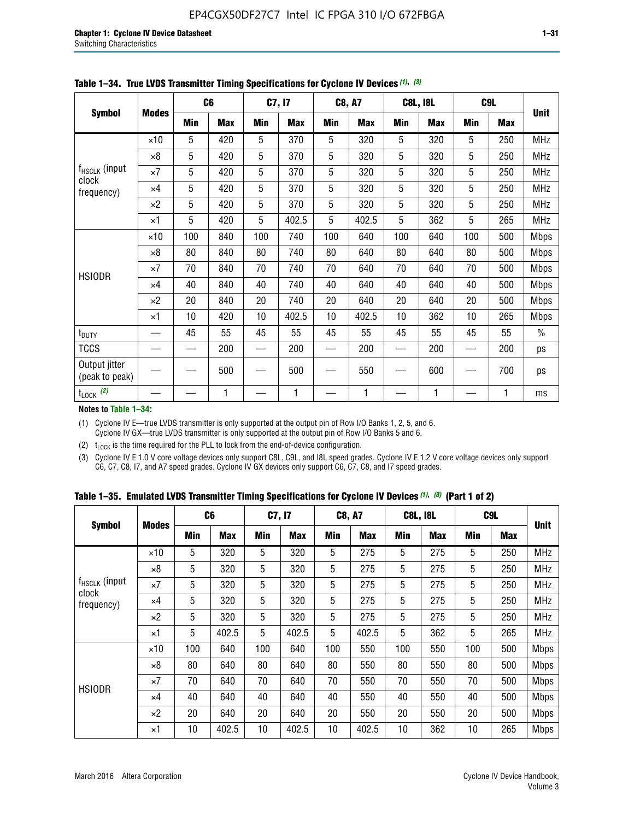|                                 |              |     | C <sub>6</sub> |     | C7, I7     |            | <b>C8, A7</b> |             | <b>C8L, I8L</b> |            | C <sub>9</sub> L |               |
|---------------------------------|--------------|-----|----------------|-----|------------|------------|---------------|-------------|-----------------|------------|------------------|---------------|
| <b>Symbol</b>                   | <b>Modes</b> | Min | <b>Max</b>     | Min | <b>Max</b> | <b>Min</b> | <b>Max</b>    | Min         | <b>Max</b>      | <b>Min</b> | <b>Max</b>       | <b>Unit</b>   |
|                                 | $\times$ 10  | 5   | 420            | 5   | 370        | 5          | 320           | 5           | 320             | 5          | 250              | <b>MHz</b>    |
|                                 | $\times 8$   | 5   | 420            | 5   | 370        | 5          | 320           | $\mathbf 5$ | 320             | 5          | 250              | <b>MHz</b>    |
| f <sub>HSCLK</sub> (input       | $\times 7$   | 5   | 420            | 5   | 370        | 5          | 320           | 5           | 320             | 5          | 250              | MHz           |
| clock<br>frequency)             | $\times 4$   | 5   | 420            | 5   | 370        | 5          | 320           | 5           | 320             | 5          | 250              | <b>MHz</b>    |
|                                 | $\times 2$   | 5   | 420            | 5   | 370        | 5          | 320           | 5           | 320             | 5          | 250              | <b>MHz</b>    |
|                                 | $\times$ 1   | 5   | 420            | 5   | 402.5      | 5          | 402.5         | 5           | 362             | 5          | 265              | <b>MHz</b>    |
|                                 | $\times$ 10  | 100 | 840            | 100 | 740        | 100        | 640           | 100         | 640             | 100        | 500              | <b>Mbps</b>   |
|                                 | $\times 8$   | 80  | 840            | 80  | 740        | 80         | 640           | 80          | 640             | 80         | 500              | <b>Mbps</b>   |
| <b>HSIODR</b>                   | $\times 7$   | 70  | 840            | 70  | 740        | 70         | 640           | 70          | 640             | 70         | 500              | <b>Mbps</b>   |
|                                 | $\times$ 4   | 40  | 840            | 40  | 740        | 40         | 640           | 40          | 640             | 40         | 500              | <b>Mbps</b>   |
|                                 | $\times 2$   | 20  | 840            | 20  | 740        | 20         | 640           | 20          | 640             | 20         | 500              | <b>Mbps</b>   |
|                                 | $\times$ 1   | 10  | 420            | 10  | 402.5      | 10         | 402.5         | 10          | 362             | 10         | 265              | <b>Mbps</b>   |
| t <sub>DUTY</sub>               |              | 45  | 55             | 45  | 55         | 45         | 55            | 45          | 55              | 45         | 55               | $\frac{0}{0}$ |
| <b>TCCS</b>                     |              |     | 200            |     | 200        |            | 200           |             | 200             |            | 200              | ps            |
| Output jitter<br>(peak to peak) |              |     | 500            |     | 500        |            | 550           |             | 600             |            | 700              | ps            |
| $t_{\text{LOCK}}$ (2)           |              |     | 1              |     | 1          |            | 1             |             | 1               |            | 1                | ms            |

**Table 1–34. True LVDS Transmitter Timing Specifications for Cyclone IV Devices** *(1)***,** *(3)*

**Notes to Table 1–34:**

(1) Cyclone IV E—true LVDS transmitter is only supported at the output pin of Row I/O Banks 1, 2, 5, and 6. Cyclone IV GX—true LVDS transmitter is only supported at the output pin of Row I/O Banks 5 and 6.

(2)  $t_{\text{LOCK}}$  is the time required for the PLL to lock from the end-of-device configuration.

(3) Cyclone IV E 1.0 V core voltage devices only support C8L, C9L, and I8L speed grades. Cyclone IV E 1.2 V core voltage devices only support C6, C7, C8, I7, and A7 speed grades. Cyclone IV GX devices only support C6, C7, C8, and I7 speed grades.

|  |  |  |  | Table 1–35. Emulated LVDS Transmitter Timing Specifications for Cyclone IV Devices <sup>(1), (3)</sup> (Part 1 of 2) |  |
|--|--|--|--|----------------------------------------------------------------------------------------------------------------------|--|
|--|--|--|--|----------------------------------------------------------------------------------------------------------------------|--|

| <b>Symbol</b>                             |              | C <sub>6</sub> |            | C7, I7     |            | <b>C8, A7</b> |            | <b>C8L, I8L</b> |            | C <sub>9L</sub> |            |             |
|-------------------------------------------|--------------|----------------|------------|------------|------------|---------------|------------|-----------------|------------|-----------------|------------|-------------|
|                                           | <b>Modes</b> | Min            | <b>Max</b> | <b>Min</b> | <b>Max</b> | <b>Min</b>    | <b>Max</b> | <b>Min</b>      | <b>Max</b> | <b>Min</b>      | <b>Max</b> | Unit        |
|                                           | $\times$ 10  | 5              | 320        | 5          | 320        | 5             | 275        | 5               | 275        | 5               | 250        | <b>MHz</b>  |
|                                           | $\times 8$   | 5              | 320        | 5          | 320        | 5             | 275        | 5               | 275        | 5               | 250        | <b>MHz</b>  |
| $f_{HSCLK}$ (input<br>clock<br>frequency) | $\times 7$   | 5              | 320        | 5          | 320        | 5             | 275        | 5               | 275        | 5               | 250        | <b>MHz</b>  |
|                                           | $\times$ 4   | 5              | 320        | 5          | 320        | 5             | 275        | 5               | 275        | 5               | 250        | <b>MHz</b>  |
|                                           | $\times 2$   | 5              | 320        | 5          | 320        | 5             | 275        | 5               | 275        | 5               | 250        | <b>MHz</b>  |
|                                           | $\times$ 1   | 5              | 402.5      | 5          | 402.5      | 5             | 402.5      | 5               | 362        | 5               | 265        | <b>MHz</b>  |
|                                           | $\times$ 10  | 100            | 640        | 100        | 640        | 100           | 550        | 100             | 550        | 100             | 500        | <b>Mbps</b> |
|                                           | $\times 8$   | 80             | 640        | 80         | 640        | 80            | 550        | 80              | 550        | 80              | 500        | <b>Mbps</b> |
|                                           | $\times 7$   | 70             | 640        | 70         | 640        | 70            | 550        | 70              | 550        | 70              | 500        | <b>Mbps</b> |
| <b>HSIODR</b>                             | $\times$ 4   | 40             | 640        | 40         | 640        | 40            | 550        | 40              | 550        | 40              | 500        | <b>Mbps</b> |
|                                           | $\times 2$   | 20             | 640        | 20         | 640        | 20            | 550        | 20              | 550        | 20              | 500        | <b>Mbps</b> |
|                                           | ×1           | 10             | 402.5      | 10         | 402.5      | 10            | 402.5      | 10              | 362        | 10              | 265        | <b>Mbps</b> |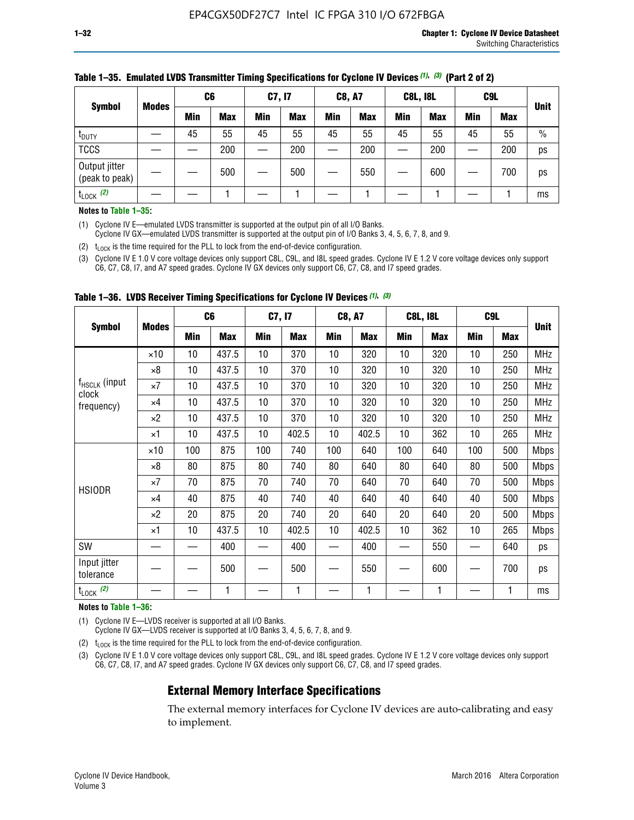|                                 |              | C <sub>6</sub> |            | C7, I7     |            | <b>C8, A7</b> |            | <b>C8L, I8L</b> |            |         | C <sub>9</sub> L |               |
|---------------------------------|--------------|----------------|------------|------------|------------|---------------|------------|-----------------|------------|---------|------------------|---------------|
| <b>Symbol</b>                   | <b>Modes</b> | Min            | <b>Max</b> | <b>Min</b> | <b>Max</b> | <b>Min</b>    | <b>Max</b> | Min             | <b>Max</b> | Min     | <b>Max</b>       | <b>Unit</b>   |
| t <sub>DUTY</sub>               |              | 45             | 55         | 45         | 55         | 45            | 55         | 45              | 55         | 45      | 55               | $\frac{0}{0}$ |
| <b>TCCS</b>                     |              |                | 200        |            | 200        |               | 200        |                 | 200        | —<br>—— | 200              | ps            |
| Output jitter<br>(peak to peak) |              |                | 500        |            | 500        |               | 550        |                 | 600        |         | 700              | ps            |
| $t_{\text{LOCK}}$ (2)           |              |                |            |            |            |               |            |                 |            |         |                  | ms            |

### **Table 1–35. Emulated LVDS Transmitter Timing Specifications for Cyclone IV Devices** *(1)***,** *(3)* **(Part 2 of 2)**

#### **Notes to Table 1–35:**

(1) Cyclone IV E—emulated LVDS transmitter is supported at the output pin of all I/O Banks.

Cyclone IV GX—emulated LVDS transmitter is supported at the output pin of I/O Banks 3, 4, 5, 6, 7, 8, and 9.

(2)  $t_{\text{LOCK}}$  is the time required for the PLL to lock from the end-of-device configuration.

(3) Cyclone IV E 1.0 V core voltage devices only support C8L, C9L, and I8L speed grades. Cyclone IV E 1.2 V core voltage devices only support C6, C7, C8, I7, and A7 speed grades. Cyclone IV GX devices only support C6, C7, C8, and I7 speed grades.

| <b>Symbol</b>                      |              |     | C <sub>6</sub> | C7, I7 |       | <b>C8, A7</b> |            |     | <b>C8L, I8L</b> | C <sub>9</sub> L |     |             |
|------------------------------------|--------------|-----|----------------|--------|-------|---------------|------------|-----|-----------------|------------------|-----|-------------|
|                                    | <b>Modes</b> | Min | <b>Max</b>     | Min    | Max   | Min           | <b>Max</b> | Min | <b>Max</b>      | Min              | Max | <b>Unit</b> |
|                                    | $\times$ 10  | 10  | 437.5          | 10     | 370   | 10            | 320        | 10  | 320             | 10               | 250 | MHz         |
|                                    | ×8           | 10  | 437.5          | 10     | 370   | 10            | 320        | 10  | 320             | 10               | 250 | <b>MHz</b>  |
| f <sub>HSCLK</sub> (input<br>clock | ×7           | 10  | 437.5          | 10     | 370   | 10            | 320        | 10  | 320             | 10               | 250 | <b>MHz</b>  |
| frequency)                         | $\times 4$   | 10  | 437.5          | 10     | 370   | 10            | 320        | 10  | 320             | 10               | 250 | <b>MHz</b>  |
|                                    | $\times 2$   | 10  | 437.5          | 10     | 370   | 10            | 320        | 10  | 320             | 10               | 250 | <b>MHz</b>  |
|                                    | ×1           | 10  | 437.5          | 10     | 402.5 | 10            | 402.5      | 10  | 362             | 10               | 265 | <b>MHz</b>  |
|                                    | $\times$ 10  | 100 | 875            | 100    | 740   | 100           | 640        | 100 | 640             | 100              | 500 | <b>Mbps</b> |
|                                    | $\times 8$   | 80  | 875            | 80     | 740   | 80            | 640        | 80  | 640             | 80               | 500 | <b>Mbps</b> |
| <b>HSIODR</b>                      | ×7           | 70  | 875            | 70     | 740   | 70            | 640        | 70  | 640             | 70               | 500 | <b>Mbps</b> |
|                                    | $\times 4$   | 40  | 875            | 40     | 740   | 40            | 640        | 40  | 640             | 40               | 500 | <b>Mbps</b> |
|                                    | $\times 2$   | 20  | 875            | 20     | 740   | 20            | 640        | 20  | 640             | 20               | 500 | <b>Mbps</b> |
|                                    | ×1           | 10  | 437.5          | 10     | 402.5 | 10            | 402.5      | 10  | 362             | 10               | 265 | <b>Mbps</b> |
| SW                                 |              |     | 400            |        | 400   |               | 400        |     | 550             |                  | 640 | ps          |
| Input jitter<br>tolerance          |              |     | 500            |        | 500   |               | 550        |     | 600             |                  | 700 | ps          |
| $t_{\text{LOCK}}$ (2)              |              |     | 1              |        | 1     |               | 1          |     | 1               |                  | 1   | ms          |

**Table 1–36. LVDS Receiver Timing Specifications for Cyclone IV Devices** *(1)***,** *(3)*

#### **Notes to Table 1–36:**

(1) Cyclone IV E—LVDS receiver is supported at all I/O Banks.

Cyclone IV GX—LVDS receiver is supported at I/O Banks 3, 4, 5, 6, 7, 8, and 9.

(2)  $t_{\text{LOCK}}$  is the time required for the PLL to lock from the end-of-device configuration.

(3) Cyclone IV E 1.0 V core voltage devices only support C8L, C9L, and I8L speed grades. Cyclone IV E 1.2 V core voltage devices only support C6, C7, C8, I7, and A7 speed grades. Cyclone IV GX devices only support C6, C7, C8, and I7 speed grades.

# **External Memory Interface Specifications**

The external memory interfaces for Cyclone IV devices are auto-calibrating and easy to implement.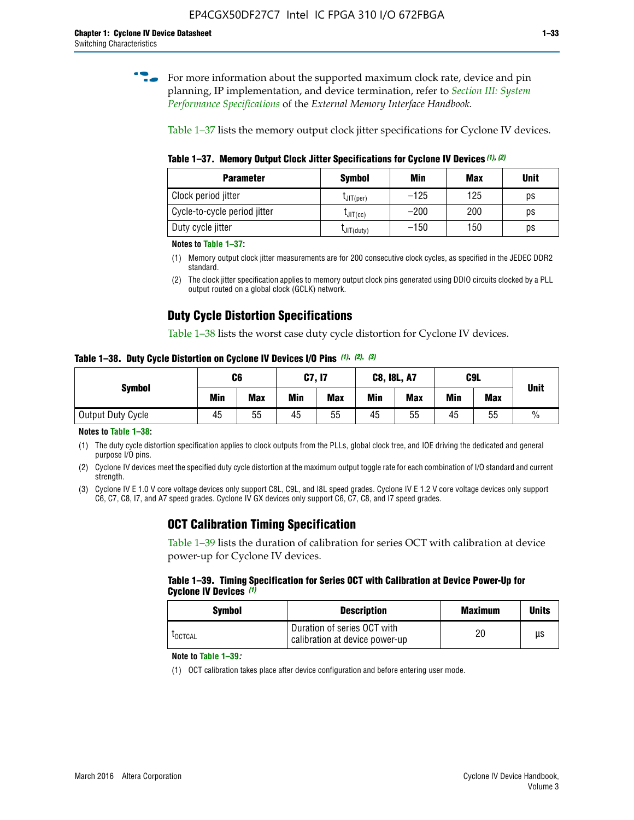**for more information about the supported maximum clock rate, device and pin** planning, IP implementation, and device termination, refer to *[Section III: System](http://www.altera.com/literature/hb/external-memory/emi_intro_specs.pdf)  [Performance Specifications](http://www.altera.com/literature/hb/external-memory/emi_intro_specs.pdf)* of the *External Memory Interface Handbook*.

Table 1–37 lists the memory output clock jitter specifications for Cyclone IV devices.

**Table 1–37. Memory Output Clock Jitter Specifications for Cyclone IV Devices** *(1)***,** *(2)*

| <b>Parameter</b>             | Symbol         | Min    | <b>Max</b> | <b>Unit</b> |
|------------------------------|----------------|--------|------------|-------------|
| Clock period jitter          | $L$ JIT(per)   | $-125$ | 125        | ps          |
| Cycle-to-cycle period jitter | $L$ JIT $(cc)$ | $-200$ | 200        | ps          |
| Duty cycle jitter            | LJIT(duty)     | $-150$ | 150        | рs          |

**Notes to Table 1–37:**

- (1) Memory output clock jitter measurements are for 200 consecutive clock cycles, as specified in the JEDEC DDR2 standard.
- (2) The clock jitter specification applies to memory output clock pins generated using DDIO circuits clocked by a PLL output routed on a global clock (GCLK) network.

# **Duty Cycle Distortion Specifications**

Table 1–38 lists the worst case duty cycle distortion for Cyclone IV devices.

**Table 1–38. Duty Cycle Distortion on Cyclone IV Devices I/O Pins** *(1)***,** *(2), (3)*

| <b>Symbol</b>     | C6  |            | <b>C7, I7</b> |            | <b>C8, I8L, A7</b> |            |     | C <sub>9</sub> L | <b>Unit</b>   |
|-------------------|-----|------------|---------------|------------|--------------------|------------|-----|------------------|---------------|
|                   | Min | <b>Max</b> | Min           | <b>Max</b> | Min                | <b>Max</b> | Min | <b>Max</b>       |               |
| Output Duty Cycle | 45  | 55         | 45            | 55         | 45                 | 55         | 45  | 55               | $\frac{0}{0}$ |

**Notes to Table 1–38:**

(1) The duty cycle distortion specification applies to clock outputs from the PLLs, global clock tree, and IOE driving the dedicated and general purpose I/O pins.

(2) Cyclone IV devices meet the specified duty cycle distortion at the maximum output toggle rate for each combination of I/O standard and current strength.

(3) Cyclone IV E 1.0 V core voltage devices only support C8L, C9L, and I8L speed grades. Cyclone IV E 1.2 V core voltage devices only support C6, C7, C8, I7, and A7 speed grades. Cyclone IV GX devices only support C6, C7, C8, and I7 speed grades.

# **OCT Calibration Timing Specification**

Table 1–39 lists the duration of calibration for series OCT with calibration at device power-up for Cyclone IV devices.

#### **Table 1–39. Timing Specification for Series OCT with Calibration at Device Power-Up for Cyclone IV Devices** *(1)*

| Symbol  | <b>Description</b>                                            | <b>Maximum</b> | <b>Units</b> |
|---------|---------------------------------------------------------------|----------------|--------------|
| LOCTCAL | Duration of series OCT with<br>calibration at device power-up | 20             | μs           |

#### **Note to Table 1–39***:*

(1) OCT calibration takes place after device configuration and before entering user mode.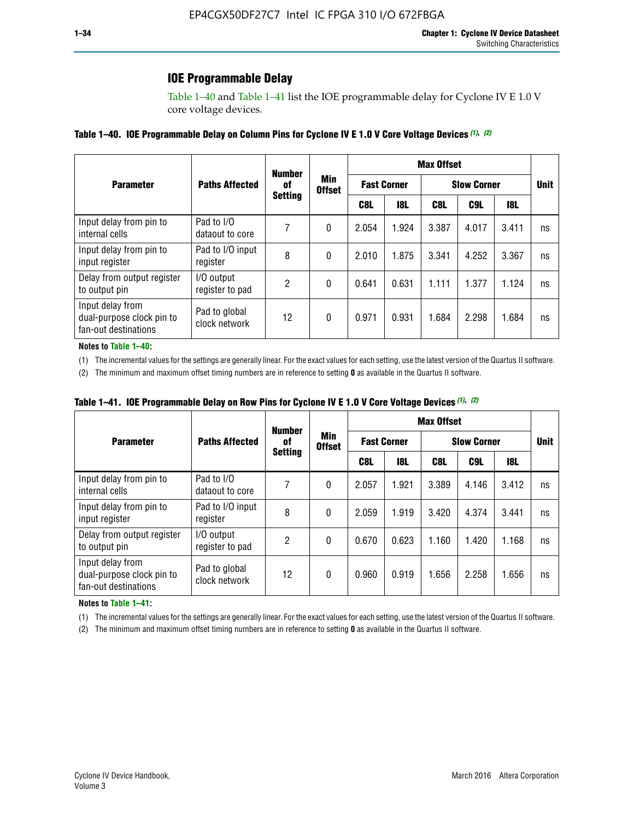# **IOE Programmable Delay**

Table 1–40 and Table 1–41 list the IOE programmable delay for Cyclone IV E 1.0 V core voltage devices.

### **Table 1–40. IOE Programmable Delay on Column Pins for Cyclone IV E 1.0 V Core Voltage Devices** *(1)***,** *(2)*

|                                                                       |                                |    | <b>Number</b><br>Min<br>0f<br><b>Offset</b><br><b>Setting</b> | <b>Max Offset</b>  |            |                    |             |       |    |  |
|-----------------------------------------------------------------------|--------------------------------|----|---------------------------------------------------------------|--------------------|------------|--------------------|-------------|-------|----|--|
| <b>Parameter</b>                                                      | <b>Paths Affected</b>          |    |                                                               | <b>Fast Corner</b> |            | <b>Slow Corner</b> | <b>Unit</b> |       |    |  |
|                                                                       |                                |    |                                                               | C8L                | <b>18L</b> | C8L                | C9L         | 18L   |    |  |
| Input delay from pin to<br>internal cells                             | Pad to I/O<br>dataout to core  |    | 0                                                             | 2.054              | 1.924      | 3.387              | 4.017       | 3.411 | ns |  |
| Input delay from pin to<br>input register                             | Pad to I/O input<br>register   | 8  | 0                                                             | 2.010              | 1.875      | 3.341              | 4.252       | 3.367 | ns |  |
| Delay from output register<br>to output pin                           | I/O output<br>register to pad  | 2  | 0                                                             | 0.641              | 0.631      | 1.111              | 1.377       | 1.124 | ns |  |
| Input delay from<br>dual-purpose clock pin to<br>fan-out destinations | Pad to global<br>clock network | 12 | 0                                                             | 0.971              | 0.931      | 1.684              | 2.298       | 1.684 | ns |  |

#### **Notes to Table 1–40:**

(1) The incremental values for the settings are generally linear. For the exact values for each setting, use the latest version of the Quartus II software.

(2) The minimum and maximum offset timing numbers are in reference to setting **0** as available in the Quartus II software.

| Table 1–41. IOE Programmable Delay on Row Pins for Cyclone IV E 1.0 V Core Voltage Devices (1), (2) |  |  |
|-----------------------------------------------------------------------------------------------------|--|--|
|-----------------------------------------------------------------------------------------------------|--|--|

|                                                                       |                                | <b>Number</b>  |                      | <b>Max Offset</b> |                    |                    |             |       |    |
|-----------------------------------------------------------------------|--------------------------------|----------------|----------------------|-------------------|--------------------|--------------------|-------------|-------|----|
| <b>Parameter</b>                                                      | <b>Paths Affected</b>          | 0f             | Min<br><b>Offset</b> |                   | <b>Fast Corner</b> | <b>Slow Corner</b> | <b>Unit</b> |       |    |
|                                                                       |                                | <b>Setting</b> |                      | C8L               | <b>18L</b>         | C8L                | C9L         | 18L   |    |
| Input delay from pin to<br>internal cells                             | Pad to I/O<br>dataout to core  |                | 0                    | 2.057             | 1.921              | 3.389              | 4.146       | 3.412 | ns |
| Input delay from pin to<br>input register                             | Pad to I/O input<br>register   | 8              | 0                    | 2.059             | 1.919              | 3.420              | 4.374       | 3.441 | ns |
| Delay from output register<br>to output pin                           | I/O output<br>register to pad  | 2              | 0                    | 0.670             | 0.623              | 1.160              | 1.420       | 1.168 | ns |
| Input delay from<br>dual-purpose clock pin to<br>fan-out destinations | Pad to global<br>clock network | 12             | 0                    | 0.960             | 0.919              | 1.656              | 2.258       | 1.656 | ns |

#### **Notes to Table 1–41:**

(1) The incremental values for the settings are generally linear. For the exact values for each setting, use the latest version of the Quartus II software.

(2) The minimum and maximum offset timing numbers are in reference to setting **0** as available in the Quartus II software.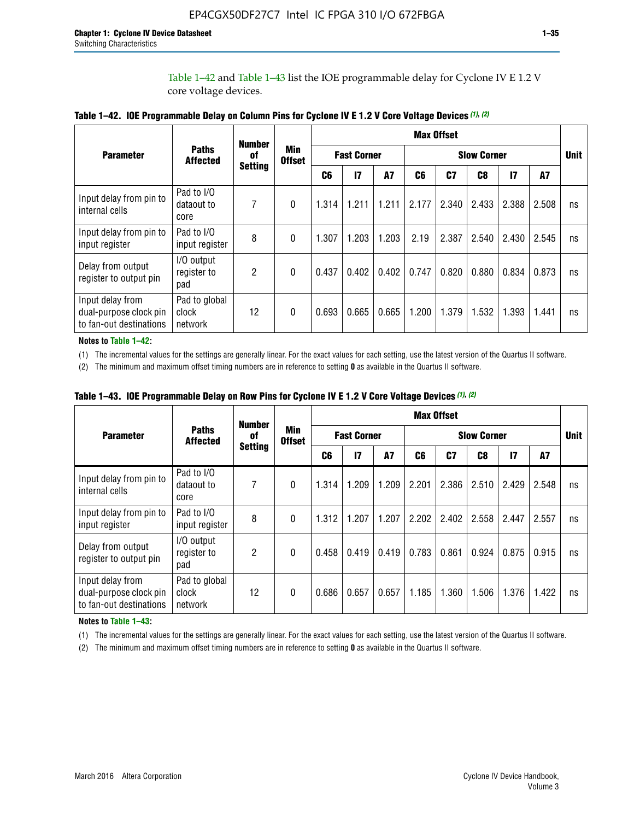Table 1–42 and Table 1–43 list the IOE programmable delay for Cyclone IV E 1.2 V core voltage devices.

|                                                                       |                                   | <b>Number</b>        |                             | <b>Max Offset</b>  |              |           |       |                    |       |               |       |    |
|-----------------------------------------------------------------------|-----------------------------------|----------------------|-----------------------------|--------------------|--------------|-----------|-------|--------------------|-------|---------------|-------|----|
| <b>Parameter</b>                                                      | <b>Paths</b><br><b>Affected</b>   | of<br><b>Setting</b> | <b>Min</b><br><b>Offset</b> | <b>Fast Corner</b> |              |           |       | <b>Slow Corner</b> |       |               |       |    |
|                                                                       |                                   |                      |                             | C <sub>6</sub>     | $\mathbf{I}$ | <b>A7</b> | C6    | C7                 | C8    | $\mathsf{I}7$ | A7    |    |
| Input delay from pin to<br>internal cells                             | Pad to I/O<br>dataout to<br>core  | 7                    | 0                           | 1.314              | 1.211        | 1.211     | 2.177 | 2.340              | 2.433 | 2.388         | 2.508 | ns |
| Input delay from pin to<br>input register                             | Pad to I/O<br>input register      | 8                    | $\Omega$                    | 1.307              | 1.203        | 1.203     | 2.19  | 2.387              | 2.540 | 2.430         | 2.545 | ns |
| Delay from output<br>register to output pin                           | I/O output<br>register to<br>pad  | 2                    | 0                           | 0.437              | 0.402        | 0.402     | 0.747 | 0.820              | 0.880 | 0.834         | 0.873 | ns |
| Input delay from<br>dual-purpose clock pin<br>to fan-out destinations | Pad to global<br>clock<br>network | 12                   | 0                           | 0.693              | 0.665        | 0.665     | 1.200 | 1.379              | 1.532 | 1.393         | 1.441 | ns |

**Table 1–42. IOE Programmable Delay on Column Pins for Cyclone IV E 1.2 V Core Voltage Devices** *(1)***,** *(2)*

**Notes to Table 1–42:**

(1) The incremental values for the settings are generally linear. For the exact values for each setting, use the latest version of the Quartus II software.

(2) The minimum and maximum offset timing numbers are in reference to setting **0** as available in the Quartus II software.

|                                                                       |                                   | <b>Number</b>        |                      |                    |       |       |       | <b>Max Offset</b>  |       |              |       |    |
|-----------------------------------------------------------------------|-----------------------------------|----------------------|----------------------|--------------------|-------|-------|-------|--------------------|-------|--------------|-------|----|
| <b>Parameter</b>                                                      | <b>Paths</b><br><b>Affected</b>   | 0f<br><b>Setting</b> | Min<br><b>Offset</b> | <b>Fast Corner</b> |       |       |       | <b>Slow Corner</b> |       |              |       |    |
|                                                                       |                                   |                      |                      | C6                 | 17    | A7    | C6    | C <sub>7</sub>     | C8    | $\mathbf{I}$ | A7    |    |
| Input delay from pin to<br>internal cells                             | Pad to I/O<br>dataout to<br>core  | 7                    | 0                    | 1.314              | 1.209 | 1.209 | 2.201 | 2.386              | 2.510 | 2.429        | 2.548 | ns |
| Input delay from pin to<br>input register                             | Pad to I/O<br>input register      | 8                    | $\theta$             | 1.312              | 1.207 | 1.207 | 2.202 | 2.402              | 2.558 | 2.447        | 2.557 | ns |
| Delay from output<br>register to output pin                           | I/O output<br>register to<br>pad  | 2                    | $\Omega$             | 0.458              | 0.419 | 0.419 | 0.783 | 0.861              | 0.924 | 0.875        | 0.915 | ns |
| Input delay from<br>dual-purpose clock pin<br>to fan-out destinations | Pad to global<br>clock<br>network | 12                   | 0                    | 0.686              | 0.657 | 0.657 | 1.185 | 1.360              | 1.506 | 1.376        | 1.422 | ns |

**Table 1–43. IOE Programmable Delay on Row Pins for Cyclone IV E 1.2 V Core Voltage Devices** *(1)***,** *(2)*

#### **Notes to Table 1–43:**

(1) The incremental values for the settings are generally linear. For the exact values for each setting, use the latest version of the Quartus II software.

(2) The minimum and maximum offset timing numbers are in reference to setting **0** as available in the Quartus II software.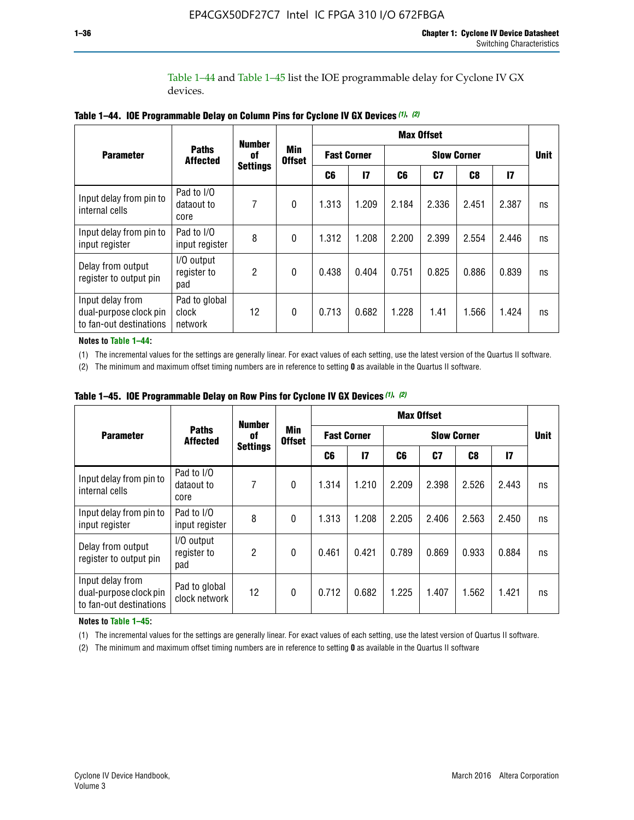Table 1–44 and Table 1–45 list the IOE programmable delay for Cyclone IV GX devices.

|                                                                       |                                   | <b>Number</b>   |                             |       |                    |       | <b>Max Offset</b>  |       |       |    |
|-----------------------------------------------------------------------|-----------------------------------|-----------------|-----------------------------|-------|--------------------|-------|--------------------|-------|-------|----|
| <b>Parameter</b>                                                      | <b>Paths</b><br><b>Affected</b>   | 0f              | <b>Min</b><br><b>Offset</b> |       | <b>Fast Corner</b> |       | <b>Slow Corner</b> |       |       |    |
|                                                                       |                                   | <b>Settings</b> |                             | C6    | $\mathbf{I}$       | C6    | C7                 | C8    | 17    |    |
| Input delay from pin to<br>internal cells                             | Pad to I/O<br>dataout to<br>core  | 7               | $\mathbf{0}$                | 1.313 | 1.209              | 2.184 | 2.336              | 2.451 | 2.387 | ns |
| Input delay from pin to<br>input register                             | Pad to I/O<br>input register      | 8               | $\theta$                    | 1.312 | 1.208              | 2.200 | 2.399              | 2.554 | 2.446 | ns |
| Delay from output<br>register to output pin                           | I/O output<br>register to<br>pad  | $\mathfrak{p}$  | $\mathbf 0$                 | 0.438 | 0.404              | 0.751 | 0.825              | 0.886 | 0.839 | ns |
| Input delay from<br>dual-purpose clock pin<br>to fan-out destinations | Pad to global<br>clock<br>network | 12              | $\mathbf{0}$                | 0.713 | 0.682              | 1.228 | 1.41               | 1.566 | 1.424 | ns |

**Table 1–44. IOE Programmable Delay on Column Pins for Cyclone IV GX Devices** *(1)***,** *(2)*

**Notes to Table 1–44:**

(1) The incremental values for the settings are generally linear. For exact values of each setting, use the latest version of the Quartus II software.

(2) The minimum and maximum offset timing numbers are in reference to setting **0** as available in the Quartus II software.

|                                                                       |                                  | <b>Number</b>   |                             |                    |       |       | <b>Max Offset</b> |             |               |    |
|-----------------------------------------------------------------------|----------------------------------|-----------------|-----------------------------|--------------------|-------|-------|-------------------|-------------|---------------|----|
| <b>Parameter</b>                                                      | <b>Paths</b><br><b>Affected</b>  | 0f              | <b>Min</b><br><b>Offset</b> | <b>Fast Corner</b> |       |       |                   | <b>Unit</b> |               |    |
|                                                                       |                                  | <b>Settings</b> |                             | C6                 | 17    | C6    | C7                | C8          | $\mathsf{I}7$ |    |
| Input delay from pin to<br>internal cells                             | Pad to I/O<br>dataout to<br>core | 7               | $\mathbf{0}$                | 1.314              | 1.210 | 2.209 | 2.398             | 2.526       | 2.443         | ns |
| Input delay from pin to<br>input register                             | Pad to I/O<br>input register     | 8               | $\mathbf{0}$                | 1.313              | 1.208 | 2.205 | 2.406             | 2.563       | 2.450         | ns |
| Delay from output<br>register to output pin                           | I/O output<br>register to<br>pad | $\overline{2}$  | $\mathbf{0}$                | 0.461              | 0.421 | 0.789 | 0.869             | 0.933       | 0.884         | ns |
| Input delay from<br>dual-purpose clock pin<br>to fan-out destinations | Pad to global<br>clock network   | 12              | $\mathbf{0}$                | 0.712              | 0.682 | 1.225 | 1.407             | 1.562       | 1.421         | ns |

**Table 1–45. IOE Programmable Delay on Row Pins for Cyclone IV GX Devices** *(1)***,** *(2)*

#### **Notes to Table 1–45:**

(1) The incremental values for the settings are generally linear. For exact values of each setting, use the latest version of Quartus II software.

(2) The minimum and maximum offset timing numbers are in reference to setting **0** as available in the Quartus II software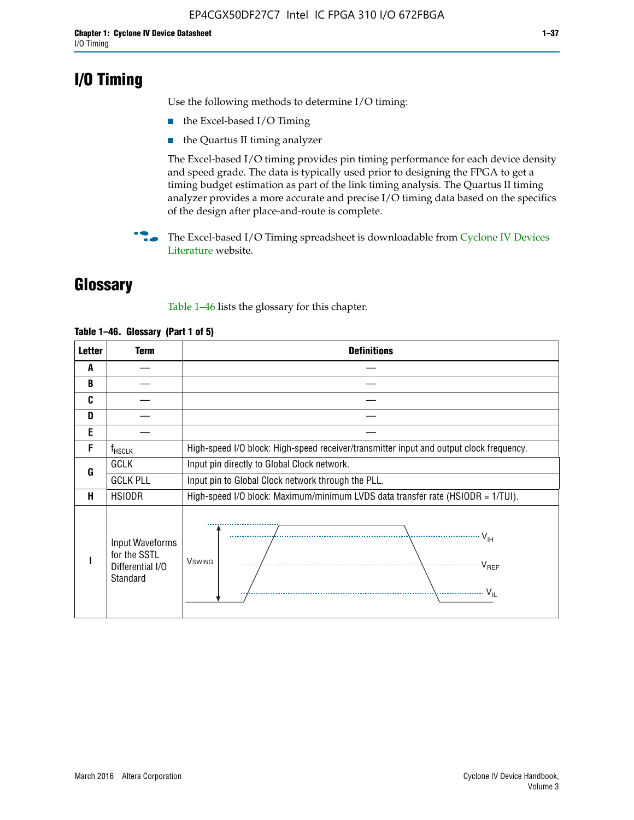# **I/O Timing**

Use the following methods to determine I/O timing:

- the Excel-based I/O Timing
- the Quartus II timing analyzer

The Excel-based I/O timing provides pin timing performance for each device density and speed grade. The data is typically used prior to designing the FPGA to get a timing budget estimation as part of the link timing analysis. The Quartus II timing analyzer provides a more accurate and precise I/O timing data based on the specifics of the design after place-and-route is complete.

**For The Excel-based I/O Timing spreadsheet is downloadable from Cyclone IV Devices** [Literature](http://www.altera.com/literature/lit-cyclone-iv.jsp) website.

# **Glossary**

Table 1–46 lists the glossary for this chapter.

| <b>Letter</b> | <b>Term</b>                                                     | <b>Definitions</b>                                                                                                                               |  |  |  |  |  |  |  |
|---------------|-----------------------------------------------------------------|--------------------------------------------------------------------------------------------------------------------------------------------------|--|--|--|--|--|--|--|
| A             |                                                                 |                                                                                                                                                  |  |  |  |  |  |  |  |
| B             |                                                                 |                                                                                                                                                  |  |  |  |  |  |  |  |
| C             |                                                                 |                                                                                                                                                  |  |  |  |  |  |  |  |
| D             |                                                                 |                                                                                                                                                  |  |  |  |  |  |  |  |
| E             |                                                                 |                                                                                                                                                  |  |  |  |  |  |  |  |
| F             | $f_{\sf HSCLK}$                                                 | High-speed I/O block: High-speed receiver/transmitter input and output clock frequency.                                                          |  |  |  |  |  |  |  |
| G             | <b>GCLK</b>                                                     | Input pin directly to Global Clock network.                                                                                                      |  |  |  |  |  |  |  |
|               | <b>GCLK PLL</b>                                                 | Input pin to Global Clock network through the PLL.                                                                                               |  |  |  |  |  |  |  |
| н             | <b>HSIODR</b>                                                   | High-speed I/O block: Maximum/minimum LVDS data transfer rate (HSIODR = 1/TUI).                                                                  |  |  |  |  |  |  |  |
|               | Input Waveforms<br>for the SSTL<br>Differential I/O<br>Standard | $\frac{1}{\sqrt{1+\frac{1}{2}}}\left\{ \frac{1}{\sqrt{1+\frac{1}{2}}}\right\}$<br><b>V</b> swing<br>$\cdots$ $V_{REF}$<br>\<br>$\sim V_{\rm IL}$ |  |  |  |  |  |  |  |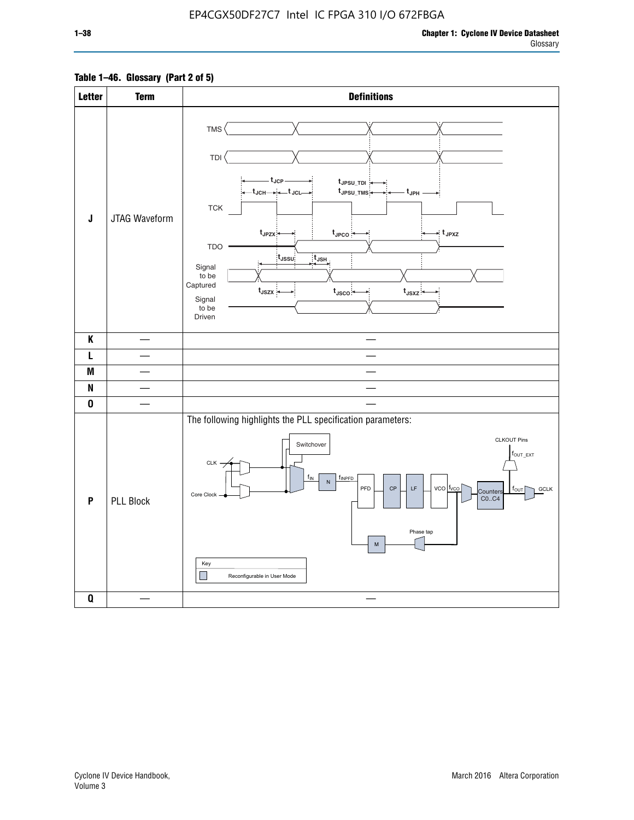# **Table 1–46. Glossary (Part 2 of 5)**

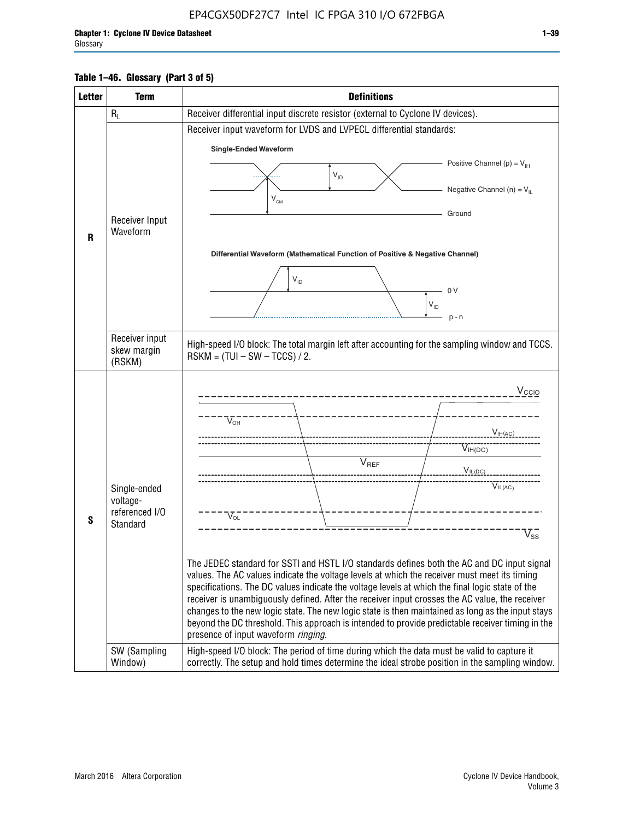# **Table 1–46. Glossary (Part 3 of 5)**

| <b>Letter</b> | <b>Term</b>              | <b>Definitions</b>                                                                                                                                                                              |  |  |  |  |  |  |  |  |
|---------------|--------------------------|-------------------------------------------------------------------------------------------------------------------------------------------------------------------------------------------------|--|--|--|--|--|--|--|--|
|               | $R_L$                    | Receiver differential input discrete resistor (external to Cyclone IV devices).                                                                                                                 |  |  |  |  |  |  |  |  |
|               |                          | Receiver input waveform for LVDS and LVPECL differential standards:                                                                                                                             |  |  |  |  |  |  |  |  |
|               |                          | <b>Single-Ended Waveform</b>                                                                                                                                                                    |  |  |  |  |  |  |  |  |
|               |                          | Positive Channel (p) = $V_{\text{H}}$                                                                                                                                                           |  |  |  |  |  |  |  |  |
|               |                          | $V_{ID}$                                                                                                                                                                                        |  |  |  |  |  |  |  |  |
|               |                          | Negative Channel (n) = $V_{\parallel}$<br>$V_{CM}$                                                                                                                                              |  |  |  |  |  |  |  |  |
|               | Receiver Input           | Ground                                                                                                                                                                                          |  |  |  |  |  |  |  |  |
| R             | Waveform                 |                                                                                                                                                                                                 |  |  |  |  |  |  |  |  |
|               |                          | Differential Waveform (Mathematical Function of Positive & Negative Channel)                                                                                                                    |  |  |  |  |  |  |  |  |
|               |                          |                                                                                                                                                                                                 |  |  |  |  |  |  |  |  |
|               |                          | $V_{ID}$                                                                                                                                                                                        |  |  |  |  |  |  |  |  |
|               |                          | 0V<br>$\mathsf{V}_{\mathsf{ID}}$                                                                                                                                                                |  |  |  |  |  |  |  |  |
|               |                          | $p - n$                                                                                                                                                                                         |  |  |  |  |  |  |  |  |
|               | Receiver input           |                                                                                                                                                                                                 |  |  |  |  |  |  |  |  |
|               | skew margin              | High-speed I/O block: The total margin left after accounting for the sampling window and TCCS.<br>$RSKM = (TUI - SW - TCCS) / 2.$                                                               |  |  |  |  |  |  |  |  |
|               | (RSKM)                   |                                                                                                                                                                                                 |  |  |  |  |  |  |  |  |
|               |                          | $V_{CCIO}$                                                                                                                                                                                      |  |  |  |  |  |  |  |  |
|               |                          |                                                                                                                                                                                                 |  |  |  |  |  |  |  |  |
|               |                          | $V_{\text{OH}}$                                                                                                                                                                                 |  |  |  |  |  |  |  |  |
|               |                          | V <sub>IH(AC)</sub>                                                                                                                                                                             |  |  |  |  |  |  |  |  |
|               |                          | $V_{IH(DC)}$<br>$V_{REF}$                                                                                                                                                                       |  |  |  |  |  |  |  |  |
|               |                          | $V_{IL(DC)}$                                                                                                                                                                                    |  |  |  |  |  |  |  |  |
|               | Single-ended<br>voltage- | VIL(AC)                                                                                                                                                                                         |  |  |  |  |  |  |  |  |
|               | referenced I/O           | $V_{OL}$                                                                                                                                                                                        |  |  |  |  |  |  |  |  |
| S             | Standard                 | $\overline{\mathsf{V}}_\mathsf{SS}^-$                                                                                                                                                           |  |  |  |  |  |  |  |  |
|               |                          |                                                                                                                                                                                                 |  |  |  |  |  |  |  |  |
|               |                          | The JEDEC standard for SSTI and HSTL I/O standards defines both the AC and DC input signal                                                                                                      |  |  |  |  |  |  |  |  |
|               |                          | values. The AC values indicate the voltage levels at which the receiver must meet its timing<br>specifications. The DC values indicate the voltage levels at which the final logic state of the |  |  |  |  |  |  |  |  |
|               |                          | receiver is unambiguously defined. After the receiver input crosses the AC value, the receiver                                                                                                  |  |  |  |  |  |  |  |  |
|               |                          | changes to the new logic state. The new logic state is then maintained as long as the input stays                                                                                               |  |  |  |  |  |  |  |  |
|               |                          | beyond the DC threshold. This approach is intended to provide predictable receiver timing in the<br>presence of input waveform ringing.                                                         |  |  |  |  |  |  |  |  |
|               | SW (Sampling             | High-speed I/O block: The period of time during which the data must be valid to capture it                                                                                                      |  |  |  |  |  |  |  |  |
|               | Window)                  | correctly. The setup and hold times determine the ideal strobe position in the sampling window.                                                                                                 |  |  |  |  |  |  |  |  |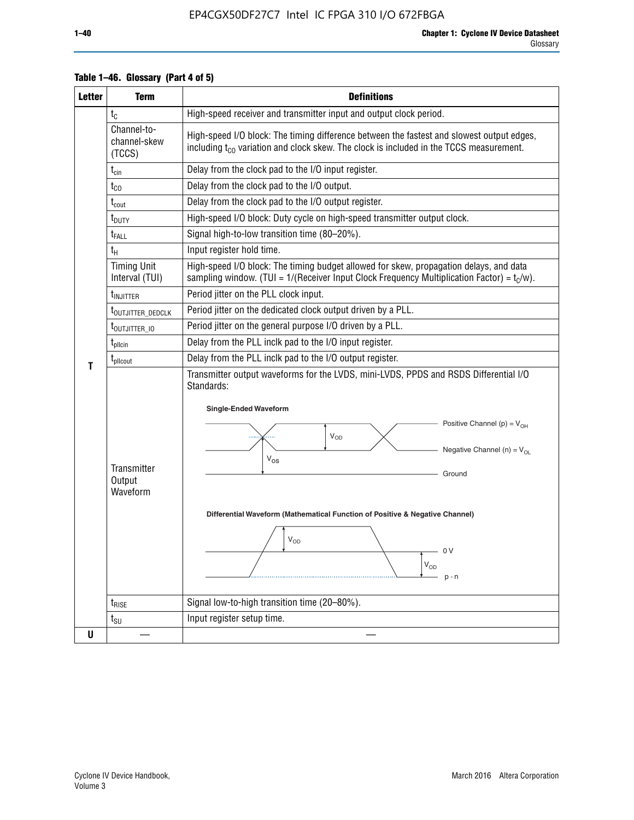| <b>Letter</b> | <b>Term</b>                              | <b>Definitions</b>                                                                                                                                                                                                                                                                                                                                                  |  |  |  |  |  |  |  |
|---------------|------------------------------------------|---------------------------------------------------------------------------------------------------------------------------------------------------------------------------------------------------------------------------------------------------------------------------------------------------------------------------------------------------------------------|--|--|--|--|--|--|--|
|               | $t_{\rm C}$                              | High-speed receiver and transmitter input and output clock period.                                                                                                                                                                                                                                                                                                  |  |  |  |  |  |  |  |
|               | Channel-to-<br>channel-skew<br>(TCCS)    | High-speed I/O block: The timing difference between the fastest and slowest output edges,<br>including t <sub>co</sub> variation and clock skew. The clock is included in the TCCS measurement.                                                                                                                                                                     |  |  |  |  |  |  |  |
|               | $t_{\text{cin}}$                         | Delay from the clock pad to the I/O input register.                                                                                                                                                                                                                                                                                                                 |  |  |  |  |  |  |  |
|               | $t_{CO}$                                 | Delay from the clock pad to the I/O output.                                                                                                                                                                                                                                                                                                                         |  |  |  |  |  |  |  |
|               | $\rm t_{\rm\,}$                          | Delay from the clock pad to the I/O output register.                                                                                                                                                                                                                                                                                                                |  |  |  |  |  |  |  |
|               | $t_{\text{DUTY}}$                        | High-speed I/O block: Duty cycle on high-speed transmitter output clock.                                                                                                                                                                                                                                                                                            |  |  |  |  |  |  |  |
|               | $t_{FALL}$                               | Signal high-to-low transition time (80-20%).                                                                                                                                                                                                                                                                                                                        |  |  |  |  |  |  |  |
|               | $t_H$                                    | Input register hold time.                                                                                                                                                                                                                                                                                                                                           |  |  |  |  |  |  |  |
|               | <b>Timing Unit</b><br>Interval (TUI)     | High-speed I/O block: The timing budget allowed for skew, propagation delays, and data<br>sampling window. (TUI = $1/($ Receiver Input Clock Frequency Multiplication Factor) = $t_c/w$ ).                                                                                                                                                                          |  |  |  |  |  |  |  |
|               | t <sub>injitter</sub>                    | Period jitter on the PLL clock input.                                                                                                                                                                                                                                                                                                                               |  |  |  |  |  |  |  |
|               | t <sub>outjitter_dedclk</sub>            | Period jitter on the dedicated clock output driven by a PLL.                                                                                                                                                                                                                                                                                                        |  |  |  |  |  |  |  |
|               | t <sub>outjitter_io</sub>                | Period jitter on the general purpose I/O driven by a PLL.                                                                                                                                                                                                                                                                                                           |  |  |  |  |  |  |  |
|               | $t_{\rm plicin}$                         | Delay from the PLL inclk pad to the I/O input register.                                                                                                                                                                                                                                                                                                             |  |  |  |  |  |  |  |
| т             | $t_{\text{pll}$ cout                     | Delay from the PLL inclk pad to the I/O output register.                                                                                                                                                                                                                                                                                                            |  |  |  |  |  |  |  |
|               | <b>Transmitter</b><br>Output<br>Waveform | Transmitter output waveforms for the LVDS, mini-LVDS, PPDS and RSDS Differential I/O<br>Standards:<br><b>Single-Ended Waveform</b><br>Positive Channel (p) = $V_{OH}$<br>VOD<br>Negative Channel (n) = $V_{OL}$<br>$V_{OS}$<br>Ground<br>Differential Waveform (Mathematical Function of Positive & Negative Channel)<br>$\rm V_{OD}$<br>0 V<br>$V_{OD}$<br>$p - n$ |  |  |  |  |  |  |  |
|               | $t_{\text{RISE}}$                        | Signal low-to-high transition time (20-80%).                                                                                                                                                                                                                                                                                                                        |  |  |  |  |  |  |  |
|               | $t_{\text{SU}}$                          | Input register setup time.                                                                                                                                                                                                                                                                                                                                          |  |  |  |  |  |  |  |
| U             |                                          |                                                                                                                                                                                                                                                                                                                                                                     |  |  |  |  |  |  |  |

# **Table 1–46. Glossary (Part 4 of 5)**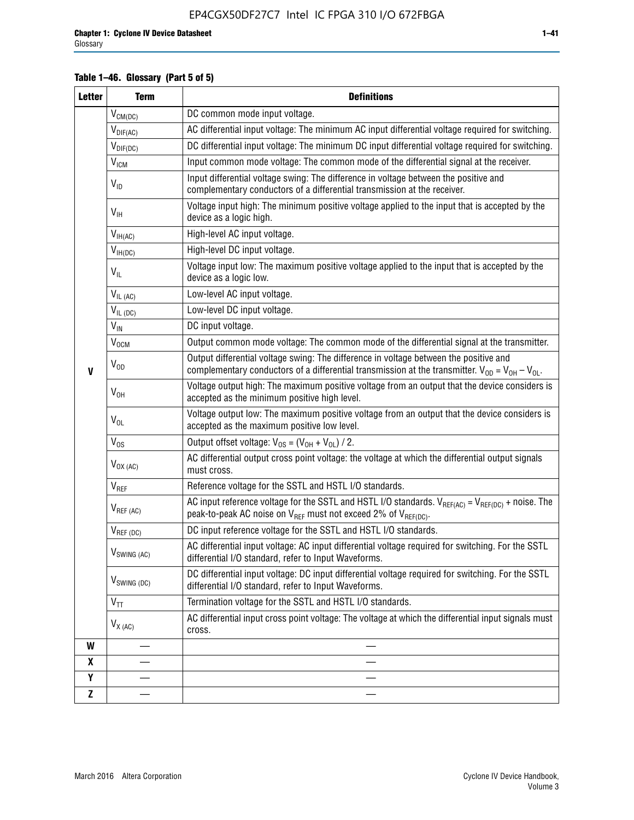# **Table 1–46. Glossary (Part 5 of 5)**

| <b>Letter</b> | <b>Term</b>                             | <b>Definitions</b>                                                                                                                                                                                |  |  |
|---------------|-----------------------------------------|---------------------------------------------------------------------------------------------------------------------------------------------------------------------------------------------------|--|--|
|               | $V_{CM(DC)}$                            | DC common mode input voltage.                                                                                                                                                                     |  |  |
|               | $V_{DIF(AC)}$                           | AC differential input voltage: The minimum AC input differential voltage required for switching.                                                                                                  |  |  |
|               | $V_{DIF(DC)}$                           | DC differential input voltage: The minimum DC input differential voltage required for switching.                                                                                                  |  |  |
|               | V <sub>ICM</sub>                        | Input common mode voltage: The common mode of the differential signal at the receiver.                                                                                                            |  |  |
|               | $V_{ID}$                                | Input differential voltage swing: The difference in voltage between the positive and<br>complementary conductors of a differential transmission at the receiver.                                  |  |  |
|               | $V_{\text{IH}}$                         | Voltage input high: The minimum positive voltage applied to the input that is accepted by the<br>device as a logic high.                                                                          |  |  |
|               | $\mathsf{V}_{\mathsf{IH}(\mathsf{AC})}$ | High-level AC input voltage.                                                                                                                                                                      |  |  |
|               | $V_{IH(DC)}$                            | High-level DC input voltage.                                                                                                                                                                      |  |  |
|               | $V_{IL}$                                | Voltage input low: The maximum positive voltage applied to the input that is accepted by the<br>device as a logic low.                                                                            |  |  |
|               | $V_{IL(AC)}$                            | Low-level AC input voltage.                                                                                                                                                                       |  |  |
|               | $V_{IL(DC)}$                            | Low-level DC input voltage.                                                                                                                                                                       |  |  |
|               | $V_{\text{IN}}$                         | DC input voltage.                                                                                                                                                                                 |  |  |
|               | $\rm V_{\rm OCM}$                       | Output common mode voltage: The common mode of the differential signal at the transmitter.                                                                                                        |  |  |
| $\mathbf{V}$  | $V_{OD}$                                | Output differential voltage swing: The difference in voltage between the positive and<br>complementary conductors of a differential transmission at the transmitter. $V_{OD} = V_{OH} - V_{OL}$ . |  |  |
|               | $V_{OH}$                                | Voltage output high: The maximum positive voltage from an output that the device considers is<br>accepted as the minimum positive high level.                                                     |  |  |
|               | $V_{OL}$                                | Voltage output low: The maximum positive voltage from an output that the device considers is<br>accepted as the maximum positive low level.                                                       |  |  |
|               | $V_{OS}$                                | Output offset voltage: $V_{OS} = (V_{OH} + V_{OL}) / 2$ .                                                                                                                                         |  |  |
|               | $V_{OX (AC)}$                           | AC differential output cross point voltage: the voltage at which the differential output signals<br>must cross.                                                                                   |  |  |
|               | V <sub>REF</sub>                        | Reference voltage for the SSTL and HSTL I/O standards.                                                                                                                                            |  |  |
|               | $V_{REF\,(AC)}$                         | AC input reference voltage for the SSTL and HSTL I/O standards. $V_{REF(AC)} = V_{REF(DC)} +$ noise. The<br>peak-to-peak AC noise on $V_{REF}$ must not exceed 2% of $V_{REF(DC)}$ .              |  |  |
|               | $V_{REF(DC)}$                           | DC input reference voltage for the SSTL and HSTL I/O standards.                                                                                                                                   |  |  |
|               | $V_{\textrm{SWING (AC)}}$               | AC differential input voltage: AC input differential voltage required for switching. For the SSTL<br>differential I/O standard, refer to Input Waveforms.                                         |  |  |
|               | $V_{SWING (DC)}$                        | DC differential input voltage: DC input differential voltage required for switching. For the SSTL<br>differential I/O standard, refer to Input Waveforms.                                         |  |  |
|               | $\text{V}_{\text{TT}}$                  | Termination voltage for the SSTL and HSTL I/O standards.                                                                                                                                          |  |  |
|               | $V_{X(AC)}$                             | AC differential input cross point voltage: The voltage at which the differential input signals must<br>cross.                                                                                     |  |  |
| W             |                                         |                                                                                                                                                                                                   |  |  |
| X             |                                         |                                                                                                                                                                                                   |  |  |
| Y             |                                         |                                                                                                                                                                                                   |  |  |
| $\mathbf{Z}$  |                                         |                                                                                                                                                                                                   |  |  |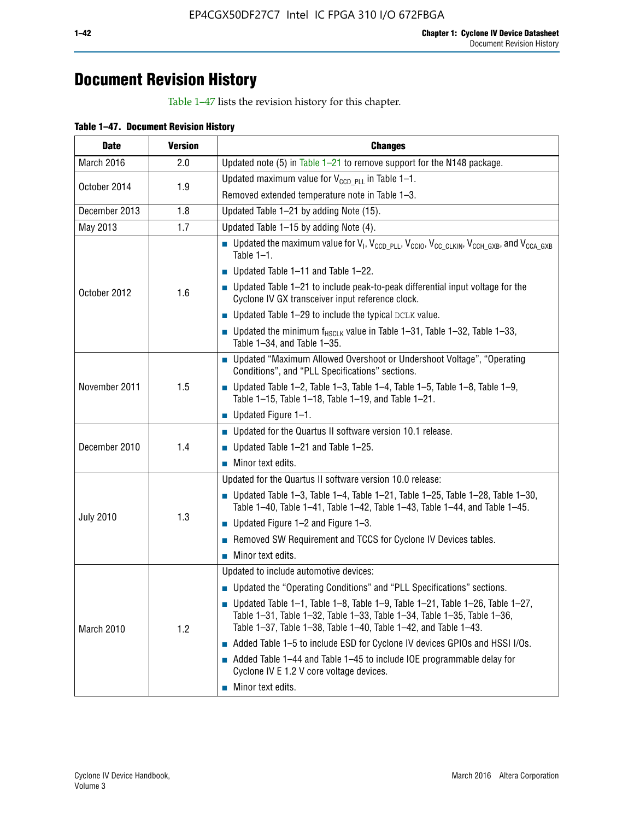# **Document Revision History**

Table 1–47 lists the revision history for this chapter.

| <b>Date</b>      | <b>Version</b> | <b>Changes</b>                                                                                                                                                                                                                            |
|------------------|----------------|-------------------------------------------------------------------------------------------------------------------------------------------------------------------------------------------------------------------------------------------|
| March 2016       | 2.0            | Updated note (5) in Table $1-21$ to remove support for the N148 package.                                                                                                                                                                  |
| October 2014     | 1.9            | Updated maximum value for $V_{CCD, PL}$ in Table 1-1.                                                                                                                                                                                     |
|                  |                | Removed extended temperature note in Table 1-3.                                                                                                                                                                                           |
| December 2013    | 1.8            | Updated Table 1-21 by adding Note (15).                                                                                                                                                                                                   |
| May 2013         | 1.7            | Updated Table 1-15 by adding Note (4).                                                                                                                                                                                                    |
|                  | 1.6            | <b>D</b> Updated the maximum value for $V_1$ , $V_{CCD}$ <sub>PLL</sub> , $V_{CC10}$ , $V_{CC_1CLKIN}$ , $V_{CCH_GXB}$ , and $V_{CCA_GXB}$<br>Table $1-1$ .                                                                               |
|                  |                | $\blacksquare$ Updated Table 1-11 and Table 1-22.                                                                                                                                                                                         |
| October 2012     |                | $\blacksquare$ Updated Table 1-21 to include peak-to-peak differential input voltage for the<br>Cyclone IV GX transceiver input reference clock.                                                                                          |
|                  |                | $\blacksquare$ Updated Table 1-29 to include the typical DCLK value.                                                                                                                                                                      |
|                  |                | <b>Updated the minimum f<sub>HSCLK</sub></b> value in Table 1-31, Table 1-32, Table 1-33,<br>Table 1-34, and Table 1-35.                                                                                                                  |
|                  | 1.5            | ■ Updated "Maximum Allowed Overshoot or Undershoot Voltage", "Operating<br>Conditions", and "PLL Specifications" sections.                                                                                                                |
| November 2011    |                | Updated Table 1-2, Table 1-3, Table 1-4, Table 1-5, Table 1-8, Table 1-9,<br>Table 1-15, Table 1-18, Table 1-19, and Table 1-21.                                                                                                          |
|                  |                | ■ Updated Figure $1-1$ .                                                                                                                                                                                                                  |
|                  | 1.4            | • Updated for the Quartus II software version 10.1 release.                                                                                                                                                                               |
| December 2010    |                | $\blacksquare$ Updated Table 1-21 and Table 1-25.                                                                                                                                                                                         |
|                  |                | $\blacksquare$ Minor text edits.                                                                                                                                                                                                          |
|                  | 1.3            | Updated for the Quartus II software version 10.0 release:                                                                                                                                                                                 |
|                  |                | Updated Table 1-3, Table 1-4, Table 1-21, Table 1-25, Table 1-28, Table 1-30,<br>Table 1-40, Table 1-41, Table 1-42, Table 1-43, Table 1-44, and Table 1-45.                                                                              |
| <b>July 2010</b> |                | ■ Updated Figure $1-2$ and Figure $1-3$ .                                                                                                                                                                                                 |
|                  |                | Removed SW Requirement and TCCS for Cyclone IV Devices tables.                                                                                                                                                                            |
|                  |                | $\blacksquare$ Minor text edits.                                                                                                                                                                                                          |
|                  | 1.2            | Updated to include automotive devices:                                                                                                                                                                                                    |
|                  |                | • Updated the "Operating Conditions" and "PLL Specifications" sections.                                                                                                                                                                   |
| March 2010       |                | $\blacksquare$ Updated Table 1-1, Table 1-8, Table 1-9, Table 1-21, Table 1-26, Table 1-27,<br>Table 1-31, Table 1-32, Table 1-33, Table 1-34, Table 1-35, Table 1-36,<br>Table 1-37, Table 1-38, Table 1-40, Table 1-42, and Table 1-43. |
|                  |                | Added Table 1-5 to include ESD for Cyclone IV devices GPIOs and HSSI I/Os.                                                                                                                                                                |
|                  |                | Added Table 1-44 and Table 1-45 to include IOE programmable delay for<br>Cyclone IV E 1.2 V core voltage devices.                                                                                                                         |
|                  |                | Minor text edits.                                                                                                                                                                                                                         |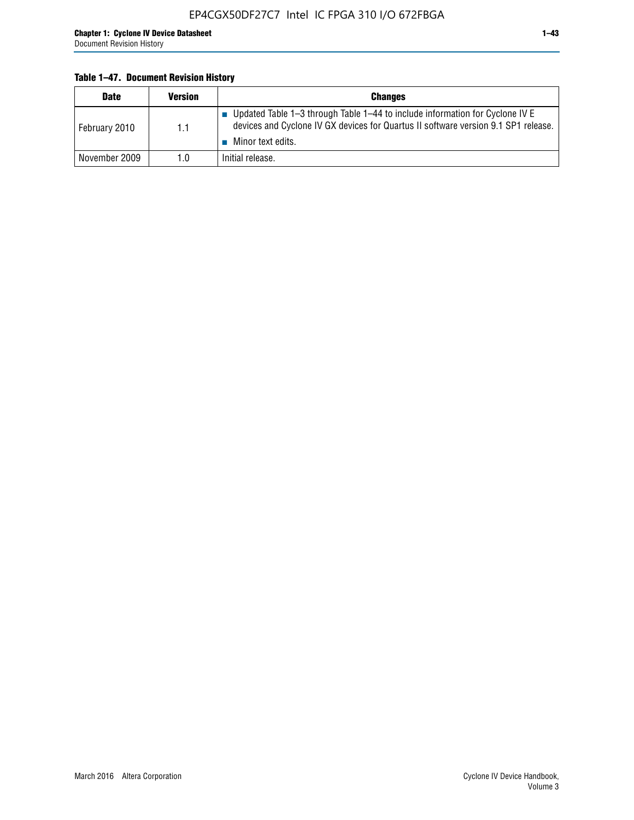# **Table 1–47. Document Revision History**

| <b>Date</b>   | <b>Version</b> | <b>Changes</b>                                                                                                                                                                          |
|---------------|----------------|-----------------------------------------------------------------------------------------------------------------------------------------------------------------------------------------|
| February 2010 | 1.1            | Updated Table 1-3 through Table 1-44 to include information for Cyclone IV E<br>devices and Cyclone IV GX devices for Quartus II software version 9.1 SP1 release.<br>Minor text edits. |
| November 2009 | 1.0            | Initial release.                                                                                                                                                                        |